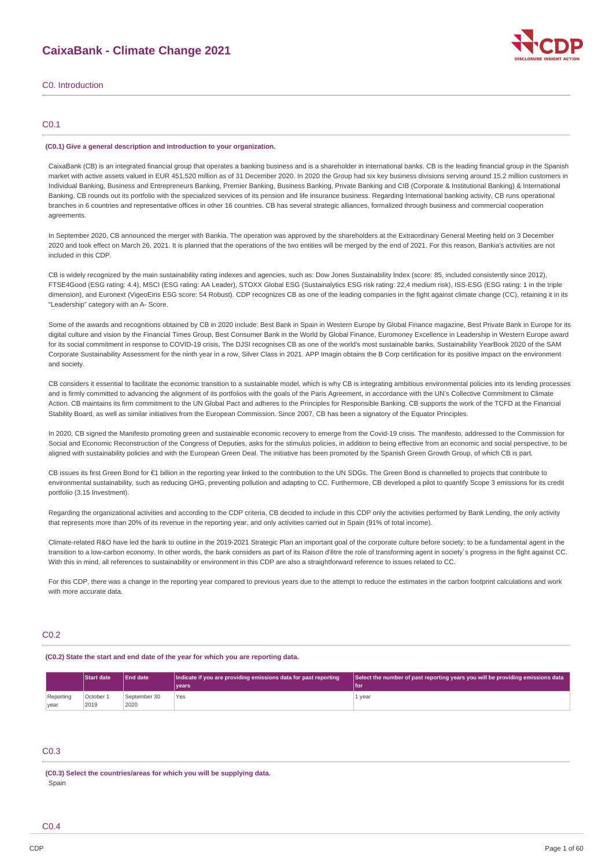

### C0. Introduction

### C0.1

#### **(C0.1) Give a general description and introduction to your organization.**

CaixaBank (CB) is an integrated financial group that operates a banking business and is a shareholder in international banks. CB is the leading financial group in the Spanish market with active assets valued in EUR 451,520 million as of 31 December 2020. In 2020 the Group had six key business divisions serving around 15.2 million customers in Individual Banking, Business and Entrepreneurs Banking, Premier Banking, Business Banking, Private Banking and CIB (Corporate & Institutional Banking) & International Banking. CB rounds out its portfolio with the specialized services of its pension and life insurance business. Regarding International banking activity, CB runs operational branches in 6 countries and representative offices in other 16 countries. CB has several strategic alliances, formalized through business and commercial cooperation agreements

In September 2020, CB announced the merger with Bankia. The operation was approved by the shareholders at the Extraordinary General Meeting held on 3 December 2020 and took effect on March 26, 2021. It is planned that the operations of the two entities will be merged by the end of 2021. For this reason, Bankia's activities are not included in this CDP.

CB is widely recognized by the main sustainability rating indexes and agencies, such as: Dow Jones Sustainability Index (score: 85, included consistently since 2012), FTSE4Good (ESG rating: 4.4), MSCI (ESG rating: AA Leader), STOXX Global ESG (Sustainalytics ESG risk rating: 22,4 medium risk), ISS-ESG (ESG rating: 1 in the triple dimension), and Euronext (VigeoEiris ESG score: 54 Robust). CDP recognizes CB as one of the leading companies in the fight against climate change (CC), retaining it in its "Leadership" category with an A- Score.

Some of the awards and recognitions obtained by CB in 2020 include: Best Bank in Spain in Western Europe by Global Finance magazine, Best Private Bank in Europe for its digital culture and vision by the Financial Times Group, Best Consumer Bank in the World by Global Finance, Euromoney Excellence in Leadership in Western Europe award for its social commitment in response to COVID-19 crisis, The DJSI recognises CB as one of the world's most sustainable banks, Sustainability YearBook 2020 of the SAM Corporate Sustainability Assessment for the ninth year in a row, Silver Class in 2021. APP Imagin obtains the B Corp certification for its positive impact on the environment and society.

CB considers it essential to facilitate the economic transition to a sustainable model, which is why CB is integrating ambitious environmental policies into its lending processes and is firmly committed to advancing the alignment of its portfolios with the goals of the Paris Agreement, in accordance with the UN's Collective Commitment to Climate Action. CB maintains its firm commitment to the UN Global Pact and adheres to the Principles for Responsible Banking. CB supports the work of the TCFD at the Financial Stability Board, as well as similar initiatives from the European Commission. Since 2007, CB has been a signatory of the Equator Principles.

In 2020, CB signed the Manifesto promoting green and sustainable economic recovery to emerge from the Covid-19 crisis. The manifesto, addressed to the Commission for Social and Economic Reconstruction of the Congress of Deputies, asks for the stimulus policies, in addition to being effective from an economic and social perspective, to be aligned with sustainability policies and with the European Green Deal. The initiative has been promoted by the Spanish Green Growth Group, of which CB is part.

CB issues its first Green Bond for €1 billion in the reporting year linked to the contribution to the UN SDGs. The Green Bond is channelled to projects that contribute to environmental sustainability, such as reducing GHG, preventing pollution and adapting to CC. Furthermore, CB developed a pilot to quantify Scope 3 emissions for its credit portfolio (3.15 Investment).

Regarding the organizational activities and according to the CDP criteria, CB decided to include in this CDP only the activities performed by Bank Lending, the only activity that represents more than 20% of its revenue in the reporting year, and only activities carried out in Spain (91% of total income).

Climate-related R&O have led the bank to outline in the 2019-2021 Strategic Plan an important goal of the corporate culture before society: to be a fundamental agent in the transition to a low-carbon economy. In other words, the bank considers as part of its Raison d'être the role of transforming agent in society´s progress in the fight against CC. With this in mind, all references to sustainability or environment in this CDP are also a straightforward reference to issues related to CC.

For this CDP, there was a change in the reporting year compared to previous years due to the attempt to reduce the estimates in the carbon footprint calculations and work with more accurate data

### C0.2

#### **(C0.2) State the start and end date of the year for which you are reporting data.**

|           | <b>Start date</b> | <b>End date</b> | Indicate if you are providing emissions data for past reporting<br>vears | Select the number of past reporting years you will be providing emissions data<br>lfo |
|-----------|-------------------|-----------------|--------------------------------------------------------------------------|---------------------------------------------------------------------------------------|
| Reporting | October 1         | September 30    | Yes                                                                      | L year                                                                                |
| vear      | 2019              | 2020            |                                                                          |                                                                                       |

## C0.3

**(C0.3) Select the countries/areas for which you will be supplying data.** Spain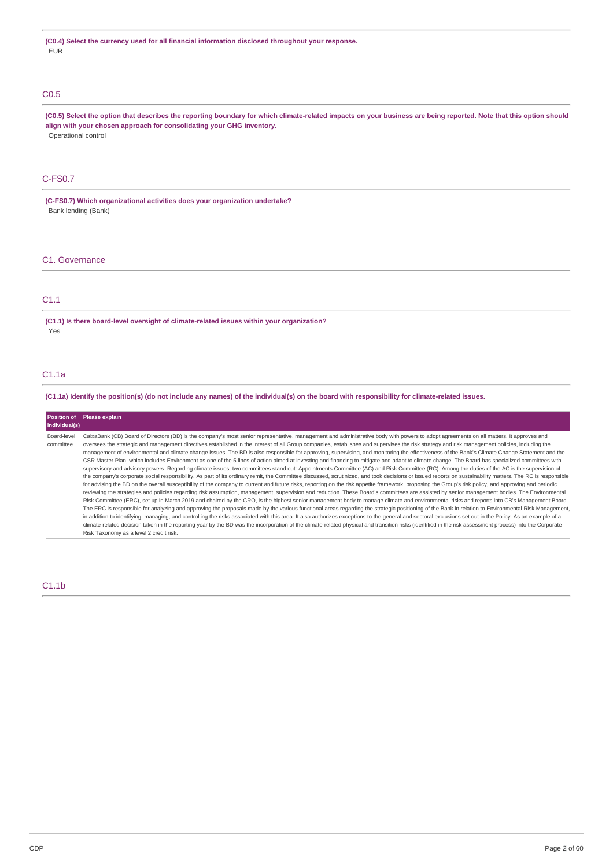## C0.5

(C0.5) Select the option that describes the reporting boundary for which climate-related impacts on your business are being reported. Note that this option should **align with your chosen approach for consolidating your GHG inventory.** Operational control

## C-FS0.7

**(C-FS0.7) Which organizational activities does your organization undertake?** Bank lending (Bank)

### C1. Governance

## C1.1

**(C1.1) Is there board-level oversight of climate-related issues within your organization?** Yes

## C1.1a

(C1.1a) Identify the position(s) (do not include any names) of the individual(s) on the board with responsibility for climate-related issues.

| Position of<br>individual(s) | <b>Please explain</b>                                                                                                                                                                                                                                                                                                                                                                                                                                                                                                                                                                                                                                                                                                                                                                                                                                                                                                                                                                                                                                                                                                                                                                                                                                                                                                                                                                                                                                                                                                                                                                                                                                                                                                                                                                                                                                                                                                                                                                                                                                                                                                                                                                                                                                                                                                                                                                                                                                                                    |
|------------------------------|------------------------------------------------------------------------------------------------------------------------------------------------------------------------------------------------------------------------------------------------------------------------------------------------------------------------------------------------------------------------------------------------------------------------------------------------------------------------------------------------------------------------------------------------------------------------------------------------------------------------------------------------------------------------------------------------------------------------------------------------------------------------------------------------------------------------------------------------------------------------------------------------------------------------------------------------------------------------------------------------------------------------------------------------------------------------------------------------------------------------------------------------------------------------------------------------------------------------------------------------------------------------------------------------------------------------------------------------------------------------------------------------------------------------------------------------------------------------------------------------------------------------------------------------------------------------------------------------------------------------------------------------------------------------------------------------------------------------------------------------------------------------------------------------------------------------------------------------------------------------------------------------------------------------------------------------------------------------------------------------------------------------------------------------------------------------------------------------------------------------------------------------------------------------------------------------------------------------------------------------------------------------------------------------------------------------------------------------------------------------------------------------------------------------------------------------------------------------------------------|
| Board-level<br>committee     | CaixaBank (CB) Board of Directors (BD) is the company's most senior representative, management and administrative body with powers to adopt agreements on all matters. It approves and<br>oversees the strategic and management directives established in the interest of all Group companies, establishes and supervises the risk strategy and risk management policies, including the<br>management of environmental and climate change issues. The BD is also responsible for approving, supervising, and monitoring the effectiveness of the Bank's Climate Change Statement and the<br>CSR Master Plan, which includes Environment as one of the 5 lines of action aimed at investing and financing to mitigate and adapt to climate change. The Board has specialized committees with<br>supervisory and advisory powers. Regarding climate issues, two committees stand out: Appointments Committee (AC) and Risk Committee (RC). Among the duties of the AC is the supervision of<br>the company's corporate social responsibility. As part of its ordinary remit, the Committee discussed, scrutinized, and took decisions or issued reports on sustainability matters. The RC is responsible<br>for advising the BD on the overall susceptibility of the company to current and future risks, reporting on the risk appetite framework, proposing the Group's risk policy, and approving and periodic<br>reviewing the strategies and policies regarding risk assumption, management, supervision and reduction. These Board's committees are assisted by senior management bodies. The Environmental<br>Risk Committee (ERC), set up in March 2019 and chaired by the CRO, is the highest senior management body to manage climate and environmental risks and reports into CB's Management Board.<br>The ERC is responsible for analyzing and approving the proposals made by the various functional areas regarding the strategic positioning of the Bank in relation to Environmental Risk Management,<br>in addition to identifying, managing, and controlling the risks associated with this area. It also authorizes exceptions to the general and sectoral exclusions set out in the Policy. As an example of a<br>climate-related decision taken in the reporting year by the BD was the incorporation of the climate-related physical and transition risks (identified in the risk assessment process) into the Corporate<br>Risk Taxonomy as a level 2 credit risk. |

### C1.1b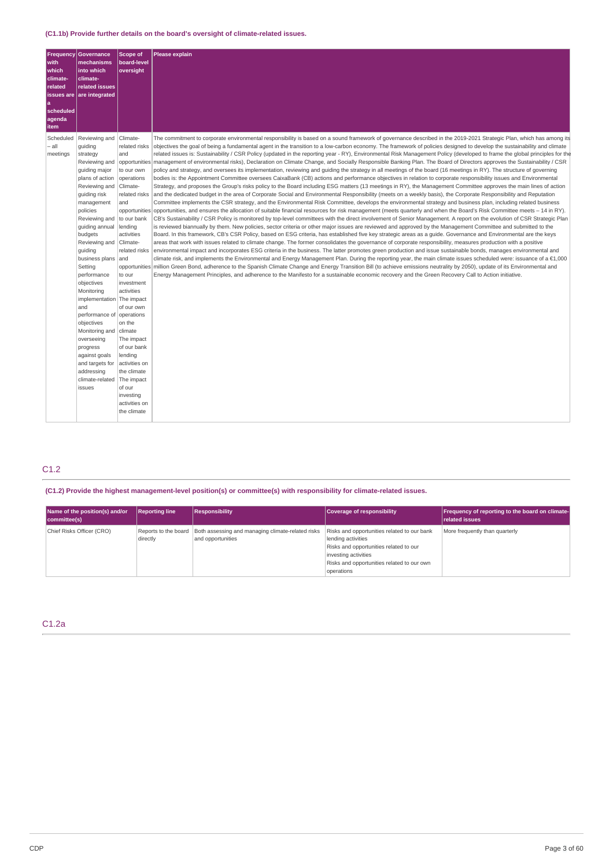| <b>Frequency</b><br>with<br>which<br>climate-<br>related<br>issues are<br>a<br>scheduled<br>agenda<br>item | Governance<br>mechanisms<br>into which<br>climate-<br>related issues<br>are integrated                                                                                                                                                                                                                                                                                                                                                                                                                                     | <b>Scope of</b><br>board-level<br>oversight                                                                                                                                                                                                                                                                                                                                                                               | Please explain                                                                                                                                                                                                                                                                                                                                                                                                                                                                                                                                                                                                                                                                                                                                                                                                                                                                                                                                                                                                                                                                                                                                                                                                                                                                                                                                                                                                                                                                                                                                                                                                                                                                                                                                                                                                                                                                                                                                                                                                                                                                                                                                                                                                                                                                                                                                                                                                                                                                                                                                                                                                                                                                                                                                                                                                                                                                                                                                                                                                                                                                                              |
|------------------------------------------------------------------------------------------------------------|----------------------------------------------------------------------------------------------------------------------------------------------------------------------------------------------------------------------------------------------------------------------------------------------------------------------------------------------------------------------------------------------------------------------------------------------------------------------------------------------------------------------------|---------------------------------------------------------------------------------------------------------------------------------------------------------------------------------------------------------------------------------------------------------------------------------------------------------------------------------------------------------------------------------------------------------------------------|-------------------------------------------------------------------------------------------------------------------------------------------------------------------------------------------------------------------------------------------------------------------------------------------------------------------------------------------------------------------------------------------------------------------------------------------------------------------------------------------------------------------------------------------------------------------------------------------------------------------------------------------------------------------------------------------------------------------------------------------------------------------------------------------------------------------------------------------------------------------------------------------------------------------------------------------------------------------------------------------------------------------------------------------------------------------------------------------------------------------------------------------------------------------------------------------------------------------------------------------------------------------------------------------------------------------------------------------------------------------------------------------------------------------------------------------------------------------------------------------------------------------------------------------------------------------------------------------------------------------------------------------------------------------------------------------------------------------------------------------------------------------------------------------------------------------------------------------------------------------------------------------------------------------------------------------------------------------------------------------------------------------------------------------------------------------------------------------------------------------------------------------------------------------------------------------------------------------------------------------------------------------------------------------------------------------------------------------------------------------------------------------------------------------------------------------------------------------------------------------------------------------------------------------------------------------------------------------------------------------------------------------------------------------------------------------------------------------------------------------------------------------------------------------------------------------------------------------------------------------------------------------------------------------------------------------------------------------------------------------------------------------------------------------------------------------------------------------------------------|
| Scheduled<br>– all<br>meetings                                                                             | Reviewing and<br>quiding<br>strategy<br>Reviewing and<br>quiding major<br>plans of action<br>Reviewing and<br>guiding risk<br>management<br>policies<br>Reviewing and<br>guiding annual<br>budgets<br>Reviewing and<br>guiding<br>business plans<br>Setting<br>performance<br>objectives<br>Monitoring<br>implementation The impact<br>and<br>performance of operations<br>objectives<br>Monitoring and   climate<br>overseeing<br>progress<br>against goals<br>and targets for<br>addressing<br>climate-related<br>issues | Climate-<br>related risks<br>and<br>opportunities<br>to our own<br>operations<br>Climate-<br>related risks<br>and<br>opportunities<br>to our bank<br>lending<br>activities<br>Climate-<br>related risks<br>and<br>to our<br>investment<br>activities<br>of our own<br>on the<br>The impact<br>of our bank<br>lending<br>activities on<br>the climate<br>The impact<br>of our<br>investing<br>activities on<br>the climate | The commitment to corporate environmental responsibility is based on a sound framework of governance described in the 2019-2021 Strategic Plan, which has among its<br>objectives the goal of being a fundamental agent in the transition to a low-carbon economy. The framework of policies designed to develop the sustainability and climate<br>related issues is: Sustainability / CSR Policy (updated in the reporting year - RY), Environmental Risk Management Policy (developed to frame the global principles for the<br>management of environmental risks), Declaration on Climate Change, and Socially Responsible Banking Plan. The Board of Directors approves the Sustainability / CSR<br>policy and strategy, and oversees its implementation, reviewing and quiding the strategy in all meetings of the board (16 meetings in RY). The structure of governing<br>bodies is: the Appointment Committee oversees CaixaBank (CB) actions and performance objectives in relation to corporate responsibility issues and Environmental<br>Strategy, and proposes the Group's risks policy to the Board including ESG matters (13 meetings in RY), the Management Committee approves the main lines of action<br>and the dedicated budget in the area of Corporate Social and Environmental Responsibility (meets on a weekly basis), the Corporate Responsibility and Reputation<br>Committee implements the CSR strategy, and the Environmental Risk Committee, develops the environmental strategy and business plan, including related business<br>opportunities, and ensures the allocation of suitable financial resources for risk management (meets quarterly and when the Board's Risk Committee meets – 14 in RY).<br>CB's Sustainability / CSR Policy is monitored by top-level committees with the direct involvement of Senior Management. A report on the evolution of CSR Strategic Plan<br>is reviewed biannually by them. New policies, sector criteria or other major issues are reviewed and approved by the Management Committee and submitted to the<br>Board. In this framework, CB's CSR Policy, based on ESG criteria, has established five key strategic areas as a guide. Governance and Environmental are the keys<br>areas that work with issues related to climate change. The former consolidates the governance of corporate responsibility, measures production with a positive<br>environmental impact and incorporates ESG criteria in the business. The latter promotes green production and issue sustainable bonds, manages environmental and<br>climate risk, and implements the Environmental and Energy Management Plan. During the reporting year, the main climate issues scheduled were: issuance of a €1,000<br>opportunities million Green Bond, adherence to the Spanish Climate Change and Energy Transition Bill (to achieve emissions neutrality by 2050), update of its Environmental and<br>Energy Management Principles, and adherence to the Manifesto for a sustainable economic recovery and the Green Recovery Call to Action initiative. |
|                                                                                                            |                                                                                                                                                                                                                                                                                                                                                                                                                                                                                                                            |                                                                                                                                                                                                                                                                                                                                                                                                                           |                                                                                                                                                                                                                                                                                                                                                                                                                                                                                                                                                                                                                                                                                                                                                                                                                                                                                                                                                                                                                                                                                                                                                                                                                                                                                                                                                                                                                                                                                                                                                                                                                                                                                                                                                                                                                                                                                                                                                                                                                                                                                                                                                                                                                                                                                                                                                                                                                                                                                                                                                                                                                                                                                                                                                                                                                                                                                                                                                                                                                                                                                                             |

## C1.2

**(C1.2) Provide the highest management-level position(s) or committee(s) with responsibility for climate-related issues.**

| Name of the position(s) and/or<br>committee(s) | <b>Reporting line</b>            | <b>Responsibility</b>                                                  | <b>Coverage of responsibility</b>                                                                                                                                                               | Frequency of reporting to the board on climate-<br><b>related issues</b> |
|------------------------------------------------|----------------------------------|------------------------------------------------------------------------|-------------------------------------------------------------------------------------------------------------------------------------------------------------------------------------------------|--------------------------------------------------------------------------|
| Chief Risks Officer (CRO)                      | Reports to the board<br>directly | Both assessing and managing climate-related risks<br>and opportunities | Risks and opportunities related to our bank<br>lending activities<br>Risks and opportunities related to our<br>investing activities<br>Risks and opportunities related to our own<br>operations | More frequently than quarterly                                           |

## C1.2a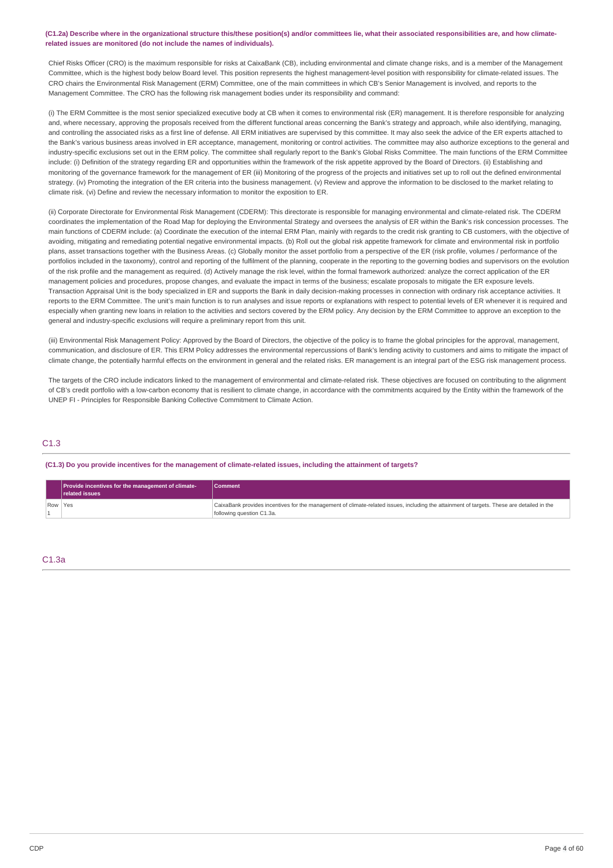### (C1.2a) Describe where in the organizational structure this/these position(s) and/or committees lie, what their associated responsibilities are, and how climate**related issues are monitored (do not include the names of individuals).**

Chief Risks Officer (CRO) is the maximum responsible for risks at CaixaBank (CB), including environmental and climate change risks, and is a member of the Management Committee, which is the highest body below Board level. This position represents the highest management-level position with responsibility for climate-related issues. The CRO chairs the Environmental Risk Management (ERM) Committee, one of the main committees in which CB's Senior Management is involved, and reports to the Management Committee. The CRO has the following risk management bodies under its responsibility and command:

(i) The ERM Committee is the most senior specialized executive body at CB when it comes to environmental risk (ER) management. It is therefore responsible for analyzing and, where necessary, approving the proposals received from the different functional areas concerning the Bank's strategy and approach, while also identifying, managing, and controlling the associated risks as a first line of defense. All ERM initiatives are supervised by this committee. It may also seek the advice of the ER experts attached to the Bank's various business areas involved in ER acceptance, management, monitoring or control activities. The committee may also authorize exceptions to the general and industry-specific exclusions set out in the ERM policy. The committee shall regularly report to the Bank's Global Risks Committee. The main functions of the ERM Committee include: (i) Definition of the strategy regarding ER and opportunities within the framework of the risk appetite approved by the Board of Directors. (ii) Establishing and monitoring of the governance framework for the management of ER (iii) Monitoring of the progress of the projects and initiatives set up to roll out the defined environmental strategy. (iv) Promoting the integration of the ER criteria into the business management. (v) Review and approve the information to be disclosed to the market relating to climate risk. (vi) Define and review the necessary information to monitor the exposition to ER.

(ii) Corporate Directorate for Environmental Risk Management (CDERM): This directorate is responsible for managing environmental and climate-related risk. The CDERM coordinates the implementation of the Road Map for deploying the Environmental Strategy and oversees the analysis of ER within the Bank's risk concession processes. The main functions of CDERM include: (a) Coordinate the execution of the internal ERM Plan, mainly with regards to the credit risk granting to CB customers, with the objective of avoiding, mitigating and remediating potential negative environmental impacts. (b) Roll out the global risk appetite framework for climate and environmental risk in portfolio plans, asset transactions together with the Business Areas. (c) Globally monitor the asset portfolio from a perspective of the ER (risk profile, volumes / performance of the portfolios included in the taxonomy), control and reporting of the fulfilment of the planning, cooperate in the reporting to the governing bodies and supervisors on the evolution of the risk profile and the management as required. (d) Actively manage the risk level, within the formal framework authorized: analyze the correct application of the ER management policies and procedures, propose changes, and evaluate the impact in terms of the business; escalate proposals to mitigate the ER exposure levels. Transaction Appraisal Unit is the body specialized in ER and supports the Bank in daily decision-making processes in connection with ordinary risk acceptance activities. It reports to the ERM Committee. The unit's main function is to run analyses and issue reports or explanations with respect to potential levels of ER whenever it is required and especially when granting new loans in relation to the activities and sectors covered by the ERM policy. Any decision by the ERM Committee to approve an exception to the general and industry-specific exclusions will require a preliminary report from this unit.

(iii) Environmental Risk Management Policy: Approved by the Board of Directors, the objective of the policy is to frame the global principles for the approval, management, communication, and disclosure of ER. This ERM Policy addresses the environmental repercussions of Bank's lending activity to customers and aims to mitigate the impact of climate change, the potentially harmful effects on the environment in general and the related risks. ER management is an integral part of the ESG risk management process.

The targets of the CRO include indicators linked to the management of environmental and climate-related risk. These objectives are focused on contributing to the alignment of CB's credit portfolio with a low-carbon economy that is resilient to climate change, in accordance with the commitments acquired by the Entity within the framework of the UNEP FI - Principles for Responsible Banking Collective Commitment to Climate Action.

### C1.3

(C1.3) Do you provide incentives for the management of climate-related issues, including the attainment of targets?

| <b>Provide incentives for the management of climate-</b><br><b>related issues</b> | <b>Comment</b>                                                                                                                                                          |
|-----------------------------------------------------------------------------------|-------------------------------------------------------------------------------------------------------------------------------------------------------------------------|
| Row Yes                                                                           | CaixaBank provides incentives for the management of climate-related issues, including the attainment of targets. These are detailed in the<br>following question C1.3a. |

## C1.3a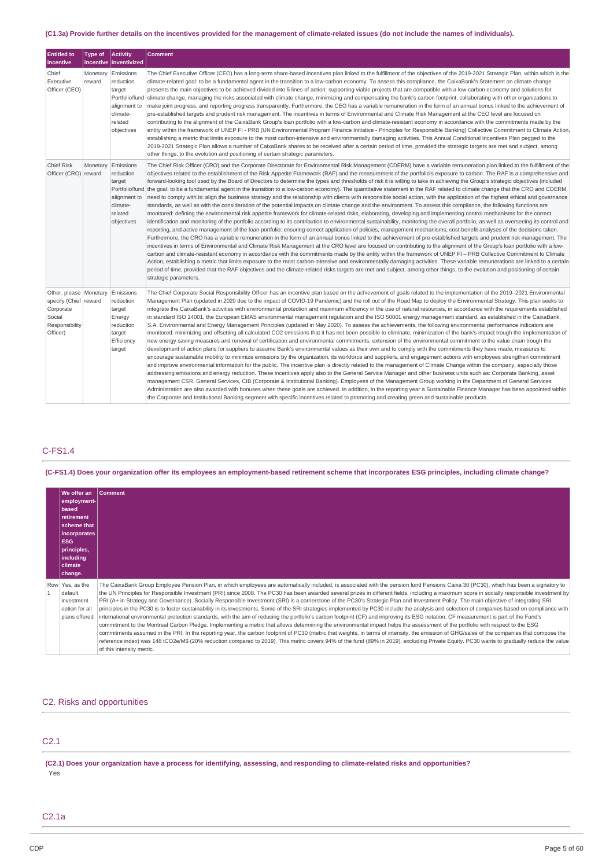## (C1.3a) Provide further details on the incentives provided for the management of climate-related issues (do not include the names of individuals).

| <b>Entitled to</b><br>incentive                                                                        | Type of            | <b>Activity</b><br>incentive   inventivized                                                             | <b>Comment</b>                                                                                                                                                                                                                                                                                                                                                                                                                                                                                                                                                                                                                                                                                                                                                                                                                                                                                                                                                                                                                                                                                                                                                                                                                                                                                                                                                                                                                                                                                                                                                                                                                                                                                                                                                                                                                                                                                                                                                                                                                                                                                                                                                                                                                                                                                                                                                                                                                                                                                                                          |
|--------------------------------------------------------------------------------------------------------|--------------------|---------------------------------------------------------------------------------------------------------|-----------------------------------------------------------------------------------------------------------------------------------------------------------------------------------------------------------------------------------------------------------------------------------------------------------------------------------------------------------------------------------------------------------------------------------------------------------------------------------------------------------------------------------------------------------------------------------------------------------------------------------------------------------------------------------------------------------------------------------------------------------------------------------------------------------------------------------------------------------------------------------------------------------------------------------------------------------------------------------------------------------------------------------------------------------------------------------------------------------------------------------------------------------------------------------------------------------------------------------------------------------------------------------------------------------------------------------------------------------------------------------------------------------------------------------------------------------------------------------------------------------------------------------------------------------------------------------------------------------------------------------------------------------------------------------------------------------------------------------------------------------------------------------------------------------------------------------------------------------------------------------------------------------------------------------------------------------------------------------------------------------------------------------------------------------------------------------------------------------------------------------------------------------------------------------------------------------------------------------------------------------------------------------------------------------------------------------------------------------------------------------------------------------------------------------------------------------------------------------------------------------------------------------------|
| Chief<br>Executive<br>Officer (CEO)                                                                    | Monetary<br>reward | Emissions<br>reduction<br>target<br>Portfolio/fund<br>alignment to<br>climate-<br>related<br>objectives | The Chief Executive Officer (CEO) has a long-term share-based incentives plan linked to the fulfillment of the objectives of the 2019-2021 Strategic Plan, within which is the<br>climate-related goal: to be a fundamental agent in the transition to a low-carbon economy. To assess this compliance, the CaixaBank's Statement on climate change<br>presents the main objectives to be achieved divided into 5 lines of action: supporting viable projects that are compatible with a low-carbon economy and solutions for<br>climate change, managing the risks associated with climate change, minimizing and compensating the bank's carbon footprint, collaborating with other organizations to<br>make joint progress, and reporting progress transparently. Furthermore, the CEO has a variable remuneration in the form of an annual bonus linked to the achievement of<br>pre-established targets and prudent risk management. The incentives in terms of Environmental and Climate Risk Management at the CEO level are focused on<br>contributing to the alignment of the CaixaBank Group's loan portfolio with a low-carbon and climate-resistant economy in accordance with the commitments made by the<br>entity within the framework of UNEP FI - PRB (UN Environmental Program Finance Initiative - Principles for Responsible Banking) Collective Commitment to Climate Action,<br>establishing a metric that limits exposure to the most carbon-intensive and environmentally damaging activities. This Annual Conditional Incentives Plan pegged to the<br>2019-2021 Strategic Plan allows a number of CaixaBank shares to be received after a certain period of time, provided the strategic targets are met and subject, among<br>other things, to the evolution and positioning of certain strategic parameters.                                                                                                                                                                                                                                                                                                                                                                                                                                                                                                                                                                                                                                                                                                |
| Chief Risk<br>Officer (CRO) reward                                                                     | Monetary           | Emissions<br>reduction<br>target<br>Portfolio/fund<br>alignment to<br>climate-<br>related<br>objectives | The Chief Risk Officer (CRO) and the Corporate Directorate for Environmental Risk Management (CDERM) have a variable remuneration plan linked to the fulfillment of the<br>objectives related to the establishment of the Risk Appetite Framework (RAF) and the measurement of the portfolio's exposure to carbon. The RAF is a comprehensive and<br>forward-looking tool used by the Board of Directors to determine the types and thresholds of risk it is willing to take in achieving the Group's strategic objectives (included<br>the goal: to be a fundamental agent in the transition to a low-carbon economy). The quantitative statement in the RAF related to climate change that the CRO and CDERM<br>need to comply with is: align the business strategy and the relationship with clients with responsible social action, with the application of the highest ethical and governance<br>standards, as well as with the consideration of the potential impacts on climate change and the environment. To assess this compliance, the following functions are<br>monitored: defining the environmental risk appetite framework for climate-related risks, elaborating, developing and implementing control mechanisms for the correct<br>identification and monitoring of the portfolio according to its contribution to environmental sustainability, monitoring the overall portfolio, as well as overseeing its control and<br>reporting, and active management of the loan portfolio: ensuring correct application of policies, management mechanisms, cost-benefit analyses of the decisions taken.<br>Furthermore, the CRO has a variable remuneration in the form of an annual bonus linked to the achievement of pre-established targets and prudent risk management. The<br>incentives in terms of Environmental and Climate Risk Management at the CRO level are focused on contributing to the alignment of the Group's loan portfolio with a low-<br>carbon and climate-resistant economy in accordance with the commitments made by the entity within the framework of UNEP FI - PRB Collective Commitment to Climate<br>Action, establishing a metric that limits exposure to the most carbon-intensive and environmentally damaging activities. These variable remunerations are linked to a certain<br>period of time, provided that the RAF objectives and the climate-related risks targets are met and subject, among other things, to the evolution and positioning of certain<br>strategic parameters. |
| Other, please   Monetary<br>specify (Chief reward<br>Corporate<br>Social<br>Responsibility<br>Officer) |                    | Emissions<br>reduction<br>target<br>Energy<br>reduction<br>target<br>Efficiency<br>target               | The Chief Corporate Social Responsibility Officer has an incentive plan based on the achievement of goals related to the implementation of the 2019–2021 Environmental<br>Management Plan (updated in 2020 due to the impact of COVID-19 Pandemic) and the roll out of the Road Map to deploy the Environmental Strategy. This plan seeks to<br>integrate the CaixaBank's activities with environmental protection and maximum efficiency in the use of natural resources, in accordance with the requirements established<br>in standard ISO 14001, the European EMAS environmental management requlation and the ISO 50001 energy management standard, as established in the CaixaBank,<br>S.A. Environmental and Energy Management Principles (updated in May 2020). To assess the achievements, the following environmental performance indicators are<br>monitored: minimizing and offsetting all calculated CO2 emissions that it has not been possible to eliminate, minimization of the bank's impact trough the implementation of<br>new energy saving measures and renewal of certification and environmental commitments, extension of the environmental commitment to the value chain trough the<br>development of action plans for suppliers to assume Bank's environmental values as their own and to comply with the commitments they have made, measures to<br>encourage sustainable mobility to minimize emissions by the organization, its workforce and suppliers, and engagement actions with employees strengthen commitment<br>and improve environmental information for the public. The incentive plan is directly related to the management of Climate Change within the company, especially those<br>addressing emissions and energy reduction. These incentives apply also to the General Service Manager and other business units such as: Corporate Banking, asset<br>management CSR, General Services, CIB (Corporate & Institutional Banking). Employees of the Management Group working in the Department of General Services<br>Administration are also awarded with bonuses when these goals are achieved. In addition, in the reporting year a Sustainable Finance Manager has been appointed within<br>the Corporate and Institutional Banking segment with specific incentives related to promoting and creating green and sustainable products.                                                                                                                                                    |

## C-FS1.4

(C-FS1.4) Does your organization offer its employees an employment-based retirement scheme that incorporates ESG principles, including climate change?

| <b>We offer an</b><br>employment-<br><b>based</b><br>retirement<br><b>scheme that</b><br>incorporates<br>ESG<br>principles,<br>including<br><b>climate</b><br> change. | <b>Comment</b>                                                                                                                                                                                                                                                                                                                                                                                                                                                                                                                                                                                                                                                                                                                                                                                                                                                                                                                                                                                                                                                                                                                                                                                                                                                                                                                                                                                                                                                                                                                                                                        |
|------------------------------------------------------------------------------------------------------------------------------------------------------------------------|---------------------------------------------------------------------------------------------------------------------------------------------------------------------------------------------------------------------------------------------------------------------------------------------------------------------------------------------------------------------------------------------------------------------------------------------------------------------------------------------------------------------------------------------------------------------------------------------------------------------------------------------------------------------------------------------------------------------------------------------------------------------------------------------------------------------------------------------------------------------------------------------------------------------------------------------------------------------------------------------------------------------------------------------------------------------------------------------------------------------------------------------------------------------------------------------------------------------------------------------------------------------------------------------------------------------------------------------------------------------------------------------------------------------------------------------------------------------------------------------------------------------------------------------------------------------------------------|
| Row Yes, as the<br>default<br>investment<br>option for all<br>plans offered                                                                                            | The CaixaBank Group Employee Pension Plan, in which employees are automatically included, is associated with the pension fund Pensions Caixa 30 (PC30), which has been a signatory to<br>the UN Principles for Responsible Investment (PRI) since 2008. The PC30 has been awarded several prizes in different fields, including a maximum score in socially responsible investment by<br>PRI (A+ in Strategy and Governance). Socially Responsible Investment (SRI) is a cornerstone of the PC30's Strategic Plan and Investment Policy. The main objective of integrating SRI<br>principles in the PC30 is to foster sustainability in its investments. Some of the SRI strategies implemented by PC30 include the analysis and selection of companies based on compliance with<br>international environmental protection standards, with the aim of reducing the portfolio's carbon footprint (CF) and improving its ESG notation. CF measurement is part of the Fund's<br>commitment to the Montreal Carbon Pledge. Implementing a metric that allows determining the environmental impact helps the assessment of the portfolio with respect to the ESG<br>commitments assumed in the PRI. In the reporting year, the carbon footprint of PC30 (metric that weights, in terms of intensity, the emission of GHG/sales of the companies that compose the<br>reference index) was 148 tCO2e/M\$ (20% reduction compared to 2019). This metric covers 94% of the fund (89% in 2019), excluding Private Equity. PC30 wants to gradually reduce the value<br>of this intensity metric. |

### C2. Risks and opportunities

## C2.1

(C2.1) Does your organization have a process for identifying, assessing, and responding to climate-related risks and opportunities? .<br>Yes

### C2.1a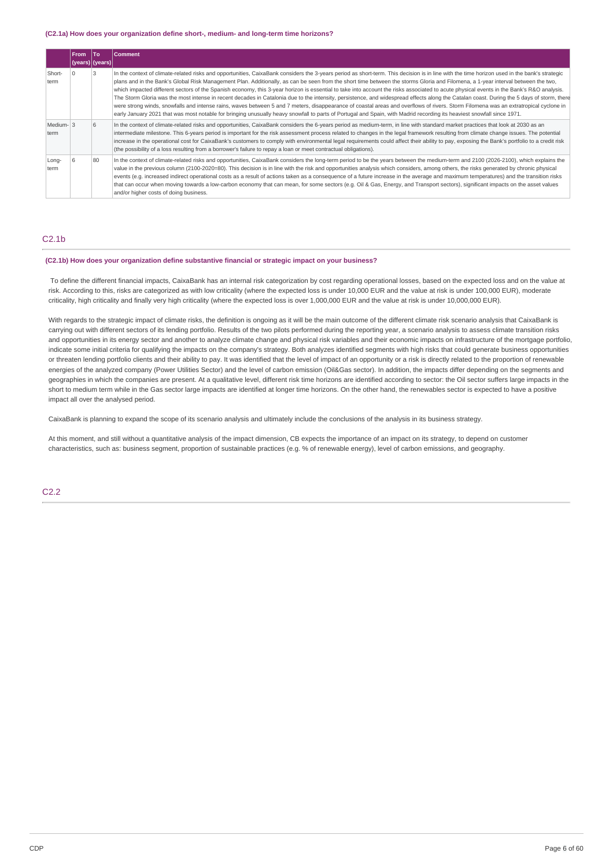#### **(C2.1a) How does your organization define short-, medium- and long-term time horizons?**

|                  | <b>From</b> | lTo<br>(years)   (years) | Comment                                                                                                                                                                                                                                                                                                                                                                                                                                                                                                                                                                                                                                                                                                                                                                                                                                                                                                                                                                                                                                                                                                                                     |
|------------------|-------------|--------------------------|---------------------------------------------------------------------------------------------------------------------------------------------------------------------------------------------------------------------------------------------------------------------------------------------------------------------------------------------------------------------------------------------------------------------------------------------------------------------------------------------------------------------------------------------------------------------------------------------------------------------------------------------------------------------------------------------------------------------------------------------------------------------------------------------------------------------------------------------------------------------------------------------------------------------------------------------------------------------------------------------------------------------------------------------------------------------------------------------------------------------------------------------|
| Short-<br>term   |             |                          | In the context of climate-related risks and opportunities, CaixaBank considers the 3-years period as short-term. This decision is in line with the time horizon used in the bank's strategic<br>plans and in the Bank's Global Risk Management Plan. Additionally, as can be seen from the short time between the storms Gloria and Filomena, a 1-year interval between the two,<br>which impacted different sectors of the Spanish economy, this 3-year horizon is essential to take into account the risks associated to acute physical events in the Bank's R&O analysis.<br>The Storm Gloria was the most intense in recent decades in Catalonia due to the intensity, persistence, and widespread effects along the Catalan coast. During the 5 days of storm, there<br>were strong winds, snowfalls and intense rains, waves between 5 and 7 meters, disappearance of coastal areas and overflows of rivers. Storm Filomena was an extratropical cyclone in<br>early January 2021 that was most notable for bringing unusually heavy snowfall to parts of Portugal and Spain, with Madrid recording its heaviest snowfall since 1971. |
| Medium-3<br>term |             | 6                        | In the context of climate-related risks and opportunities, CaixaBank considers the 6-years period as medium-term, in line with standard market practices that look at 2030 as an<br>intermediate milestone. This 6-years period is important for the risk assessment process related to changes in the legal framework resulting from climate change issues. The potential<br>increase in the operational cost for CaixaBank's customers to comply with environmental legal requirements could affect their ability to pay, exposing the Bank's portfolio to a credit risk<br>(the possibility of a loss resulting from a borrower's failure to repay a loan or meet contractual obligations).                                                                                                                                                                                                                                                                                                                                                                                                                                              |
| Long-<br>term    | 6           | 80                       | In the context of climate-related risks and opportunities, CaixaBank considers the long-term period to be the years between the medium-term and 2100 (2026-2100), which explains the<br>value in the previous column (2100-2020=80). This decision is in line with the risk and opportunities analysis which considers, among others, the risks generated by chronic physical<br>events (e.g. increased indirect operational costs as a result of actions taken as a consequence of a future increase in the average and maximum temperatures) and the transition risks<br>that can occur when moving towards a low-carbon economy that can mean, for some sectors (e.g. Oil & Gas, Energy, and Transport sectors), significant impacts on the asset values<br>and/or higher costs of doing business.                                                                                                                                                                                                                                                                                                                                       |

### $C2.1<sub>b</sub>$

#### **(C2.1b) How does your organization define substantive financial or strategic impact on your business?**

To define the different financial impacts, CaixaBank has an internal risk categorization by cost regarding operational losses, based on the expected loss and on the value at risk. According to this, risks are categorized as with low criticality (where the expected loss is under 10,000 EUR and the value at risk is under 100,000 EUR), moderate criticality, high criticality and finally very high criticality (where the expected loss is over 1,000,000 EUR and the value at risk is under 10,000,000 EUR).

With regards to the strategic impact of climate risks, the definition is ongoing as it will be the main outcome of the different climate risk scenario analysis that CaixaBank is carrying out with different sectors of its lending portfolio. Results of the two pilots performed during the reporting year, a scenario analysis to assess climate transition risks and opportunities in its energy sector and another to analyze climate change and physical risk variables and their economic impacts on infrastructure of the mortgage portfolio, indicate some initial criteria for qualifying the impacts on the company's strategy. Both analyzes identified segments with high risks that could generate business opportunities or threaten lending portfolio clients and their ability to pay. It was identified that the level of impact of an opportunity or a risk is directly related to the proportion of renewable energies of the analyzed company (Power Utilities Sector) and the level of carbon emission (Oil&Gas sector). In addition, the impacts differ depending on the segments and geographies in which the companies are present. At a qualitative level, different risk time horizons are identified according to sector: the Oil sector suffers large impacts in the short to medium term while in the Gas sector large impacts are identified at longer time horizons. On the other hand, the renewables sector is expected to have a positive impact all over the analysed period.

CaixaBank is planning to expand the scope of its scenario analysis and ultimately include the conclusions of the analysis in its business strategy.

At this moment, and still without a quantitative analysis of the impact dimension, CB expects the importance of an impact on its strategy, to depend on customer characteristics, such as: business segment, proportion of sustainable practices (e.g. % of renewable energy), level of carbon emissions, and geography.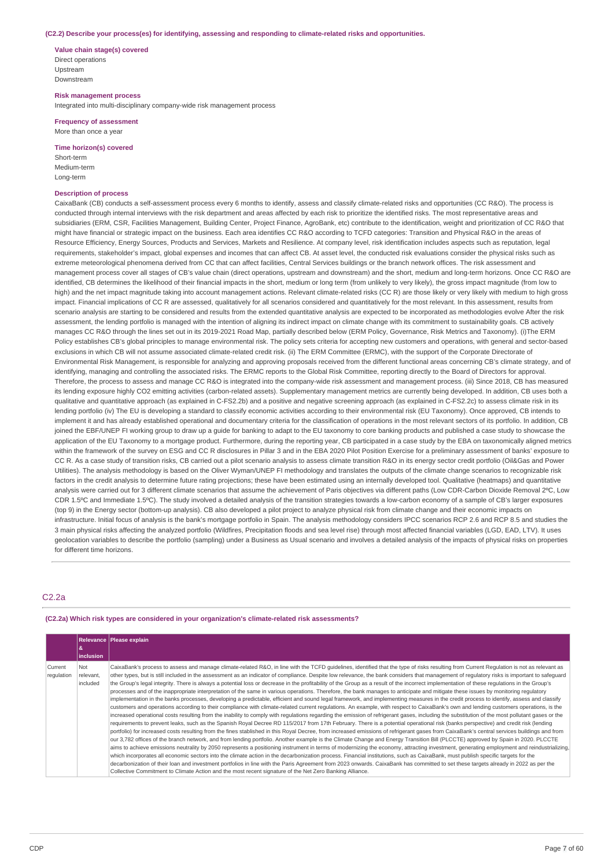#### **(C2.2) Describe your process(es) for identifying, assessing and responding to climate-related risks and opportunities.**

**Value chain stage(s) covered** Direct operations Upstream Downstream

**Risk management process** Integrated into multi-disciplinary company-wide risk management process

#### **Frequency of assessment** More than once a year

**Time horizon(s) covered**

Short-term Medium-term Long-term

### **Description of process**

CaixaBank (CB) conducts a self-assessment process every 6 months to identify, assess and classify climate-related risks and opportunities (CC R&O). The process is conducted through internal interviews with the risk department and areas affected by each risk to prioritize the identified risks. The most representative areas and subsidiaries (ERM, CSR, Facilities Management, Building Center, Project Finance, AgroBank, etc) contribute to the identification, weight and prioritization of CC R&O that might have financial or strategic impact on the business. Each area identifies CC R&O according to TCFD categories: Transition and Physical R&O in the areas of Resource Efficiency, Energy Sources, Products and Services, Markets and Resilience, At company level, risk identification includes aspects such as reputation, legal requirements, stakeholder's impact, global expenses and incomes that can affect CB. At asset level, the conducted risk evaluations consider the physical risks such as extreme meteorological phenomena derived from CC that can affect facilities, Central Services buildings or the branch network offices. The risk assessment and management process cover all stages of CB's value chain (direct operations, upstream and downstream) and the short, medium and long-term horizons. Once CC R&O are identified, CB determines the likelihood of their financial impacts in the short, medium or long term (from unlikely to very likely), the gross impact magnitude (from low to high) and the net impact magnitude taking into account management actions. Relevant climate-related risks (CC R) are those likely or very likely with medium to high gross impact. Financial implications of CC R are assessed, qualitatively for all scenarios considered and quantitatively for the most relevant. In this assessment, results from scenario analysis are starting to be considered and results from the extended quantitative analysis are expected to be incorporated as methodologies evolve After the risk assessment, the lending portfolio is managed with the intention of aligning its indirect impact on climate change with its commitment to sustainability goals. CB actively manages CC R&O through the lines set out in its 2019-2021 Road Map, partially described below (ERM Policy, Governance, Risk Metrics and Taxonomy). (i)The ERM Policy establishes CB's global principles to manage environmental risk. The policy sets criteria for accepting new customers and operations, with general and sector-based exclusions in which CB will not assume associated climate-related credit risk. (ii) The ERM Committee (ERMC), with the support of the Corporate Directorate of Environmental Risk Management, is responsible for analyzing and approving proposals received from the different functional areas concerning CB's climate strategy, and of identifying, managing and controlling the associated risks. The ERMC reports to the Global Risk Committee, reporting directly to the Board of Directors for approval. Therefore, the process to assess and manage CC R&O is integrated into the company-wide risk assessment and management process. (iii) Since 2018, CB has measured its lending exposure highly CO2 emitting activities (carbon-related assets). Supplementary management metrics are currently being developed. In addition, CB uses both a qualitative and quantitative approach (as explained in C-FS2.2b) and a positive and negative screening approach (as explained in C-FS2.2c) to assess climate risk in its lending portfolio (iv) The EU is developing a standard to classify economic activities according to their environmental risk (EU Taxonomy). Once approved, CB intends to implement it and has already established operational and documentary criteria for the classification of operations in the most relevant sectors of its portfolio. In addition, CB joined the EBF/UNEP FI working group to draw up a guide for banking to adapt to the EU taxonomy to core banking products and published a case study to showcase the application of the EU Taxonomy to a mortgage product. Furthermore, during the reporting year, CB participated in a case study by the EBA on taxonomically aligned metrics within the framework of the survey on ESG and CC R disclosures in Pillar 3 and in the EBA 2020 Pilot Position Exercise for a preliminary assessment of banks' exposure to CC R. As a case study of transition risks, CB carried out a pilot scenario analysis to assess climate transition R&O in its energy sector credit portfolio (Oil&Gas and Power Utilities). The analysis methodology is based on the Oliver Wyman/UNEP FI methodology and translates the outputs of the climate change scenarios to recognizable risk factors in the credit analysis to determine future rating projections; these have been estimated using an internally developed tool. Qualitative (heatmaps) and quantitative analysis were carried out for 3 different climate scenarios that assume the achievement of Paris objectives via different paths (Low CDR-Carbon Dioxide Removal 2°C, Low CDR 1.5ºC and Immediate 1.5ºC). The study involved a detailed analysis of the transition strategies towards a low-carbon economy of a sample of CB's larger exposures (top 9) in the Energy sector (bottom-up analysis). CB also developed a pilot project to analyze physical risk from climate change and their economic impacts on infrastructure. Initial focus of analysis is the bank's mortgage portfolio in Spain. The analysis methodology considers IPCC scenarios RCP 2.6 and RCP 8.5 and studies the 3 main physical risks affecting the analyzed portfolio (Wildfires, Precipitation floods and sea level rise) through most affected financial variables (LGD, EAD, LTV). It uses geolocation variables to describe the portfolio (sampling) under a Business as Usual scenario and involves a detailed analysis of the impacts of physical risks on properties for different time horizons.

### C2.2a

**(C2.2a) Which risk types are considered in your organization's climate-related risk assessments?**

|                       | <i>inclusion</i>             | Relevance   Please explain                                                                                                                                                                                                                                                                                                                                                                                                                                                                                                                                                                                                                                                                                                                                                                                                                                                                                                                                                                                                                                                                                                                                                                                                                                                                                                                                                                                                                                                                                                                                                                                                                                                                                                                                                                                                                                                                                                                                                                                                                                                                                                                                                                                                                                                                                                                                                                                                                                                                                                                                                                                                    |
|-----------------------|------------------------------|-------------------------------------------------------------------------------------------------------------------------------------------------------------------------------------------------------------------------------------------------------------------------------------------------------------------------------------------------------------------------------------------------------------------------------------------------------------------------------------------------------------------------------------------------------------------------------------------------------------------------------------------------------------------------------------------------------------------------------------------------------------------------------------------------------------------------------------------------------------------------------------------------------------------------------------------------------------------------------------------------------------------------------------------------------------------------------------------------------------------------------------------------------------------------------------------------------------------------------------------------------------------------------------------------------------------------------------------------------------------------------------------------------------------------------------------------------------------------------------------------------------------------------------------------------------------------------------------------------------------------------------------------------------------------------------------------------------------------------------------------------------------------------------------------------------------------------------------------------------------------------------------------------------------------------------------------------------------------------------------------------------------------------------------------------------------------------------------------------------------------------------------------------------------------------------------------------------------------------------------------------------------------------------------------------------------------------------------------------------------------------------------------------------------------------------------------------------------------------------------------------------------------------------------------------------------------------------------------------------------------------|
| Current<br>regulation | Not<br>relevant,<br>included | CaixaBank's process to assess and manage climate-related R&O, in line with the TCFD quidelines, identified that the type of risks resulting from Current Regulation is not as relevant as<br>other types, but is still included in the assessment as an indicator of compliance. Despite low relevance, the bank considers that management of regulatory risks is important to safeguard<br>the Group's legal integrity. There is always a potential loss or decrease in the profitability of the Group as a result of the incorrect implementation of these regulations in the Group's<br>processes and of the inappropriate interpretation of the same in various operations. Therefore, the bank manages to anticipate and mitigate these issues by monitoring regulatory<br>implementation in the banks processes, developing a predictable, efficient and sound legal framework, and implementing measures in the credit process to identify, assess and classify<br>customers and operations according to their compliance with climate-related current regulations. An example, with respect to CaixaBank's own and lending customers operations, is the<br>increased operational costs resulting from the inability to comply with regulations regarding the emission of refrigerant gases, including the substitution of the most pollutant gases or the<br>requirements to prevent leaks, such as the Spanish Royal Decree RD 115/2017 from 17th February. There is a potential operational risk (banks perspective) and credit risk (lending<br>portfolio) for increased costs resulting from the fines stablished in this Royal Decree, from increased emissions of refrigerant gases from CaixaBank's central services buildings and from<br>our 3,782 offices of the branch network, and from lending portfolio. Another example is the Climate Change and Energy Transition Bill (PLCCTE) approved by Spain in 2020. PLCCTE<br>aims to achieve emissions neutrality by 2050 represents a positioning instrument in terms of modernizing the economy, attracting investment, generating employment and reindustrializing,<br>which incorporates all economic sectors into the climate action in the decarbonization process. Financial institutions, such as CaixaBank, must publish specific targets for the<br>decarbonization of their loan and investment portfolios in line with the Paris Agreement from 2023 onwards. CaixaBank has committed to set these targets already in 2022 as per the<br>Collective Commitment to Climate Action and the most recent signature of the Net Zero Banking Alliance. |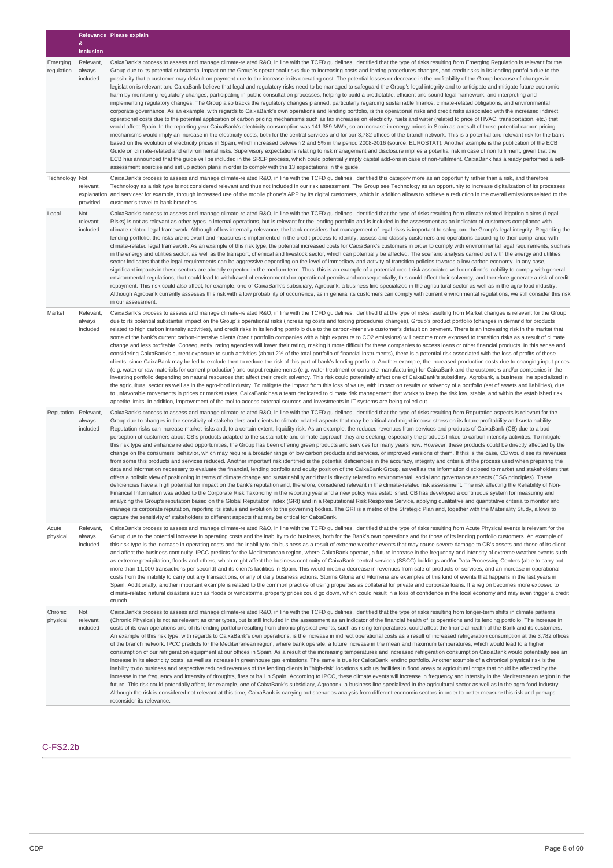|                        |                                             | Relevance Please explain                                                                                                                                                                                                                                                                                                                                                                                                                                                                                                                                                                                                                                                                                                                                                                                                                                                                                                                                                                                                                                                                                                                                                                                                                                                                                                                                                                                                                                                                                                                                                                                                                                                                                                                                                                                                                                                                                                                                                                                                                                                                                                                                                                                                                                                                                                                                                                                                                                                                                                                                                                                                                |
|------------------------|---------------------------------------------|-----------------------------------------------------------------------------------------------------------------------------------------------------------------------------------------------------------------------------------------------------------------------------------------------------------------------------------------------------------------------------------------------------------------------------------------------------------------------------------------------------------------------------------------------------------------------------------------------------------------------------------------------------------------------------------------------------------------------------------------------------------------------------------------------------------------------------------------------------------------------------------------------------------------------------------------------------------------------------------------------------------------------------------------------------------------------------------------------------------------------------------------------------------------------------------------------------------------------------------------------------------------------------------------------------------------------------------------------------------------------------------------------------------------------------------------------------------------------------------------------------------------------------------------------------------------------------------------------------------------------------------------------------------------------------------------------------------------------------------------------------------------------------------------------------------------------------------------------------------------------------------------------------------------------------------------------------------------------------------------------------------------------------------------------------------------------------------------------------------------------------------------------------------------------------------------------------------------------------------------------------------------------------------------------------------------------------------------------------------------------------------------------------------------------------------------------------------------------------------------------------------------------------------------------------------------------------------------------------------------------------------------|
|                        | <b>&amp;</b><br>inclusion                   |                                                                                                                                                                                                                                                                                                                                                                                                                                                                                                                                                                                                                                                                                                                                                                                                                                                                                                                                                                                                                                                                                                                                                                                                                                                                                                                                                                                                                                                                                                                                                                                                                                                                                                                                                                                                                                                                                                                                                                                                                                                                                                                                                                                                                                                                                                                                                                                                                                                                                                                                                                                                                                         |
| Emerging<br>regulation | Relevant,<br>always<br>included             | CaixaBank's process to assess and manage climate-related R&O, in line with the TCFD guidelines, identified that the type of risks resulting from Emerging Regulation is relevant for the<br>Group due to its potential substantial impact on the Group's operational risks due to increasing costs and forcing procedures changes, and credit risks in its lending portfolio due to the<br>possibility that a customer may default on payment due to the increase in its operating cost. The potential losses or decrease in the profitability of the Group because of changes in<br>legislation is relevant and CaixaBank believe that legal and regulatory risks need to be managed to safeguard the Group's legal integrity and to anticipate and mitigate future economic<br>harm by monitoring regulatory changes, participating in public consultation processes, helping to build a predictable, efficient and sound legal framework, and interpreting and<br>implementing regulatory changes. The Group also tracks the regulatory changes planned, particularly regarding sustainable finance, climate-related obligations, and environmental<br>corporate governance. As an example, with regards to CaixaBank's own operations and lending portfolio, is the operational risks and credit risks associated with the increased indirect<br>operational costs due to the potential application of carbon pricing mechanisms such as tax increases on electricity, fuels and water (related to price of HVAC, transportation, etc.) that<br>would affect Spain. In the reporting year CaixaBank's electricity consumption was 141,359 MWh, so an increase in energy prices in Spain as a result of these potential carbon pricing<br>mechanisms would imply an increase in the electricity costs, both for the central services and for our 3,782 offices of the branch network. This is a potential and relevant risk for the bank<br>based on the evolution of electricity prices in Spain, which increased between 2 and 5% in the period 2008-2016 (source: EUROSTAT). Another example is the publication of the ECB<br>Guide on climate-related and environmental risks. Supervisory expectations relating to risk management and disclosure implies a potential risk in case of non fulfilment, given that the<br>ECB has announced that the quide will be included in the SREP process, which could potentially imply capital add-ons in case of non-fulfilment. CaixaBank has already performed a self-<br>assessment exercise and set up action plans in order to comply with the 13 expectations in the quide.        |
| Technology             | Not<br>relevant,<br>explanation<br>provided | CaixaBank's process to assess and manage climate-related R&O, in line with the TCFD guidelines, identified this category more as an opportunity rather than a risk, and therefore<br>Technology as a risk type is not considered relevant and thus not included in our risk assessment. The Group see Technology as an opportunity to increase digitalization of its processes<br>and services: for example, through increased use of the mobile phone's APP by its digital customers, which in addition allows to achieve a reduction in the overall emissions related to the<br>customer's travel to bank branches.                                                                                                                                                                                                                                                                                                                                                                                                                                                                                                                                                                                                                                                                                                                                                                                                                                                                                                                                                                                                                                                                                                                                                                                                                                                                                                                                                                                                                                                                                                                                                                                                                                                                                                                                                                                                                                                                                                                                                                                                                   |
| Legal                  | Not<br>relevant,<br>included                | CaixaBank's process to assess and manage climate-related R&O, in line with the TCFD guidelines, identified that the type of risks resulting from climate-related litigation claims (Legal<br>Risks) is not as relevant as other types in internal operations, but is relevant for the lending portfolio and is included in the assessment as an indicator of customers compliance with<br>climate-related legal framework. Although of low internally relevance, the bank considers that management of legal risks is important to safequard the Group's legal integrity. Regarding the<br>lending portfolio, the risks are relevant and measures is implemented in the credit process to identify, assess and classify customers and operations according to their compliance with<br>climate-related legal framework. As an example of this risk type, the potential increased costs for CaixaBank's customers in order to comply with environmental legal requirements, such as<br>in the energy and utilities sector, as well as the transport, chemical and livestock sector, which can potentially be affected. The scenario analysis carried out with the energy and utilities<br>sector indicates that the legal requirements can be aggressive depending on the level of immediacy and activity of transition policies towards a low carbon economy. In any case,<br>significant impacts in these sectors are already expected in the medium term. Thus, this is an example of a potential credit risk associated with our client's inability to comply with general<br>environmental regulations, that could lead to withdrawal of environmental or operational permits and consequentially, this could affect their solvency, and therefore generate a risk of credit<br>repayment. This risk could also affect, for example, one of CaixaBank's subsidiary, Agrobank, a business line specialized in the agricultural sector as well as in the agro-food industry.<br>Although Agrobank currently assesses this risk with a low probability of occurrence, as in general its customers can comply with current environmental regulations, we still consider this risk<br>in our assessment.                                                                                                                                                                                                                                                                                                                                                                                                                                 |
| Market                 | Relevant,<br>always<br>included             | CaixaBank's process to assess and manage climate-related R&O, in line with the TCFD quidelines, identified that the type of risks resulting from Market changes is relevant for the Group<br>due to its potential substantial impact on the Group's operational risks (increasing costs and forcing procedures changes), Group's product portfolio (changes in demand for products<br>related to high carbon intensity activities), and credit risks in its lending portfolio due to the carbon-intensive customer's default on payment. There is an increasing risk in the market that<br>some of the bank's current carbon-intensive clients (credit portfolio companies with a high exposure to CO2 emissions) will become more exposed to transition risks as a result of climate<br>change and less profitable. Consequently, rating agencies will lower their rating, making it more difficult for these companies to access loans or other financial products. In this sense and<br>considering CaixaBank's current exposure to such activities (about 2% of the total portfolio of financial instruments), there is a potential risk associated with the loss of profits of these<br>clients, since CaixaBank may be led to exclude then to reduce the risk of this part of bank's lending portfolio. Another example, the increased production costs due to changing input prices<br>(e.g. water or raw materials for cement production) and output requirements (e.g. water treatment or concrete manufacturing) for CaixaBank and the customers and/or companies in the<br>investing portfolio depending on natural resources that affect their credit solvency. This risk could potentially affect one of CaixaBank's subsidiary, Agrobank, a business line specialized in<br>the agricultural sector as well as in the agro-food industry. To mitigate the impact from this loss of value, with impact on results or solvency of a portfolio (set of assets and liabilities), due<br>to unfavorable movements in prices or market rates, CaixaBank has a team dedicated to climate risk management that works to keep the risk low, stable, and within the established risk<br>appetite limits. In addition, improvement of the tool to access external sources and investments in IT systems are being rolled out.                                                                                                                                                                                                                                                                                                        |
| Reputation             | Relevant,<br>always<br>included             | CaixaBank's process to assess and manage climate-related R&O, in line with the TCFD guidelines, identified that the type of risks resulting from Reputation aspects is relevant for the<br>Group due to changes in the sensitivity of stakeholders and clients to climate-related aspects that may be critical and might impose stress on its future profitability and sustainability.<br>Reputation risks can increase market risks and, to a certain extent, liquidity risk. As an example, the reduced revenues from services and products of CaixaBank (CB) due to a bad<br>perception of customers about CB's products adapted to the sustainable and climate approach they are seeking, especially the products linked to carbon intensity activities. To mitigate<br>this risk type and enhance related opportunities, the Group has been offering green products and services for many years now. However, these products could be directly affected by the<br>change on the consumers' behavior, which may require a broader range of low carbon products and services, or improved versions of them. If this is the case, CB would see its revenues<br>from some this products and services reduced. Another important risk identified is the potential deficiencies in the accuracy, integrity and criteria of the process used when preparing the<br>data and information necessary to evaluate the financial, lending portfolio and equity position of the CaixaBank Group, as well as the information disclosed to market and stakeholders that<br>offers a holistic view of positioning in terms of climate change and sustainability and that is directly related to environmental, social and governance aspects (ESG principles). These<br>deficiencies have a high potential for impact on the bank's reputation and, therefore, considered relevant in the climate-related risk assessment. The risk affecting the Reliability of Non-<br>Financial Information was added to the Corporate Risk Taxonomy in the reporting year and a new policy was established. CB has developed a continuous system for measuring and<br>analyzing the Group's reputation based on the Global Reputation Index (GRI) and in a Reputational Risk Response Service, applying qualitative and quantitative criteria to monitor and<br>manage its corporate reputation, reporting its status and evolution to the governing bodies. The GRI is a metric of the Strategic Plan and, together with the Materiality Study, allows to<br>capture the sensitivity of stakeholders to different aspects that may be critical for CaixaBank. |
| Acute<br>physical      | Relevant,<br>always<br>included             | CaixaBank's process to assess and manage climate-related R&O, in line with the TCFD guidelines, identified that the type of risks resulting from Acute Physical events is relevant for the<br>Group due to the potential increase in operating costs and the inability to do business, both for the Bank's own operations and for those of its lending portfolio customers. An example of<br>this risk type is the increase in operating costs and the inability to do business as a result of extreme weather events that may cause severe damage to CB's assets and those of its client<br>and affect the business continuity. IPCC predicts for the Mediterranean region, where CaixaBank operate, a future increase in the frequency and intensity of extreme weather events such<br>as extreme precipitation, floods and others, which might affect the business continuity of CaixaBank central services (SSCC) buildings and/or Data Processing Centers (able to carry out<br>more than 11,000 transactions per second) and its client's facilities in Spain. This would mean a decrease in revenues from sale of products or services, and an increase in operational<br>costs from the inability to carry out any transactions, or any of daily business actions. Storms Gloria and Filomena are examples of this kind of events that happens in the last years in<br>Spain. Additionally, another important example is related to the common practice of using properties as collateral for private and corporate loans. If a region becomes more exposed to<br>climate-related natural disasters such as floods or windstorms, property prices could go down, which could result in a loss of confidence in the local economy and may even trigger a credit<br>crunch.                                                                                                                                                                                                                                                                                                                                                                                                                                                                                                                                                                                                                                                                                                                                                                                                                                                       |
| Chronic<br>physical    | Not<br>relevant,<br>included                | CaixaBank's process to assess and manage climate-related R&O, in line with the TCFD quidelines, identified that the type of risks resulting from longer-term shifts in climate patterns<br>(Chronic Physical) is not as relevant as other types, but is still included in the assessment as an indicator of the financial health of its operations and its lending portfolio. The increase in<br>costs of its own operations and of its lending portfolio resulting from chronic physical events, such as rising temperatures, could affect the financial health of the Bank and its customers.<br>An example of this risk type, with regards to CaixaBank's own operations, is the increase in indirect operational costs as a result of increased refrigeration consumption at the 3,782 offices<br>of the branch network. IPCC predicts for the Mediterranean region, where bank operate, a future increase in the mean and maximum temperatures, which would lead to a higher<br>consumption of our refrigeration equipment at our offices in Spain. As a result of the increasing temperatures and increased refrigeration consumption CaixaBank would potentially see an<br>increase in its electricity costs, as well as increase in greenhouse gas emissions. The same is true for CaixaBank lending portfolio. Another example of a chronical physical risk is the<br>inability to do business and respective reduced revenues of the lending clients in "high-risk" locations such us facilities in flood areas or agricultural crops that could be affected by the<br>increase in the frequency and intensity of droughts, fires or hail in Spain. According to IPCC, these climate events will increase in frequency and intensity in the Mediterranean region in the<br>future. This risk could potentially affect, for example, one of CaixaBank's subsidiary, Agrobank, a business line specialized in the agricultural sector as well as in the agro-food industry.<br>Although the risk is considered not relevant at this time, CaixaBank is carrying out scenarios analysis from different economic sectors in order to better measure this risk and perhaps<br>reconsider its relevance.                                                                                                                                                                                                                                                                                                                                                                                                                            |

## C-FS2.2b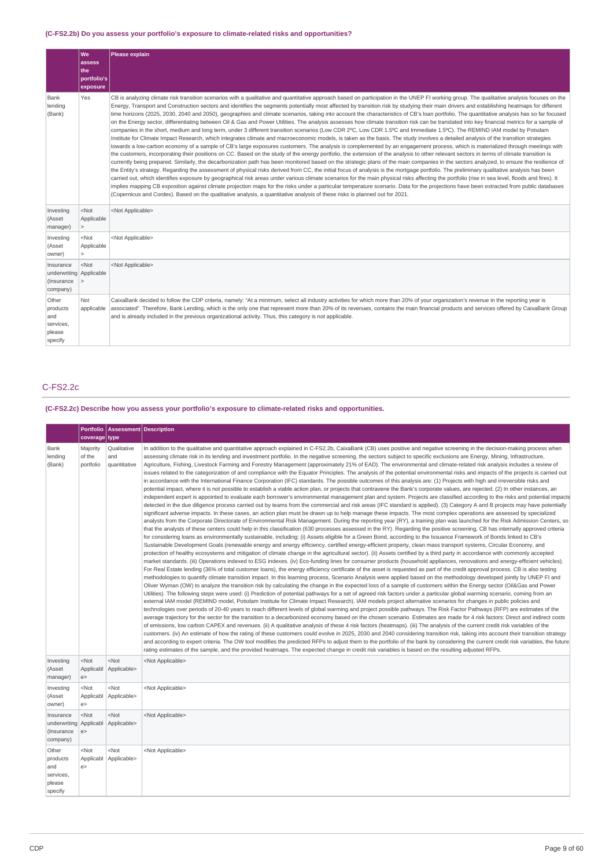## **(C-FS2.2b) Do you assess your portfolio's exposure to climate-related risks and opportunities?**

|                                                                | We<br>assess<br>lthe:<br>portfolio's<br>exposure | Please explain                                                                                                                                                                                                                                                                                                                                                                                                                                                                                                                                                                                                                                                                                                                                                                                                                                                                                                                                                                                                                                                                                                                                                                                                                                                                                                                                                                                                                                                                                                                                                                                                                                                                                                                                                                                                                                                                                                                                                                                                                                                                                                                                                                                                                                                                                                                                                                                                                                                |
|----------------------------------------------------------------|--------------------------------------------------|---------------------------------------------------------------------------------------------------------------------------------------------------------------------------------------------------------------------------------------------------------------------------------------------------------------------------------------------------------------------------------------------------------------------------------------------------------------------------------------------------------------------------------------------------------------------------------------------------------------------------------------------------------------------------------------------------------------------------------------------------------------------------------------------------------------------------------------------------------------------------------------------------------------------------------------------------------------------------------------------------------------------------------------------------------------------------------------------------------------------------------------------------------------------------------------------------------------------------------------------------------------------------------------------------------------------------------------------------------------------------------------------------------------------------------------------------------------------------------------------------------------------------------------------------------------------------------------------------------------------------------------------------------------------------------------------------------------------------------------------------------------------------------------------------------------------------------------------------------------------------------------------------------------------------------------------------------------------------------------------------------------------------------------------------------------------------------------------------------------------------------------------------------------------------------------------------------------------------------------------------------------------------------------------------------------------------------------------------------------------------------------------------------------------------------------------------------------|
| Bank<br>lending<br>(Bank)                                      | Yes                                              | CB is analyzing climate risk transition scenarios with a qualitative and quantitative approach based on participation in the UNEP FI working group. The qualitative analysis focuses on the<br>Energy, Transport and Construction sectors and identifies the segments potentially most affected by transition risk by studying their main drivers and establishing heatmaps for different<br>time horizons (2025, 2030, 2040 and 2050), geographies and climate scenarios, taking into account the characteristics of CB's loan portfolio. The quantitative analysis has so far focused<br>on the Energy sector, differentiating between Oil & Gas and Power Utilities. The analysis assesses how climate transition risk can be translated into key financial metrics for a sample of<br>companies in the short, medium and long term, under 3 different transition scenarios (Low CDR 2ºC, Low CDR 1.5°C and Immediate 1.5°C). The REMIND IAM model by Potsdam<br>Institute for Climate Impact Research, which integrates climate and macroeconomic models, is taken as the basis. The study involves a detailed analysis of the transition strategies<br>towards a low-carbon economy of a sample of CB's large exposures customers. The analysis is complemented by an engagement process, which is materialized through meetings with<br>the customers, incorporating their positions on CC. Based on the study of the energy portfolio, the extension of the analysis to other relevant sectors in terms of climate transition is<br>currently being prepared. Similarly, the decarbonization path has been monitored based on the strategic plans of the main companies in the sectors analyzed, to ensure the resilience of<br>the Entity's strategy. Regarding the assessment of physical risks derived from CC, the initial focus of analysis is the mortgage portfolio. The preliminary qualitative analysis has been<br>carried out, which identifies exposure by geographical risk areas under various climate scenarios for the main physical risks affecting the portfolio (rise in sea level, floods and fires). It<br>implies mapping CB exposition against climate projection maps for the risks under a particular temperature scenario. Data for the projections have been extracted from public databases<br>(Copernicus and Cordex). Based on the qualitative analysis, a quantitative analysis of these risks is planned out for 2021. |
| Investing<br>(Asset<br>manager)                                | $<$ Not<br>Applicable<br>$\geq$                  | <not applicable=""></not>                                                                                                                                                                                                                                                                                                                                                                                                                                                                                                                                                                                                                                                                                                                                                                                                                                                                                                                                                                                                                                                                                                                                                                                                                                                                                                                                                                                                                                                                                                                                                                                                                                                                                                                                                                                                                                                                                                                                                                                                                                                                                                                                                                                                                                                                                                                                                                                                                                     |
| Investing<br>(Asset<br>owner)                                  | $<$ Not<br>Applicable<br>$\geq$                  | <not applicable=""></not>                                                                                                                                                                                                                                                                                                                                                                                                                                                                                                                                                                                                                                                                                                                                                                                                                                                                                                                                                                                                                                                                                                                                                                                                                                                                                                                                                                                                                                                                                                                                                                                                                                                                                                                                                                                                                                                                                                                                                                                                                                                                                                                                                                                                                                                                                                                                                                                                                                     |
| Insurance<br>underwriting Applicable<br>(Insurance<br>company) | $<$ Not                                          | <not applicable=""></not>                                                                                                                                                                                                                                                                                                                                                                                                                                                                                                                                                                                                                                                                                                                                                                                                                                                                                                                                                                                                                                                                                                                                                                                                                                                                                                                                                                                                                                                                                                                                                                                                                                                                                                                                                                                                                                                                                                                                                                                                                                                                                                                                                                                                                                                                                                                                                                                                                                     |
| Other<br>products<br>and<br>services,<br>please<br>specify     | Not<br>applicable                                | CaixaBank decided to follow the CDP criteria, namely: "At a minimum, select all industry activities for which more than 20% of your organization's revenue in the reporting year is<br>associated". Therefore, Bank Lending, which is the only one that represent more than 20% of its revenues, contains the main financial products and services offered by CaixaBank Group<br>and is already included in the previous organizational activity. Thus, this category is not applicable.                                                                                                                                                                                                                                                                                                                                                                                                                                                                                                                                                                                                                                                                                                                                                                                                                                                                                                                                                                                                                                                                                                                                                                                                                                                                                                                                                                                                                                                                                                                                                                                                                                                                                                                                                                                                                                                                                                                                                                      |

## C-FS2.2c

## **(C-FS2.2c) Describe how you assess your portfolio's exposure to climate-related risks and opportunities.**

|                                                               | coverage type                         | Portfolio   Assessment   Description |                                                                                                                                                                                                                                                                                                                                                                                                                                                                                                                                                                                                                                                                                                                                                                                                                                                                                                                                                                                                                                                                                                                                                                                                                                                                                                                                                                                                                                                                                                                                                                                                                                                                                                                                                                                                                                                                                                                                                                                                                                                                                                                                                                                                                                                                                                                                                                                                                                                                                                                                                                                                                                                                                                                                                                                                                                                                                                                                                                                                                                                                                                                                                                                                                                                                                                                                                                                                                                                                                                                                                                                                                                                                                                                                                                                                                                                                                                                                                                                                                                                                                                                                                                                                                                                                                                                                                                                                                                                                                                                                                                                                                                                   |
|---------------------------------------------------------------|---------------------------------------|--------------------------------------|---------------------------------------------------------------------------------------------------------------------------------------------------------------------------------------------------------------------------------------------------------------------------------------------------------------------------------------------------------------------------------------------------------------------------------------------------------------------------------------------------------------------------------------------------------------------------------------------------------------------------------------------------------------------------------------------------------------------------------------------------------------------------------------------------------------------------------------------------------------------------------------------------------------------------------------------------------------------------------------------------------------------------------------------------------------------------------------------------------------------------------------------------------------------------------------------------------------------------------------------------------------------------------------------------------------------------------------------------------------------------------------------------------------------------------------------------------------------------------------------------------------------------------------------------------------------------------------------------------------------------------------------------------------------------------------------------------------------------------------------------------------------------------------------------------------------------------------------------------------------------------------------------------------------------------------------------------------------------------------------------------------------------------------------------------------------------------------------------------------------------------------------------------------------------------------------------------------------------------------------------------------------------------------------------------------------------------------------------------------------------------------------------------------------------------------------------------------------------------------------------------------------------------------------------------------------------------------------------------------------------------------------------------------------------------------------------------------------------------------------------------------------------------------------------------------------------------------------------------------------------------------------------------------------------------------------------------------------------------------------------------------------------------------------------------------------------------------------------------------------------------------------------------------------------------------------------------------------------------------------------------------------------------------------------------------------------------------------------------------------------------------------------------------------------------------------------------------------------------------------------------------------------------------------------------------------------------------------------------------------------------------------------------------------------------------------------------------------------------------------------------------------------------------------------------------------------------------------------------------------------------------------------------------------------------------------------------------------------------------------------------------------------------------------------------------------------------------------------------------------------------------------------------------------------------------------------------------------------------------------------------------------------------------------------------------------------------------------------------------------------------------------------------------------------------------------------------------------------------------------------------------------------------------------------------------------------------------------------------------------------------------------------|
| Bank<br>lending<br>(Bank)                                     | Majority<br>of the<br>portfolio       | Qualitative<br>and<br>quantitative   | In addition to the qualitative and quantitative approach explained in C-FS2.2b, CaixaBank (CB) uses positive and negative screening in the decision-making process when<br>assessing climate risk in its lending and investment portfolio. In the negative screening, the sectors subject to specific exclusions are Energy, Mining, Infrastructure,<br>Agriculture, Fishing, Livestock Farming and Forestry Management (approximately 21% of EAD). The environmental and climate-related risk analysis includes a review of<br>issues related to the categorization of and compliance with the Equator Principles. The analysis of the potential environmental risks and impacts of the projects is carried out<br>in accordance with the International Finance Corporation (IFC) standards. The possible outcomes of this analysis are: (1) Projects with high and irreversible risks and<br>potential impact, where it is not possible to establish a viable action plan, or projects that contravene the Bank's corporate values, are rejected. (2) In other instances, an<br>independent expert is appointed to evaluate each borrower's environmental management plan and system. Projects are classified according to the risks and potential impacts<br>detected in the due diligence process carried out by teams from the commercial and risk areas (IFC standard is applied). (3) Category A and B projects may have potentially<br>significant adverse impacts. In these cases, an action plan must be drawn up to help manage these impacts. The most complex operations are assessed by specialized<br>analysts from the Corporate Directorate of Environmental Risk Management. During the reporting year (RY), a training plan was launched for the Risk Admission Centers, so<br>that the analysts of these centers could help in this classification (630 processes assessed in the RY). Regarding the positive screening, CB has internally approved criteria<br>for considering loans as environmentally sustainable, including: (i) Assets eligible for a Green Bond, according to the Issuance Framework of Bonds linked to CB's<br>Sustainable Development Goals (renewable energy and energy efficiency, certified energy-efficient property, clean mass transport systems, Circular Economy, and<br>protection of healthy ecosystems and mitigation of climate change in the agricultural sector). (ii) Assets certified by a third party in accordance with commonly accepted<br>market standards. (iii) Operations indexed to ESG indexes. (iv) Eco-funding lines for consumer products (household appliances, renovations and energy-efficient vehicles).<br>For Real Estate lending (36% of total customer loans), the energy efficiency certificate of the asset is requested as part of the credit approval process. CB is also testing<br>methodologies to quantify climate transition impact. In this learning process, Scenario Analysis were applied based on the methodology developed jointly by UNEP FI and<br>Oliver Wyman (OW) to analyze the transition risk by calculating the change in the expected loss of a sample of customers within the Energy sector (Oil&Gas and Power<br>Utilities). The following steps were used: (i) Prediction of potential pathways for a set of agreed risk factors under a particular global warming scenario, coming from an<br>external IAM model (REMIND model, Potsdam Institute for Climate Impact Research). IAM models project alternative scenarios for changes in public policies and<br>technologies over periods of 20-40 years to reach different levels of global warming and project possible pathways. The Risk Factor Pathways (RFP) are estimates of the<br>average trajectory for the sector for the transition to a decarbonized economy based on the chosen scenario. Estimates are made for 4 risk factors: Direct and indirect costs<br>of emissions, low carbon CAPEX and revenues. (ii) A qualitative analysis of these 4 risk factors (heatmaps). (iii) The analysis of the current credit risk variables of the<br>customers. (iv) An estimate of how the rating of these customers could evolve in 2025, 2030 and 2040 considering transition risk, taking into account their transition strategy<br>and according to expert criteria. The OW tool modifies the predicted RFPs to adjust them to the portfolio of the bank by considering the current credit risk variables, the future<br>rating estimates of the sample, and the provided heatmaps. The expected change in credit risk variables is based on the resulting adjusted RFPs. |
| Investing<br>(Asset<br>manager)                               | $<$ Not<br>Applicabl<br>e             | $<$ Not<br>Applicable>               | <not applicable=""></not>                                                                                                                                                                                                                                                                                                                                                                                                                                                                                                                                                                                                                                                                                                                                                                                                                                                                                                                                                                                                                                                                                                                                                                                                                                                                                                                                                                                                                                                                                                                                                                                                                                                                                                                                                                                                                                                                                                                                                                                                                                                                                                                                                                                                                                                                                                                                                                                                                                                                                                                                                                                                                                                                                                                                                                                                                                                                                                                                                                                                                                                                                                                                                                                                                                                                                                                                                                                                                                                                                                                                                                                                                                                                                                                                                                                                                                                                                                                                                                                                                                                                                                                                                                                                                                                                                                                                                                                                                                                                                                                                                                                                                         |
| Investing<br>(Asset<br>owner)                                 | $<$ Not<br>Applicabl<br>e >           | $<$ Not<br>Applicable>               | <not applicable=""></not>                                                                                                                                                                                                                                                                                                                                                                                                                                                                                                                                                                                                                                                                                                                                                                                                                                                                                                                                                                                                                                                                                                                                                                                                                                                                                                                                                                                                                                                                                                                                                                                                                                                                                                                                                                                                                                                                                                                                                                                                                                                                                                                                                                                                                                                                                                                                                                                                                                                                                                                                                                                                                                                                                                                                                                                                                                                                                                                                                                                                                                                                                                                                                                                                                                                                                                                                                                                                                                                                                                                                                                                                                                                                                                                                                                                                                                                                                                                                                                                                                                                                                                                                                                                                                                                                                                                                                                                                                                                                                                                                                                                                                         |
| Insurance<br>underwriting Applicabl<br>(Insurance<br>company) | $<$ Not<br>e                          | $<$ Not<br>Applicable>               | <not applicable=""></not>                                                                                                                                                                                                                                                                                                                                                                                                                                                                                                                                                                                                                                                                                                                                                                                                                                                                                                                                                                                                                                                                                                                                                                                                                                                                                                                                                                                                                                                                                                                                                                                                                                                                                                                                                                                                                                                                                                                                                                                                                                                                                                                                                                                                                                                                                                                                                                                                                                                                                                                                                                                                                                                                                                                                                                                                                                                                                                                                                                                                                                                                                                                                                                                                                                                                                                                                                                                                                                                                                                                                                                                                                                                                                                                                                                                                                                                                                                                                                                                                                                                                                                                                                                                                                                                                                                                                                                                                                                                                                                                                                                                                                         |
| Other<br>products<br>and<br>services,<br>please<br>specify    | <not<br>Applicabl<br/>e &gt;</not<br> | $<$ Not<br>Applicable>               | <not applicable=""></not>                                                                                                                                                                                                                                                                                                                                                                                                                                                                                                                                                                                                                                                                                                                                                                                                                                                                                                                                                                                                                                                                                                                                                                                                                                                                                                                                                                                                                                                                                                                                                                                                                                                                                                                                                                                                                                                                                                                                                                                                                                                                                                                                                                                                                                                                                                                                                                                                                                                                                                                                                                                                                                                                                                                                                                                                                                                                                                                                                                                                                                                                                                                                                                                                                                                                                                                                                                                                                                                                                                                                                                                                                                                                                                                                                                                                                                                                                                                                                                                                                                                                                                                                                                                                                                                                                                                                                                                                                                                                                                                                                                                                                         |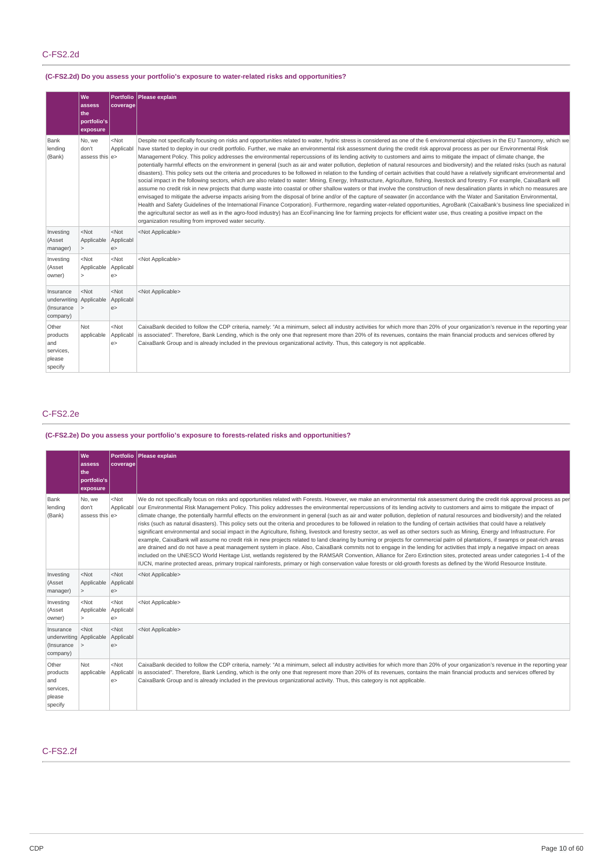## C-FS2.2d

## **(C-FS2.2d) Do you assess your portfolio's exposure to water-related risks and opportunities?**

|                                                                | We<br>assess<br>the<br>  portfolio's<br>exposure | coverage                  | Portfolio Please explain                                                                                                                                                                                                                                                                                                                                                                                                                                                                                                                                                                                                                                                                                                                                                                                                                                                                                                                                                                                                                                                                                                                                                                                                                                                                                                                                                                                                                                                                                                                                                                                                                                                                                                                                                                                                                                                                              |  |  |
|----------------------------------------------------------------|--------------------------------------------------|---------------------------|-------------------------------------------------------------------------------------------------------------------------------------------------------------------------------------------------------------------------------------------------------------------------------------------------------------------------------------------------------------------------------------------------------------------------------------------------------------------------------------------------------------------------------------------------------------------------------------------------------------------------------------------------------------------------------------------------------------------------------------------------------------------------------------------------------------------------------------------------------------------------------------------------------------------------------------------------------------------------------------------------------------------------------------------------------------------------------------------------------------------------------------------------------------------------------------------------------------------------------------------------------------------------------------------------------------------------------------------------------------------------------------------------------------------------------------------------------------------------------------------------------------------------------------------------------------------------------------------------------------------------------------------------------------------------------------------------------------------------------------------------------------------------------------------------------------------------------------------------------------------------------------------------------|--|--|
| Bank<br>lending<br>(Bank)                                      | No, we<br>don't<br>assess this e>                | $<$ Not<br>Applicabl      | Despite not specifically focusing on risks and opportunities related to water, hydric stress is considered as one of the 6 environmental objectives in the EU Taxonomy, which we<br>have started to deploy in our credit portfolio. Further, we make an environmental risk assessment during the credit risk approval process as per our Environmental Risk<br>Management Policy. This policy addresses the environmental repercussions of its lending activity to customers and aims to mitigate the impact of climate change, the<br>potentially harmful effects on the environment in general (such as air and water pollution, depletion of natural resources and biodiversity) and the related risks (such as natural<br>disasters). This policy sets out the criteria and procedures to be followed in relation to the funding of certain activities that could have a relatively significant environmental and<br>social impact in the following sectors, which are also related to water: Mining, Energy, Infrastructure, Agriculture, fishing, livestock and forestry. For example, CaixaBank will<br>assume no credit risk in new projects that dump waste into coastal or other shallow waters or that involve the construction of new desalination plants in which no measures are<br>envisaged to mitigate the adverse impacts arising from the disposal of brine and/or of the capture of seawater (in accordance with the Water and Sanitation Environmental,<br>Health and Safety Guidelines of the International Finance Corporation). Furthermore, regarding water-related opportunities, AgroBank (CaixaBank's business line specialized in<br>the agricultural sector as well as in the agro-food industry) has an EcoFinancing line for farming projects for efficient water use, thus creating a positive impact on the<br>organization resulting from improved water security. |  |  |
| Investing<br>(Asset<br>manager)                                | $<$ Not<br>Applicable<br>$\geq$                  | $<$ Not<br>Applicabl<br>e | <not applicable=""></not>                                                                                                                                                                                                                                                                                                                                                                                                                                                                                                                                                                                                                                                                                                                                                                                                                                                                                                                                                                                                                                                                                                                                                                                                                                                                                                                                                                                                                                                                                                                                                                                                                                                                                                                                                                                                                                                                             |  |  |
| Investing<br>(Asset<br>owner)                                  | $<$ Not<br>Applicable<br>$\geq$                  | $<$ Not<br>Applicabl<br>e | <not applicable=""></not>                                                                                                                                                                                                                                                                                                                                                                                                                                                                                                                                                                                                                                                                                                                                                                                                                                                                                                                                                                                                                                                                                                                                                                                                                                                                                                                                                                                                                                                                                                                                                                                                                                                                                                                                                                                                                                                                             |  |  |
| Insurance<br>underwriting Applicable<br>(Insurance<br>company) | $<$ Not                                          | $<$ Not<br>Applicabl<br>e | <not applicable=""></not>                                                                                                                                                                                                                                                                                                                                                                                                                                                                                                                                                                                                                                                                                                                                                                                                                                                                                                                                                                                                                                                                                                                                                                                                                                                                                                                                                                                                                                                                                                                                                                                                                                                                                                                                                                                                                                                                             |  |  |
| Other<br>products<br>and<br>services,<br>please<br>specify     | Not<br>applicable                                | $<$ Not<br>Applicabl<br>e | CaixaBank decided to follow the CDP criteria, namely: "At a minimum, select all industry activities for which more than 20% of your organization's revenue in the reporting year<br>is associated". Therefore, Bank Lending, which is the only one that represent more than 20% of its revenues, contains the main financial products and services offered by<br>CaixaBank Group and is already included in the previous organizational activity. Thus, this category is not applicable.                                                                                                                                                                                                                                                                                                                                                                                                                                                                                                                                                                                                                                                                                                                                                                                                                                                                                                                                                                                                                                                                                                                                                                                                                                                                                                                                                                                                              |  |  |

## C-FS2.2e

## **(C-FS2.2e) Do you assess your portfolio's exposure to forests-related risks and opportunities?**

|                                                                | lwe.<br>assess<br>lthe:<br>portfolio's<br>exposure | coverage                    | Portfolio Please explain                                                                                                                                                                                                                                                                                                                                                                                                                                                                                                                                                                                                                                                                                                                                                                                                                                                                                                                                                                                                                                                                                                                                                                                                                                                                                                                                                                                                                                                                                                                                                                                                                     |  |
|----------------------------------------------------------------|----------------------------------------------------|-----------------------------|----------------------------------------------------------------------------------------------------------------------------------------------------------------------------------------------------------------------------------------------------------------------------------------------------------------------------------------------------------------------------------------------------------------------------------------------------------------------------------------------------------------------------------------------------------------------------------------------------------------------------------------------------------------------------------------------------------------------------------------------------------------------------------------------------------------------------------------------------------------------------------------------------------------------------------------------------------------------------------------------------------------------------------------------------------------------------------------------------------------------------------------------------------------------------------------------------------------------------------------------------------------------------------------------------------------------------------------------------------------------------------------------------------------------------------------------------------------------------------------------------------------------------------------------------------------------------------------------------------------------------------------------|--|
| Bank<br>lending<br>(Bank)                                      | No, we<br>don't<br>assess this $ e\rangle$         | $<$ Not<br>Applicabl        | We do not specifically focus on risks and opportunities related with Forests. However, we make an environmental risk assessment during the credit risk approval process as per<br>our Environmental Risk Management Policy. This policy addresses the environmental repercussions of its lending activity to customers and aims to mitigate the impact of<br>climate change, the potentially harmful effects on the environment in general (such as air and water pollution, depletion of natural resources and biodiversity) and the related<br>risks (such as natural disasters). This policy sets out the criteria and procedures to be followed in relation to the funding of certain activities that could have a relatively<br>significant environmental and social impact in the Agriculture, fishing, livestock and forestry sector, as well as other sectors such as Mining, Energy and Infrastructure. For<br>example, CaixaBank will assume no credit risk in new projects related to land clearing by burning or projects for commercial palm oil plantations, if swamps or peat-rich areas<br>are drained and do not have a peat management system in place. Also, CaixaBank commits not to engage in the lending for activities that imply a negative impact on areas<br>included on the UNESCO World Heritage List, wetlands registered by the RAMSAR Convention, Alliance for Zero Extinction sites, protected areas under categories 1-4 of the<br>IUCN, marine protected areas, primary tropical rainforests, primary or high conservation value forests or old-growth forests as defined by the World Resource Institute. |  |
| Investing<br>(Asset<br>manager)                                | $<$ Not<br>Applicable<br>$\geq$                    | $<$ Not<br>Applicabl<br>e   | <not applicable=""></not>                                                                                                                                                                                                                                                                                                                                                                                                                                                                                                                                                                                                                                                                                                                                                                                                                                                                                                                                                                                                                                                                                                                                                                                                                                                                                                                                                                                                                                                                                                                                                                                                                    |  |
| Investing<br>(Asset<br>owner)                                  | $<$ Not<br>Applicable<br>$\geq$                    | $<$ Not<br>Applicabl<br>e   | <not applicable=""></not>                                                                                                                                                                                                                                                                                                                                                                                                                                                                                                                                                                                                                                                                                                                                                                                                                                                                                                                                                                                                                                                                                                                                                                                                                                                                                                                                                                                                                                                                                                                                                                                                                    |  |
| Insurance<br>underwriting Applicable<br>(Insurance<br>company) | $<$ Not<br>$\vert$ $>$                             | $<$ Not<br>Applicabl<br>e > | <not applicable=""></not>                                                                                                                                                                                                                                                                                                                                                                                                                                                                                                                                                                                                                                                                                                                                                                                                                                                                                                                                                                                                                                                                                                                                                                                                                                                                                                                                                                                                                                                                                                                                                                                                                    |  |
| Other<br>products<br>and<br>services,<br>please<br>specify     | Not<br>applicable                                  | $<$ Not<br>Applicabl<br>e   | CaixaBank decided to follow the CDP criteria, namely: "At a minimum, select all industry activities for which more than 20% of your organization's revenue in the reporting year<br>is associated". Therefore, Bank Lending, which is the only one that represent more than 20% of its revenues, contains the main financial products and services offered by<br>CaixaBank Group and is already included in the previous organizational activity. Thus, this category is not applicable.                                                                                                                                                                                                                                                                                                                                                                                                                                                                                                                                                                                                                                                                                                                                                                                                                                                                                                                                                                                                                                                                                                                                                     |  |

## C-FS2.2f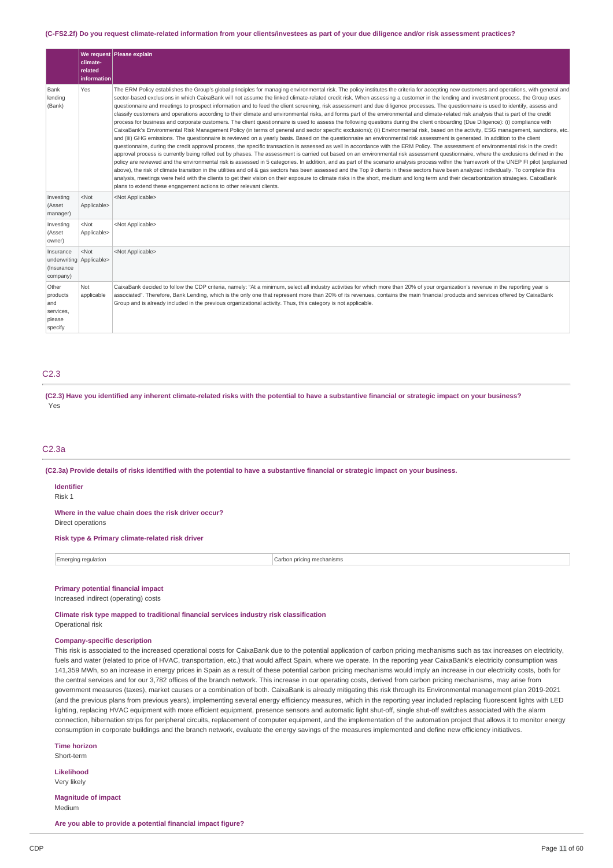#### (C-FS2.2f) Do you request climate-related information from your clients/investees as part of your due diligence and/or risk assessment practices?

|                                                                 | <b>climate-</b><br>related<br>information | We request Please explain                                                                                                                                                                                                                                                                                                                                                                                                                                                                                                                                                                                                                                                                                                                                                                                                                                                                                                                                                                                                                                                                                                                                                                                                                                                                                                                                                                                                                                                                                                                                                                                                                                                                                                                                                                                                                                                                                                                                                                                                                                                                                                                                                                                                                                                                                                                                                      |
|-----------------------------------------------------------------|-------------------------------------------|--------------------------------------------------------------------------------------------------------------------------------------------------------------------------------------------------------------------------------------------------------------------------------------------------------------------------------------------------------------------------------------------------------------------------------------------------------------------------------------------------------------------------------------------------------------------------------------------------------------------------------------------------------------------------------------------------------------------------------------------------------------------------------------------------------------------------------------------------------------------------------------------------------------------------------------------------------------------------------------------------------------------------------------------------------------------------------------------------------------------------------------------------------------------------------------------------------------------------------------------------------------------------------------------------------------------------------------------------------------------------------------------------------------------------------------------------------------------------------------------------------------------------------------------------------------------------------------------------------------------------------------------------------------------------------------------------------------------------------------------------------------------------------------------------------------------------------------------------------------------------------------------------------------------------------------------------------------------------------------------------------------------------------------------------------------------------------------------------------------------------------------------------------------------------------------------------------------------------------------------------------------------------------------------------------------------------------------------------------------------------------|
| Bank<br>lending<br>(Bank)                                       | Yes                                       | The ERM Policy establishes the Group's global principles for managing environmental risk. The policy institutes the criteria for accepting new customers and operations, with general and<br>sector-based exclusions in which CaixaBank will not assume the linked climate-related credit risk. When assessing a customer in the lending and investment process, the Group uses<br>questionnaire and meetings to prospect information and to feed the client screening, risk assessment and due diligence processes. The questionnaire is used to identify, assess and<br>classify customers and operations according to their climate and environmental risks, and forms part of the environmental and climate-related risk analysis that is part of the credit<br>process for business and corporate customers. The client questionnaire is used to assess the following questions during the client onboarding (Due Diligence): (i) compliance with<br>CaixaBank's Environmental Risk Management Policy (in terms of general and sector specific exclusions); (ii) Environmental risk, based on the activity, ESG management, sanctions, etc.<br>and (iii) GHG emissions. The questionnaire is reviewed on a yearly basis. Based on the questionnaire an environmental risk assessment is generated. In addition to the client<br>questionnaire, during the credit approval process, the specific transaction is assessed as well in accordance with the ERM Policy. The assessment of environmental risk in the credit<br>approval process is currently being rolled out by phases. The assessment is carried out based on an environmental risk assessment questionnaire, where the exclusions defined in the<br>policy are reviewed and the environmental risk is assessed in 5 categories. In addition, and as part of the scenario analysis process within the framework of the UNEP FI pilot (explained<br>above), the risk of climate transition in the utilities and oil & gas sectors has been assessed and the Top 9 clients in these sectors have been analyzed individually. To complete this<br>analysis, meetings were held with the clients to get their vision on their exposure to climate risks in the short, medium and long term and their decarbonization strategies. CaixaBank<br>plans to extend these engagement actions to other relevant clients. |
| Investing<br>(Asset<br>manager)                                 | $<$ Not<br>Applicable>                    | <not applicable=""></not>                                                                                                                                                                                                                                                                                                                                                                                                                                                                                                                                                                                                                                                                                                                                                                                                                                                                                                                                                                                                                                                                                                                                                                                                                                                                                                                                                                                                                                                                                                                                                                                                                                                                                                                                                                                                                                                                                                                                                                                                                                                                                                                                                                                                                                                                                                                                                      |
| Investing<br>(Asset<br>owner)                                   | $<$ Not<br>Applicable>                    | <not applicable=""></not>                                                                                                                                                                                                                                                                                                                                                                                                                                                                                                                                                                                                                                                                                                                                                                                                                                                                                                                                                                                                                                                                                                                                                                                                                                                                                                                                                                                                                                                                                                                                                                                                                                                                                                                                                                                                                                                                                                                                                                                                                                                                                                                                                                                                                                                                                                                                                      |
| Insurance<br>underwriting Applicable><br>(Insurance<br>company) | $<$ Not                                   | <not applicable=""></not>                                                                                                                                                                                                                                                                                                                                                                                                                                                                                                                                                                                                                                                                                                                                                                                                                                                                                                                                                                                                                                                                                                                                                                                                                                                                                                                                                                                                                                                                                                                                                                                                                                                                                                                                                                                                                                                                                                                                                                                                                                                                                                                                                                                                                                                                                                                                                      |
| Other<br>products<br>and<br>services,<br>please<br>specify      | Not<br>applicable                         | CaixaBank decided to follow the CDP criteria, namely: "At a minimum, select all industry activities for which more than 20% of your organization's revenue in the reporting year is<br>associated". Therefore, Bank Lending, which is the only one that represent more than 20% of its revenues, contains the main financial products and services offered by CaixaBank<br>Group and is already included in the previous organizational activity. Thus, this category is not applicable.                                                                                                                                                                                                                                                                                                                                                                                                                                                                                                                                                                                                                                                                                                                                                                                                                                                                                                                                                                                                                                                                                                                                                                                                                                                                                                                                                                                                                                                                                                                                                                                                                                                                                                                                                                                                                                                                                       |

### C2.3

(C2.3) Have you identified any inherent climate-related risks with the potential to have a substantive financial or strategic impact on your business? Yes

### C2.3a

(C2.3a) Provide details of risks identified with the potential to have a substantive financial or strategic impact on your business.

#### **Identifier**

Risk 1

**Where in the value chain does the risk driver occur?**

Direct operations

## **Risk type & Primary climate-related risk driver**

| raina regulation<br>∵Eme | na mechanisms<br>∴arhon<br>prio<br>. |
|--------------------------|--------------------------------------|
|                          |                                      |

### **Primary potential financial impact**

Increased indirect (operating) costs

**Climate risk type mapped to traditional financial services industry risk classification**

Operational risk

### **Company-specific description**

This risk is associated to the increased operational costs for CaixaBank due to the potential application of carbon pricing mechanisms such as tax increases on electricity, fuels and water (related to price of HVAC, transportation, etc.) that would affect Spain, where we operate. In the reporting year CaixaBank's electricity consumption was 141,359 MWh, so an increase in energy prices in Spain as a result of these potential carbon pricing mechanisms would imply an increase in our electricity costs, both for the central services and for our 3,782 offices of the branch network. This increase in our operating costs, derived from carbon pricing mechanisms, may arise from government measures (taxes), market causes or a combination of both. CaixaBank is already mitigating this risk through its Environmental management plan 2019-2021 (and the previous plans from previous years), implementing several energy efficiency measures, which in the reporting year included replacing fluorescent lights with LED lighting, replacing HVAC equipment with more efficient equipment, presence sensors and automatic light shut-off, single shut-off switches associated with the alarm connection, hibernation strips for peripheral circuits, replacement of computer equipment, and the implementation of the automation project that allows it to monitor energy consumption in corporate buildings and the branch network, evaluate the energy savings of the measures implemented and define new efficiency initiatives.

**Time horizon** Short-term

### **Likelihood**

Very likely

**Magnitude of impact** Medium

**Are you able to provide a potential financial impact figure?**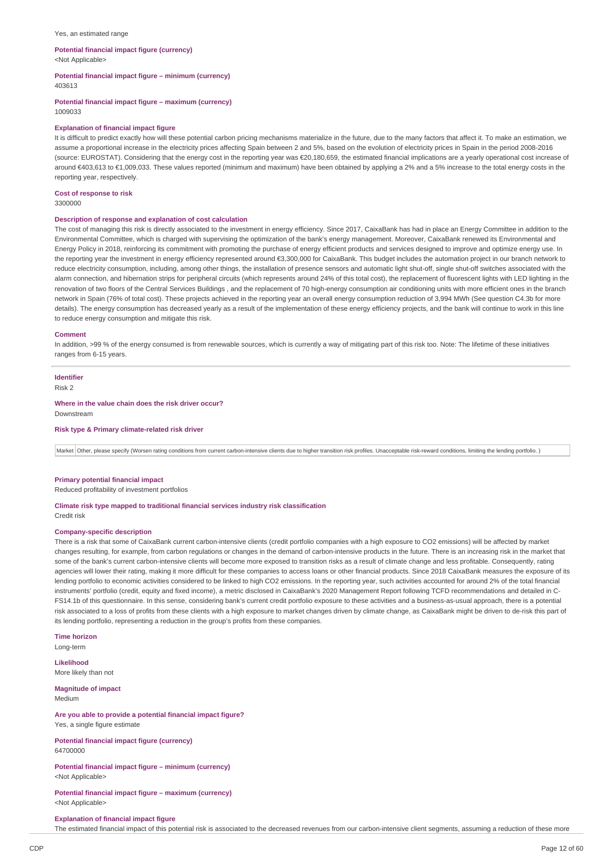#### Yes, an estimated range

### **Potential financial impact figure (currency)**

<Not Applicable>

**Potential financial impact figure – minimum (currency)** 403613

**Potential financial impact figure – maximum (currency)**

### 1009033

### **Explanation of financial impact figure**

It is difficult to predict exactly how will these potential carbon pricing mechanisms materialize in the future, due to the many factors that affect it. To make an estimation, we assume a proportional increase in the electricity prices affecting Spain between 2 and 5%, based on the evolution of electricity prices in Spain in the period 2008-2016 (source: EUROSTAT). Considering that the energy cost in the reporting year was €20,180,659, the estimated financial implications are a yearly operational cost increase of around €403,613 to €1,009,033. These values reported (minimum and maximum) have been obtained by applying a 2% and a 5% increase to the total energy costs in the reporting year, respectively.

### **Cost of response to risk**

3300000

### **Description of response and explanation of cost calculation**

The cost of managing this risk is directly associated to the investment in energy efficiency. Since 2017, CaixaBank has had in place an Energy Committee in addition to the Environmental Committee, which is charged with supervising the optimization of the bank's energy management. Moreover, CaixaBank renewed its Environmental and Energy Policy in 2018, reinforcing its commitment with promoting the purchase of energy efficient products and services designed to improve and optimize energy use. In the reporting year the investment in energy efficiency represented around €3,300,000 for CaixaBank. This budget includes the automation project in our branch network to reduce electricity consumption, including, among other things, the installation of presence sensors and automatic light shut-off, single shut-off switches associated with the alarm connection, and hibernation strips for peripheral circuits (which represents around 24% of this total cost), the replacement of fluorescent lights with LED lighting in the renovation of two floors of the Central Services Buildings , and the replacement of 70 high-energy consumption air conditioning units with more efficient ones in the branch network in Spain (76% of total cost). These projects achieved in the reporting year an overall energy consumption reduction of 3,994 MWh (See question C4.3b for more details). The energy consumption has decreased yearly as a result of the implementation of these energy efficiency projects, and the bank will continue to work in this line to reduce energy consumption and mitigate this risk.

#### **Comment**

In addition, >99 % of the energy consumed is from renewable sources, which is currently a way of mitigating part of this risk too. Note: The lifetime of these initiatives ranges from 6-15 years.

### **Identifier**

Risk 2

#### **Where in the value chain does the risk driver occur?** Downstream

**Risk type & Primary climate-related risk driver**

Market Other, please specify (Worsen rating conditions from current carbon-intensive clients due to higher transition risk profiles. Unacceptable risk-reward conditions, limiting the lending portfolio.)

### **Primary potential financial impact**

Reduced profitability of investment portfolios

**Climate risk type mapped to traditional financial services industry risk classification**

## Credit risk

#### **Company-specific description**

There is a risk that some of CaixaBank current carbon-intensive clients (credit portfolio companies with a high exposure to CO2 emissions) will be affected by market changes resulting, for example, from carbon regulations or changes in the demand of carbon-intensive products in the future. There is an increasing risk in the market that some of the bank's current carbon-intensive clients will become more exposed to transition risks as a result of climate change and less profitable. Consequently, rating agencies will lower their rating, making it more difficult for these companies to access loans or other financial products. Since 2018 CaixaBank measures the exposure of its lending portfolio to economic activities considered to be linked to high CO2 emissions. In the reporting year, such activities accounted for around 2% of the total financial instruments' portfolio (credit, equity and fixed income), a metric disclosed in CaixaBank's 2020 Management Report following TCFD recommendations and detailed in C-FS14.1b of this questionnaire. In this sense, considering bank's current credit portfolio exposure to these activities and a business-as-usual approach, there is a potential risk associated to a loss of profits from these clients with a high exposure to market changes driven by climate change, as CaixaBank might be driven to de-risk this part of its lending portfolio, representing a reduction in the group's profits from these companies.

**Time horizon** Long-term

**Likelihood** More likely than not

**Magnitude of impact** Medium

### **Are you able to provide a potential financial impact figure?** Yes, a single figure estimate

**Potential financial impact figure (currency)** 64700000

**Potential financial impact figure – minimum (currency)** <Not Applicable>

**Potential financial impact figure – maximum (currency)** <Not Applicable>

#### **Explanation of financial impact figure**

The estimated financial impact of this potential risk is associated to the decreased revenues from our carbon-intensive client segments, assuming a reduction of these more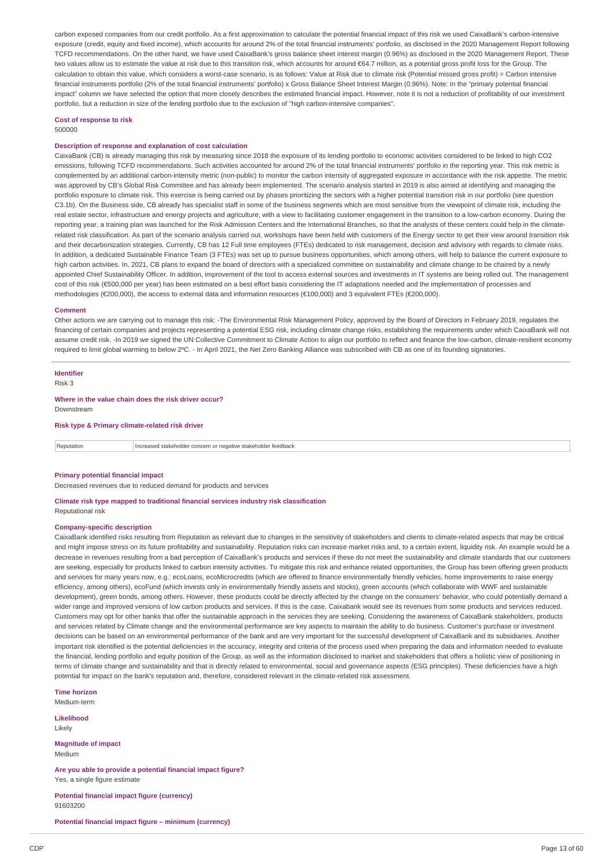carbon exposed companies from our credit portfolio. As a first approximation to calculate the potential financial impact of this risk we used CaixaBank's carbon-intensive exposure (credit, equity and fixed income), which accounts for around 2% of the total financial instruments' portfolio, as disclosed in the 2020 Management Report following TCFD recommendations. On the other hand, we have used CaixaBank's gross balance sheet interest margin (0.96%) as disclosed in the 2020 Management Report. These two values allow us to estimate the value at risk due to this transition risk, which accounts for around €64.7 million, as a potential gross profit loss for the Group. The calculation to obtain this value, which considers a worst-case scenario, is as follows: Value at Risk due to climate risk (Potential missed gross profit) = Carbon intensive financial instruments portfolio (2% of the total financial instruments' portfolio) x Gross Balance Sheet Interest Margin (0.96%). Note: In the "primary potential financial impact" column we have selected the option that more closely describes the estimated financial impact. However, note it is not a reduction of profitability of our investment portfolio, but a reduction in size of the lending portfolio due to the exclusion of "high carbon-intensive companies".

### **Cost of response to risk**

500000

#### **Description of response and explanation of cost calculation**

CaixaBank (CB) is already managing this risk by measuring since 2018 the exposure of its lending portfolio to economic activities considered to be linked to high CO2 emissions, following TCFD recommendations. Such activities accounted for around 2% of the total financial instruments' portfolio in the reporting year. This risk metric is complemented by an additional carbon-intensity metric (non-public) to monitor the carbon intensity of aggregated exposure in accordance with the risk appetite. The metric was approved by CB's Global Risk Committee and has already been implemented. The scenario analysis started in 2019 is also aimed at identifying and managing the portfolio exposure to climate risk. This exercise is being carried out by phases prioritizing the sectors with a higher potential transition risk in our portfolio (see question C3.1b). On the Business side, CB already has specialist staff in some of the business segments which are most sensitive from the viewpoint of climate risk, including the real estate sector, infrastructure and energy projects and agriculture, with a view to facilitating customer engagement in the transition to a low-carbon economy. During the reporting year, a training plan was launched for the Risk Admission Centers and the International Branches, so that the analysts of these centers could help in the climaterelated risk classification. As part of the scenario analysis carried out, workshops have been held with customers of the Energy sector to get their view around transition risk and their decarbonization strategies. Currently, CB has 12 Full time employees (FTEs) dedicated to risk management, decision and advisory with regards to climate risks. In addition, a dedicated Sustainable Finance Team (3 FTEs) was set up to pursue business opportunities, which among others, will help to balance the current exposure to high carbon activities. In, 2021, CB plans to expand the board of directors with a specialized committee on sustainability and climate change to be chaired by a newly appointed Chief Sustainability Officer. In addition, improvement of the tool to access external sources and investments in IT systems are being rolled out. The management cost of this risk (€500,000 per year) has been estimated on a best effort basis considering the IT adaptations needed and the implementation of processes and methodologies (€200,000), the access to external data and information resources (€100,000) and 3 equivalent FTEs (€200,000).

#### **Comment**

Other actions we are carrying out to manage this risk: -The Environmental Risk Management Policy, approved by the Board of Directors in February 2019, regulates the financing of certain companies and projects representing a potential ESG risk, including climate change risks, establishing the requirements under which CaixaBank will not assume credit risk. -In 2019 we signed the UN Collective Commitment to Climate Action to align our portfolio to reflect and finance the low-carbon, climate-resilient economy required to limit global warming to below 2ºC. - In April 2021, the Net Zero Banking Alliance was subscribed with CB as one of its founding signatories.

### **Identifier**

Risk 3

### **Where in the value chain does the risk driver occur?**

Downstream

**Risk type & Primary climate-related risk driver**

Reputation Increased stakeholder concern or negative stakeholder feedback

#### **Primary potential financial impact**

Decreased revenues due to reduced demand for products and services

### **Climate risk type mapped to traditional financial services industry risk classification** Reputational risk

#### **Company-specific description**

CaixaBank identified risks resulting from Reputation as relevant due to changes in the sensitivity of stakeholders and clients to climate-related aspects that may be critical and might impose stress on its future profitability and sustainability. Reputation risks can increase market risks and, to a certain extent, liquidity risk. An example would be a decrease in revenues resulting from a bad perception of CaixaBank's products and services if these do not meet the sustainability and climate standards that our customers are seeking, especially for products linked to carbon intensity activities. To mitigate this risk and enhance related opportunities, the Group has been offering green products and services for many years now, e.g.: ecoLoans, ecoMicrocredits (which are offered to finance environmentally friendly vehicles, home improvements to raise energy efficiency, among others), ecoFund (which invests only in environmentally friendly assets and stocks), green accounts (which collaborate with WWF and sustainable development), green bonds, among others. However, these products could be directly affected by the change on the consumers' behavior, who could potentially demand a wider range and improved versions of low carbon products and services. If this is the case, Caixabank would see its revenues from some products and services reduced. Customers may opt for other banks that offer the sustainable approach in the services they are seeking. Considering the awareness of CaixaBank stakeholders, products and services related by Climate change and the environmental performance are key aspects to maintain the ability to do business. Customer's purchase or investment decisions can be based on an environmental performance of the bank and are very important for the successful development of CaixaBank and its subsidiaries. Another important risk identified is the potential deficiencies in the accuracy, integrity and criteria of the process used when preparing the data and information needed to evaluate the financial, lending portfolio and equity position of the Group, as well as the information disclosed to market and stakeholders that offers a holistic view of positioning in terms of climate change and sustainability and that is directly related to environmental, social and governance aspects (ESG principles). These deficiencies have a high potential for impact on the bank's reputation and, therefore, considered relevant in the climate-related risk assessment.

**Time horizon** Medium-term

### **Likelihood**

Likely

**Magnitude of impact** Medium

**Are you able to provide a potential financial impact figure?** Yes, a single figure estimate

**Potential financial impact figure (currency)** 91603200

**Potential financial impact figure – minimum (currency)**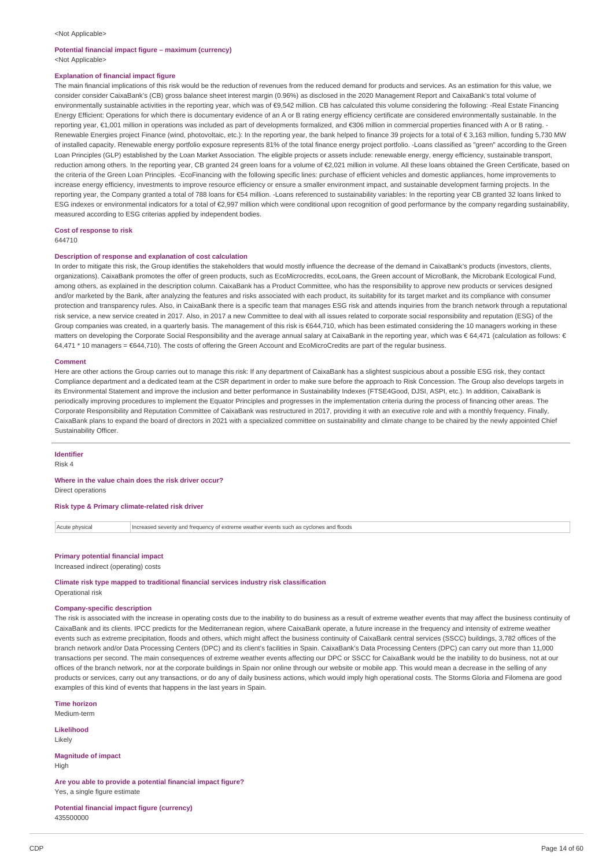#### <Not Applicable>

## **Potential financial impact figure – maximum (currency)**

<Not Applicable>

### **Explanation of financial impact figure**

The main financial implications of this risk would be the reduction of revenues from the reduced demand for products and services. As an estimation for this value, we consider consider CaixaBank's (CB) gross balance sheet interest margin (0.96%) as disclosed in the 2020 Management Report and CaixaBank's total volume of environmentally sustainable activities in the reporting year, which was of €9,542 million. CB has calculated this volume considering the following: -Real Estate Financing Energy Efficient: Operations for which there is documentary evidence of an A or B rating energy efficiency certificate are considered environmentally sustainable. In the reporting year, €1,001 million in operations was included as part of developments formalized, and €306 million in commercial properties financed with A or B rating. - Renewable Energies project Finance (wind, photovoltaic, etc.): In the reporting year, the bank helped to finance 39 projects for a total of € 3,163 million, funding 5,730 MW of installed capacity. Renewable energy portfolio exposure represents 81% of the total finance energy project portfolio. -Loans classified as "green" according to the Green Loan Principles (GLP) established by the Loan Market Association. The eligible projects or assets include: renewable energy, energy efficiency, sustainable transport, reduction among others. In the reporting year, CB granted 24 green loans for a volume of €2,021 million in volume. All these loans obtained the Green Certificate, based on the criteria of the Green Loan Principles. -EcoFinancing with the following specific lines: purchase of efficient vehicles and domestic appliances, home improvements to increase energy efficiency, investments to improve resource efficiency or ensure a smaller environment impact, and sustainable development farming projects. In the reporting year, the Company granted a total of 788 loans for €54 million. -Loans referenced to sustainability variables: In the reporting year CB granted 32 loans linked to ESG indexes or environmental indicators for a total of €2,997 million which were conditional upon recognition of good performance by the company regarding sustainability, measured according to ESG criterias applied by independent bodies.

**Cost of response to risk**

644710

#### **Description of response and explanation of cost calculation**

In order to mitigate this risk, the Group identifies the stakeholders that would mostly influence the decrease of the demand in CaixaBank's products (investors, clients, organizations). CaixaBank promotes the offer of green products, such as EcoMicrocredits, ecoLoans, the Green account of MicroBank, the Microbank Ecological Fund, among others, as explained in the description column. CaixaBank has a Product Committee, who has the responsibility to approve new products or services designed and/or marketed by the Bank, after analyzing the features and risks associated with each product, its suitability for its target market and its compliance with consumer protection and transparency rules. Also, in CaixaBank there is a specific team that manages ESG risk and attends inquiries from the branch network through a reputational risk service, a new service created in 2017. Also, in 2017 a new Committee to deal with all issues related to corporate social responsibility and reputation (ESG) of the Group companies was created, in a quarterly basis. The management of this risk is €644,710, which has been estimated considering the 10 managers working in these matters on developing the Corporate Social Responsibility and the average annual salary at CaixaBank in the reporting year, which was € 64,471 (calculation as follows: € 64,471 \* 10 managers = €644,710). The costs of offering the Green Account and EcoMicroCredits are part of the regular business.

#### **Comment**

Here are other actions the Group carries out to manage this risk: If any department of CaixaBank has a slightest suspicious about a possible ESG risk, they contact Compliance department and a dedicated team at the CSR department in order to make sure before the approach to Risk Concession. The Group also develops targets in its Environmental Statement and improve the inclusion and better performance in Sustainability Indexes (FTSE4Good, DJSI, ASPI, etc.). In addition, CaixaBank is periodically improving procedures to implement the Equator Principles and progresses in the implementation criteria during the process of financing other areas. The Corporate Responsibility and Reputation Committee of CaixaBank was restructured in 2017, providing it with an executive role and with a monthly frequency. Finally, CaixaBank plans to expand the board of directors in 2021 with a specialized committee on sustainability and climate change to be chaired by the newly appointed Chief Sustainability Officer.

#### **Identifier**

Risk 4

### **Where in the value chain does the risk driver occur?**

Direct operations

### **Risk type & Primary climate-related risk driver**

Acute physical Increased severity and frequency of extreme weather events such as cyclones and floods

### **Primary potential financial impact**

Increased indirect (operating) costs

**Climate risk type mapped to traditional financial services industry risk classification** Operational risk

### **Company-specific description**

The risk is associated with the increase in operating costs due to the inability to do business as a result of extreme weather events that may affect the business continuity of CaixaBank and its clients. IPCC predicts for the Mediterranean region, where CaixaBank operate, a future increase in the frequency and intensity of extreme weather events such as extreme precipitation, floods and others, which might affect the business continuity of CaixaBank central services (SSCC) buildings, 3,782 offices of the branch network and/or Data Processing Centers (DPC) and its client's facilities in Spain. CaixaBank's Data Processing Centers (DPC) can carry out more than 11,000 transactions per second. The main consequences of extreme weather events affecting our DPC or SSCC for CaixaBank would be the inability to do business, not at our offices of the branch network, nor at the corporate buildings in Spain nor online through our website or mobile app. This would mean a decrease in the selling of any products or services, carry out any transactions, or do any of daily business actions, which would imply high operational costs. The Storms Gloria and Filomena are good examples of this kind of events that happens in the last years in Spain.

**Time horizon**

Medium-term

**Likelihood** Likely

**Magnitude of impact** High

**Are you able to provide a potential financial impact figure?** Yes, a single figure estimate

**Potential financial impact figure (currency)** 435500000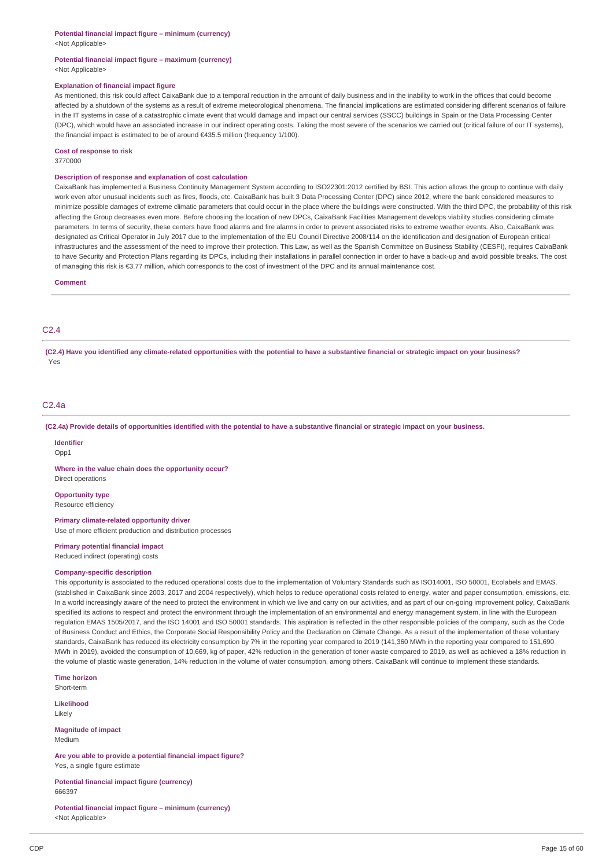<Not Applicable>

### **Potential financial impact figure – maximum (currency)** <Not Applicable>

#### **Explanation of financial impact figure**

As mentioned, this risk could affect CaixaBank due to a temporal reduction in the amount of daily business and in the inability to work in the offices that could become affected by a shutdown of the systems as a result of extreme meteorological phenomena. The financial implications are estimated considering different scenarios of failure in the IT systems in case of a catastrophic climate event that would damage and impact our central services (SSCC) buildings in Spain or the Data Processing Center (DPC), which would have an associated increase in our indirect operating costs. Taking the most severe of the scenarios we carried out (critical failure of our IT systems), the financial impact is estimated to be of around €435.5 million (frequency 1/100).

#### **Cost of response to risk**

3770000

### **Description of response and explanation of cost calculation**

CaixaBank has implemented a Business Continuity Management System according to ISO22301:2012 certified by BSI. This action allows the group to continue with daily work even after unusual incidents such as fires, floods, etc. CaixaBank has built 3 Data Processing Center (DPC) since 2012, where the bank considered measures to minimize possible damages of extreme climatic parameters that could occur in the place where the buildings were constructed. With the third DPC, the probability of this risk affecting the Group decreases even more. Before choosing the location of new DPCs, CaixaBank Facilities Management develops viability studies considering climate parameters. In terms of security, these centers have flood alarms and fire alarms in order to prevent associated risks to extreme weather events. Also, CaixaBank was designated as Critical Operator in July 2017 due to the implementation of the EU Council Directive 2008/114 on the identification and designation of European critical infrastructures and the assessment of the need to improve their protection. This Law, as well as the Spanish Committee on Business Stability (CESFI), requires CaixaBank to have Security and Protection Plans regarding its DPCs, including their installations in parallel connection in order to have a back-up and avoid possible breaks. The cost of managing this risk is €3.77 million, which corresponds to the cost of investment of the DPC and its annual maintenance cost.

#### **Comment**

### C2.4

(C2.4) Have you identified any climate-related opportunities with the potential to have a substantive financial or strategic impact on your business? Yes

### C2.4a

(C2.4a) Provide details of opportunities identified with the potential to have a substantive financial or strategic impact on your business.

#### **Identifier**

Opp1

**Where in the value chain does the opportunity occur?** Direct operations

### **Opportunity type**

Resource efficiency

### **Primary climate-related opportunity driver**

Use of more efficient production and distribution processes

### **Primary potential financial impact**

Reduced indirect (operating) costs

### **Company-specific description**

This opportunity is associated to the reduced operational costs due to the implementation of Voluntary Standards such as ISO14001, ISO 50001, Ecolabels and EMAS, (stablished in CaixaBank since 2003, 2017 and 2004 respectively), which helps to reduce operational costs related to energy, water and paper consumption, emissions, etc. In a world increasingly aware of the need to protect the environment in which we live and carry on our activities, and as part of our on-going improvement policy, CaixaBank specified its actions to respect and protect the environment through the implementation of an environmental and energy management system, in line with the European regulation EMAS 1505/2017, and the ISO 14001 and ISO 50001 standards. This aspiration is reflected in the other responsible policies of the company, such as the Code of Business Conduct and Ethics, the Corporate Social Responsibility Policy and the Declaration on Climate Change. As a result of the implementation of these voluntary standards, CaixaBank has reduced its electricity consumption by 7% in the reporting year compared to 2019 (141,360 MWh in the reporting year compared to 151,690 MWh in 2019), avoided the consumption of 10,669, kg of paper, 42% reduction in the generation of toner waste compared to 2019, as well as achieved a 18% reduction in the volume of plastic waste generation, 14% reduction in the volume of water consumption, among others. CaixaBank will continue to implement these standards.

**Time horizon** Short-term

**Likelihood**

Likely

**Magnitude of impact** Medium

**Are you able to provide a potential financial impact figure?** Yes, a single figure estimate

**Potential financial impact figure (currency)** 666397

**Potential financial impact figure – minimum (currency)** <Not Applicable>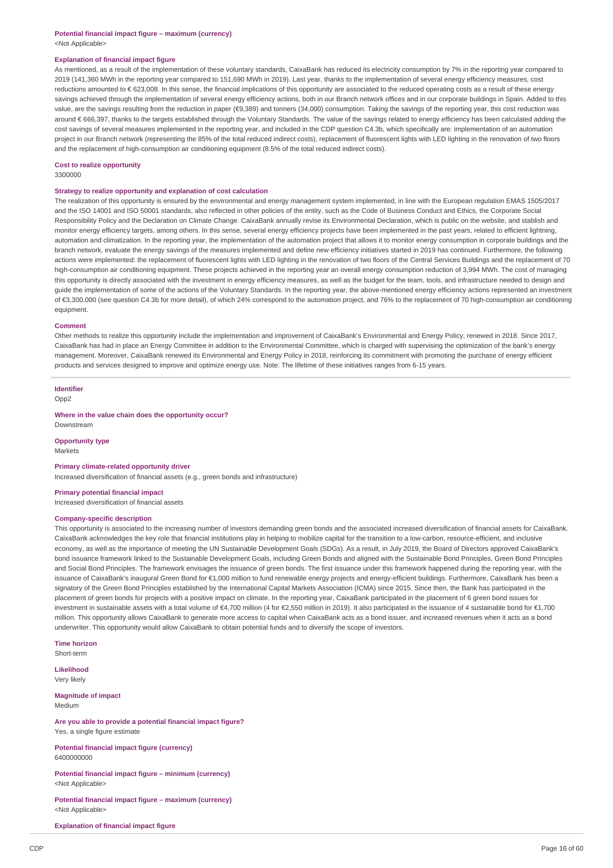### **Explanation of financial impact figure**

As mentioned, as a result of the implementation of these voluntary standards, CaixaBank has reduced its electricity consumption by 7% in the reporting year compared to 2019 (141,360 MWh in the reporting year compared to 151,690 MWh in 2019). Last year, thanks to the implementation of several energy efficiency measures, cost reductions amounted to € 623,008. In this sense, the financial implications of this opportunity are associated to the reduced operating costs as a result of these energy savings achieved through the implementation of several energy efficiency actions, both in our Branch network offices and in our corporate buildings in Spain. Added to this value, are the savings resulting from the reduction in paper (€9,389) and tonners (34,000) consumption. Taking the savings of the reporting year, this cost reduction was around € 666,397, thanks to the targets established through the Voluntary Standards. The value of the savings related to energy efficiency has been calculated adding the cost savings of several measures implemented in the reporting year, and included in the CDP question C4.3b, which specifically are: implementation of an automation project in our Branch network (representing the 85% of the total reduced indirect costs), replacement of fluorescent lights with LED lighting in the renovation of two floors and the replacement of high-consumption air conditioning equipment (8.5% of the total reduced indirect costs).

### **Cost to realize opportunity**

3300000

#### **Strategy to realize opportunity and explanation of cost calculation**

The realization of this opportunity is ensured by the environmental and energy management system implemented, in line with the European regulation EMAS 1505/2017 and the ISO 14001 and ISO 50001 standards, also reflected in other policies of the entity, such as the Code of Business Conduct and Ethics, the Corporate Social Responsibility Policy and the Declaration on Climate Change. CaixaBank annually revise its Environmental Declaration, which is public on the website, and stablish and monitor energy efficiency targets, among others. In this sense, several energy efficiency projects have been implemented in the past years, related to efficient lightning, automation and climatization. In the reporting year, the implementation of the automation project that allows it to monitor energy consumption in corporate buildings and the branch network, evaluate the energy savings of the measures implemented and define new efficiency initiatives started in 2019 has continued. Furthermore, the following actions were implemented: the replacement of fluorescent lights with LED lighting in the renovation of two floors of the Central Services Buildings and the replacement of 70 high-consumption air conditioning equipment. These projects achieved in the reporting year an overall energy consumption reduction of 3,994 MWh. The cost of managing this opportunity is directly associated with the investment in energy efficiency measures, as well as the budget for the team, tools, and infrastructure needed to design and guide the implementation of some of the actions of the Voluntary Standards. In the reporting year, the above-mentioned energy efficiency actions represented an investment of €3,300,000 (see question C4.3b for more detail), of which 24% correspond to the automation project, and 76% to the replacement of 70 high-consumption air conditioning equipment.

#### **Comment**

Other methods to realize this opportunity include the implementation and improvement of CaixaBank's Environmental and Energy Policy, renewed in 2018. Since 2017, CaixaBank has had in place an Energy Committee in addition to the Environmental Committee, which is charged with supervising the optimization of the bank's energy management. Moreover, CaixaBank renewed its Environmental and Energy Policy in 2018, reinforcing its commitment with promoting the purchase of energy efficient products and services designed to improve and optimize energy use. Note: The lifetime of these initiatives ranges from 6-15 years.

### **Identifier**

Opp2

#### **Where in the value chain does the opportunity occur?**

Downstream

**Opportunity type Markets** 

#### **Primary climate-related opportunity driver**

Increased diversification of financial assets (e.g., green bonds and infrastructure)

#### **Primary potential financial impact**

Increased diversification of financial assets

### **Company-specific description**

This opportunity is associated to the increasing number of investors demanding green bonds and the associated increased diversification of financial assets for CaixaBank. CaixaBank acknowledges the key role that financial institutions play in helping to mobilize capital for the transition to a low-carbon, resource-efficient, and inclusive economy, as well as the importance of meeting the UN Sustainable Development Goals (SDGs). As a result, in July 2019, the Board of Directors approved CaixaBank's bond issuance framework linked to the Sustainable Development Goals, including Green Bonds and aligned with the Sustainable Bond Principles, Green Bond Principles and Social Bond Principles. The framework envisages the issuance of green bonds. The first issuance under this framework happened during the reporting year, with the issuance of CaixaBank's inaugural Green Bond for €1,000 million to fund renewable energy projects and energy-efficient buildings. Furthermore, CaixaBank has been a signatory of the Green Bond Principles established by the International Capital Markets Association (ICMA) since 2015. Since then, the Bank has participated in the placement of green bonds for projects with a positive impact on climate. In the reporting year, CaixaBank participated in the placement of 6 green bond issues for investment in sustainable assets with a total volume of €4,700 million (4 for €2,550 million in 2019). It also participated in the issuance of 4 sustainable bond for €1,700 million. This opportunity allows CaixaBank to generate more access to capital when CaixaBank acts as a bond issuer, and increased revenues when it acts as a bond underwriter. This opportunity would allow CaixaBank to obtain potential funds and to diversify the scope of investors.

**Time horizon**

Short-term **Likelihood**

Very likely

**Magnitude of impact** Medium

**Are you able to provide a potential financial impact figure?** Yes, a single figure estimate

**Potential financial impact figure (currency)** 6400000000

**Potential financial impact figure – minimum (currency)** <Not Applicable>

**Potential financial impact figure – maximum (currency)** <Not Applicable>

**Explanation of financial impact figure**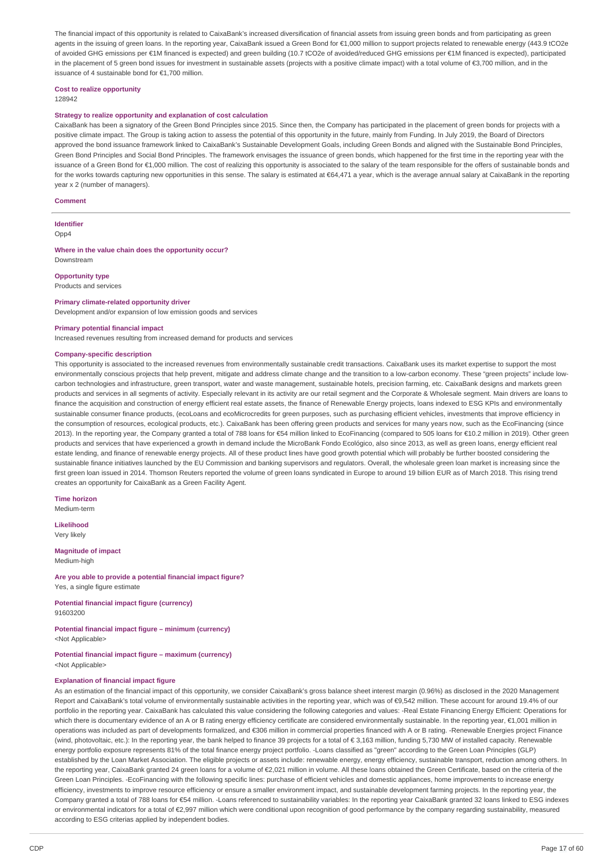The financial impact of this opportunity is related to CaixaBank's increased diversification of financial assets from issuing green bonds and from participating as green agents in the issuing of green loans. In the reporting year, CaixaBank issued a Green Bond for €1,000 million to support projects related to renewable energy (443.9 tCO2e of avoided GHG emissions per €1M financed is expected) and green building (10.7 tCO2e of avoided/reduced GHG emissions per €1M financed is expected), participated in the placement of 5 green bond issues for investment in sustainable assets (projects with a positive climate impact) with a total volume of €3,700 million, and in the issuance of 4 sustainable bond for €1,700 million.

## **Cost to realize opportunity**

### 128942

### **Strategy to realize opportunity and explanation of cost calculation**

CaixaBank has been a signatory of the Green Bond Principles since 2015. Since then, the Company has participated in the placement of green bonds for projects with a positive climate impact. The Group is taking action to assess the potential of this opportunity in the future, mainly from Funding. In July 2019, the Board of Directors approved the bond issuance framework linked to CaixaBank's Sustainable Development Goals, including Green Bonds and aligned with the Sustainable Bond Principles, Green Bond Principles and Social Bond Principles. The framework envisages the issuance of green bonds, which happened for the first time in the reporting year with the issuance of a Green Bond for €1,000 million. The cost of realizing this opportunity is associated to the salary of the team responsible for the offers of sustainable bonds and for the works towards capturing new opportunities in this sense. The salary is estimated at €64,471 a year, which is the average annual salary at CaixaBank in the reporting year x 2 (number of managers).

#### **Comment**

**Identifier** Opp<sub>4</sub>

#### **Where in the value chain does the opportunity occur?** Downstream

**Opportunity type** Products and services

## **Primary climate-related opportunity driver**

Development and/or expansion of low emission goods and services

#### **Primary potential financial impact**

Increased revenues resulting from increased demand for products and services

### **Company-specific description**

This opportunity is associated to the increased revenues from environmentally sustainable credit transactions. CaixaBank uses its market expertise to support the most environmentally conscious projects that help prevent, mitigate and address climate change and the transition to a low-carbon economy. These "green projects" include lowcarbon technologies and infrastructure, green transport, water and waste management, sustainable hotels, precision farming, etc. CaixaBank designs and markets green products and services in all segments of activity. Especially relevant in its activity are our retail segment and the Corporate & Wholesale segment. Main drivers are loans to finance the acquisition and construction of energy efficient real estate assets, the finance of Renewable Energy projects, loans indexed to ESG KPIs and environmentally sustainable consumer finance products, (ecoLoans and ecoMicrocredits for green purposes, such as purchasing efficient vehicles, investments that improve efficiency in the consumption of resources, ecological products, etc.). CaixaBank has been offering green products and services for many years now, such as the EcoFinancing (since 2013). In the reporting year, the Company granted a total of 788 loans for €54 million linked to EcoFinancing (compared to 505 loans for €10.2 million in 2019). Other green products and services that have experienced a growth in demand include the MicroBank Fondo Ecológico, also since 2013, as well as green loans, energy efficient real estate lending, and finance of renewable energy projects. All of these product lines have good growth potential which will probably be further boosted considering the sustainable finance initiatives launched by the EU Commission and banking supervisors and regulators. Overall, the wholesale green loan market is increasing since the first green loan issued in 2014. Thomson Reuters reported the volume of green loans syndicated in Europe to around 19 billion EUR as of March 2018. This rising trend creates an opportunity for CaixaBank as a Green Facility Agent.

**Time horizon**

Medium-term

**Likelihood** Very likely

## **Magnitude of impact**

Medium-high

**Are you able to provide a potential financial impact figure?** Yes, a single figure estimate

**Potential financial impact figure (currency)** 91603200

### **Potential financial impact figure – minimum (currency)** <Not Applicable>

### **Potential financial impact figure – maximum (currency)** <Not Applicable>

### **Explanation of financial impact figure**

As an estimation of the financial impact of this opportunity, we consider CaixaBank's gross balance sheet interest margin (0.96%) as disclosed in the 2020 Management Report and CaixaBank's total volume of environmentally sustainable activities in the reporting year, which was of €9,542 million. These account for around 19.4% of our portfolio in the reporting year. CaixaBank has calculated this value considering the following categories and values: -Real Estate Financing Energy Efficient: Operations for which there is documentary evidence of an A or B rating energy efficiency certificate are considered environmentally sustainable. In the reporting year, €1,001 million in operations was included as part of developments formalized, and €306 million in commercial properties financed with A or B rating. -Renewable Energies project Finance (wind, photovoltaic, etc.): In the reporting year, the bank helped to finance 39 projects for a total of € 3,163 million, funding 5,730 MW of installed capacity. Renewable energy portfolio exposure represents 81% of the total finance energy project portfolio. -Loans classified as "green" according to the Green Loan Principles (GLP) established by the Loan Market Association. The eligible projects or assets include: renewable energy, energy efficiency, sustainable transport, reduction among others. In the reporting year, CaixaBank granted 24 green loans for a volume of €2,021 million in volume. All these loans obtained the Green Certificate, based on the criteria of the Green Loan Principles. -EcoFinancing with the following specific lines: purchase of efficient vehicles and domestic appliances, home improvements to increase energy efficiency, investments to improve resource efficiency or ensure a smaller environment impact, and sustainable development farming projects. In the reporting year, the Company granted a total of 788 loans for €54 million. -Loans referenced to sustainability variables: In the reporting year CaixaBank granted 32 loans linked to ESG indexes or environmental indicators for a total of €2.997 million which were conditional upon recognition of good performance by the company regarding sustainability, measured according to ESG criterias applied by independent bodies.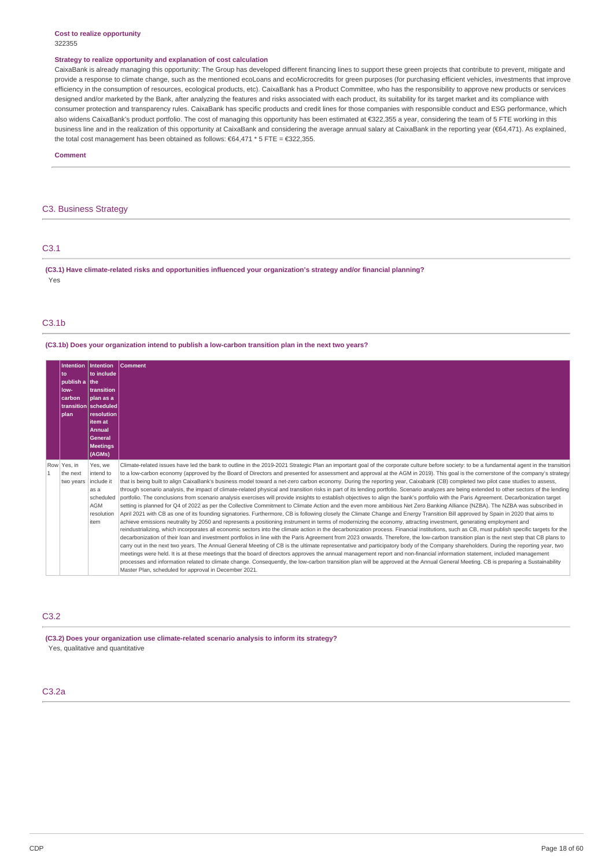#### **Cost to realize opportunity** 322355

#### **Strategy to realize opportunity and explanation of cost calculation**

CaixaBank is already managing this opportunity: The Group has developed different financing lines to support these green projects that contribute to prevent, mitigate and provide a response to climate change, such as the mentioned ecoLoans and ecoMicrocredits for green purposes (for purchasing efficient vehicles, investments that improve efficiency in the consumption of resources, ecological products, etc). CaixaBank has a Product Committee, who has the responsibility to approve new products or services designed and/or marketed by the Bank, after analyzing the features and risks associated with each product, its suitability for its target market and its compliance with consumer protection and transparency rules. CaixaBank has specific products and credit lines for those companies with responsible conduct and ESG performance, which also widens CaixaBank's product portfolio. The cost of managing this opportunity has been estimated at €322,355 a year, considering the team of 5 FTE working in this business line and in the realization of this opportunity at CaixaBank and considering the average annual salary at CaixaBank in the reporting year (€64,471). As explained, the total cost management has been obtained as follows: €64,471 \* 5 FTE = €322,355.

**Comment**

### C3. Business Strategy

| C3.1       |                                                                                                                        |  |
|------------|------------------------------------------------------------------------------------------------------------------------|--|
| <b>Vec</b> | (C3.1) Have climate-related risks and opportunities influenced your organization's strategy and/or financial planning? |  |

### $C3.1<sub>b</sub>$

**(C3.1b) Does your organization intend to publish a low-carbon transition plan in the next two years?**

|              | <b>Intention</b><br>to<br>publish a the<br>low-<br>carbon<br><b>plan</b> | Intention<br>to include<br>transition<br>plan as a<br>transition scheduled<br>resolution<br>item at<br><b>Annual</b><br><b>General</b><br><b>Meetings</b><br>(AGMs) | <b>Comment</b>                                                                                                                                                                                                                                                                                                                                                                                                                                                                                                                                                                                                                                                                                                                                                                                                                                                                                                                                                                                                                                                                                                                                                                                                                                                                                                                                                                                                                                                                                                                                                                                                                                                                                                                                                                                                                                                                                                                                                                                                                                                                                                                                                                                                                                                                                                                                                                                                                                                                                                            |
|--------------|--------------------------------------------------------------------------|---------------------------------------------------------------------------------------------------------------------------------------------------------------------|---------------------------------------------------------------------------------------------------------------------------------------------------------------------------------------------------------------------------------------------------------------------------------------------------------------------------------------------------------------------------------------------------------------------------------------------------------------------------------------------------------------------------------------------------------------------------------------------------------------------------------------------------------------------------------------------------------------------------------------------------------------------------------------------------------------------------------------------------------------------------------------------------------------------------------------------------------------------------------------------------------------------------------------------------------------------------------------------------------------------------------------------------------------------------------------------------------------------------------------------------------------------------------------------------------------------------------------------------------------------------------------------------------------------------------------------------------------------------------------------------------------------------------------------------------------------------------------------------------------------------------------------------------------------------------------------------------------------------------------------------------------------------------------------------------------------------------------------------------------------------------------------------------------------------------------------------------------------------------------------------------------------------------------------------------------------------------------------------------------------------------------------------------------------------------------------------------------------------------------------------------------------------------------------------------------------------------------------------------------------------------------------------------------------------------------------------------------------------------------------------------------------------|
| $\mathbf{1}$ | Row Yes, in<br>the next<br>two years                                     | Yes, we<br>intend to<br>include it<br>as a<br>scheduled<br>AGM<br>resolution<br>item                                                                                | Climate-related issues have led the bank to outline in the 2019-2021 Strategic Plan an important goal of the corporate culture before society: to be a fundamental agent in the transition<br>to a low-carbon economy (approved by the Board of Directors and presented for assessment and approval at the AGM in 2019). This goal is the cornerstone of the company's strategy<br>that is being built to align CaixaBank's business model toward a net-zero carbon economy. During the reporting year, Caixabank (CB) completed two pilot case studies to assess,<br>through scenario analysis, the impact of climate-related physical and transition risks in part of its lending portfolio. Scenario analyzes are being extended to other sectors of the lending<br>portfolio. The conclusions from scenario analysis exercises will provide insights to establish objectives to align the bank's portfolio with the Paris Agreement. Decarbonization target<br>setting is planned for Q4 of 2022 as per the Collective Commitment to Climate Action and the even more ambitious Net Zero Banking Alliance (NZBA). The NZBA was subscribed in<br>April 2021 with CB as one of its founding signatories. Furthermore, CB is following closely the Climate Change and Energy Transition Bill approved by Spain in 2020 that aims to<br>achieve emissions neutrality by 2050 and represents a positioning instrument in terms of modernizing the economy, attracting investment, generating employment and<br>reindustrializing, which incorporates all economic sectors into the climate action in the decarbonization process. Financial institutions, such as CB, must publish specific targets for the<br>decarbonization of their loan and investment portfolios in line with the Paris Agreement from 2023 onwards. Therefore, the low-carbon transition plan is the next step that CB plans to<br>carry out in the next two years. The Annual General Meeting of CB is the ultimate representative and participatory body of the Company shareholders. During the reporting year, two<br>meetings were held. It is at these meetings that the board of directors approves the annual management report and non-financial information statement, included management<br>processes and information related to climate change. Consequently, the low-carbon transition plan will be approved at the Annual General Meeting. CB is preparing a Sustainability<br>Master Plan, scheduled for approval in December 2021. |

## C3.2

**(C3.2) Does your organization use climate-related scenario analysis to inform its strategy?** Yes, qualitative and quantitative

### C3.2a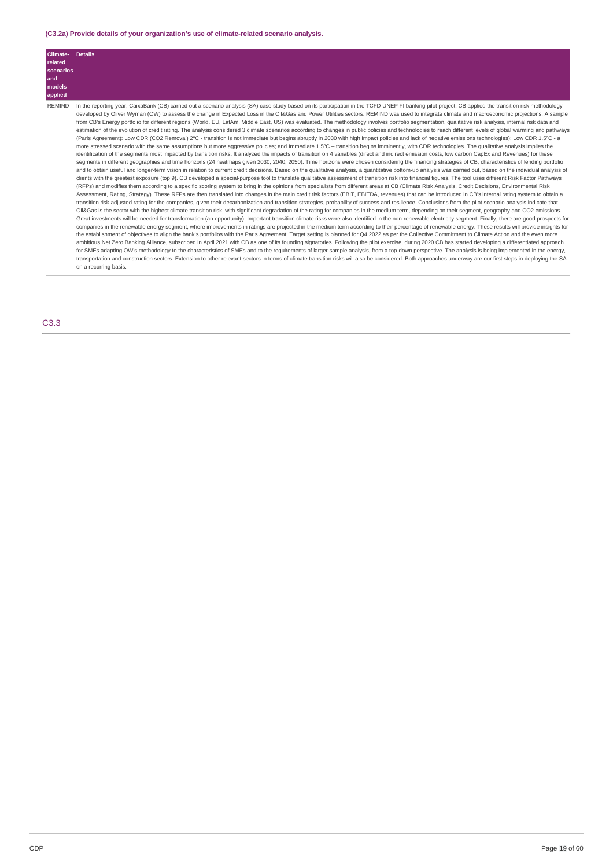## **(C3.2a) Provide details of your organization's use of climate-related scenario analysis.**

| Climate-<br>related<br>scenarios<br>and<br>models<br>applied | <b>Details</b>                                                                                                                                                                                                                                                                                                                                                                                                                                                                                                                                                                                                                                                                                                                                                                                                                                                                                                                                                                                                                                                                                                                                                                                                                                                                                                                                                                                                                                                                                                                                                                                                                                                                                                                                                                                                                                                                                                                                                                                                                                                                                                                                                                                                                                                                                                                                                                                                                                                                                                                                                                                                                                                                                                                                                                                                                                                                                                                                                                                                                                                                                                                                                                                                                                                                                                                                                                                                                                                                                                                                                                                                                                                                                                                                                                                                                                                                                                                                                                                                                                                                                                                                                                                                         |
|--------------------------------------------------------------|------------------------------------------------------------------------------------------------------------------------------------------------------------------------------------------------------------------------------------------------------------------------------------------------------------------------------------------------------------------------------------------------------------------------------------------------------------------------------------------------------------------------------------------------------------------------------------------------------------------------------------------------------------------------------------------------------------------------------------------------------------------------------------------------------------------------------------------------------------------------------------------------------------------------------------------------------------------------------------------------------------------------------------------------------------------------------------------------------------------------------------------------------------------------------------------------------------------------------------------------------------------------------------------------------------------------------------------------------------------------------------------------------------------------------------------------------------------------------------------------------------------------------------------------------------------------------------------------------------------------------------------------------------------------------------------------------------------------------------------------------------------------------------------------------------------------------------------------------------------------------------------------------------------------------------------------------------------------------------------------------------------------------------------------------------------------------------------------------------------------------------------------------------------------------------------------------------------------------------------------------------------------------------------------------------------------------------------------------------------------------------------------------------------------------------------------------------------------------------------------------------------------------------------------------------------------------------------------------------------------------------------------------------------------------------------------------------------------------------------------------------------------------------------------------------------------------------------------------------------------------------------------------------------------------------------------------------------------------------------------------------------------------------------------------------------------------------------------------------------------------------------------------------------------------------------------------------------------------------------------------------------------------------------------------------------------------------------------------------------------------------------------------------------------------------------------------------------------------------------------------------------------------------------------------------------------------------------------------------------------------------------------------------------------------------------------------------------------------------------------------------------------------------------------------------------------------------------------------------------------------------------------------------------------------------------------------------------------------------------------------------------------------------------------------------------------------------------------------------------------------------------------------------------------------------------------------------------------|
| <b>REMIND</b>                                                | In the reporting year, CaixaBank (CB) carried out a scenario analysis (SA) case study based on its participation in the TCFD UNEP FI banking pilot project. CB applied the transition risk methodology<br>developed by Oliver Wyman (OW) to assess the change in Expected Loss in the Oil&Gas and Power Utilities sectors. REMIND was used to integrate climate and macroeconomic projections. A sample<br>from CB's Energy portfolio for different regions (World, EU, LatAm, Middle East, US) was evaluated. The methodology involves portfolio segmentation, qualitative risk analysis, internal risk data and<br>estimation of the evolution of credit rating. The analysis considered 3 climate scenarios according to changes in public policies and technologies to reach different levels of global warming and pathways<br>(Paris Agreement): Low CDR (CO2 Removal) 2°C - transition is not immediate but begins abruptly in 2030 with high impact policies and lack of negative emissions technologies): Low CDR 1.5°C - a<br>more stressed scenario with the same assumptions but more aggressive policies; and Immediate 1.5°C - transition begins imminently, with CDR technologies. The qualitative analysis implies the<br>identification of the segments most impacted by transition risks. It analyzed the impacts of transition on 4 variables (direct and indirect emission costs, low carbon CapEx and Revenues) for these<br>segments in different geographies and time horizons (24 heatmaps given 2030, 2040, 2050). Time horizons were chosen considering the financing strategies of CB, characteristics of lending portfolio<br>and to obtain useful and longer-term vision in relation to current credit decisions. Based on the qualitative analysis, a quantitative bottom-up analysis was carried out, based on the individual analysis of<br>clients with the greatest exposure (top 9). CB developed a special-purpose tool to translate qualitative assessment of transition risk into financial figures. The tool uses different Risk Factor Pathways<br>(RFPs) and modifies them according to a specific scoring system to bring in the opinions from specialists from different areas at CB (Climate Risk Analysis, Credit Decisions, Environmental Risk<br>Assessment, Rating, Strategy). These RFPs are then translated into changes in the main credit risk factors (EBIT, EBITDA, revenues) that can be introduced in CB's internal rating system to obtain a<br>transition risk-adjusted rating for the companies, given their decarbonization and transition strategies, probability of success and resilience. Conclusions from the pilot scenario analysis indicate that<br>Oil&Gas is the sector with the highest climate transition risk, with significant degradation of the rating for companies in the medium term, depending on their segment, geography and CO2 emissions.<br>Great investments will be needed for transformation (an opportunity). Important transition climate risks were also identified in the non-renewable electricity segment. Finally, there are good prospects for<br>companies in the renewable energy segment, where improvements in ratings are projected in the medium term according to their percentage of renewable energy. These results will provide insights for<br>the establishment of objectives to align the bank's portfolios with the Paris Agreement. Target setting is planned for Q4 2022 as per the Collective Commitment to Climate Action and the even more<br>ambitious Net Zero Banking Alliance, subscribed in April 2021 with CB as one of its founding signatories. Following the pilot exercise, during 2020 CB has started developing a differentiated approach<br>for SMEs adapting OW's methodology to the characteristics of SMEs and to the requirements of larger sample analysis, from a top-down perspective. The analysis is being implemented in the energy,<br>transportation and construction sectors. Extension to other relevant sectors in terms of climate transition risks will also be considered. Both approaches underway are our first steps in deploying the SA<br>on a recurring basis. |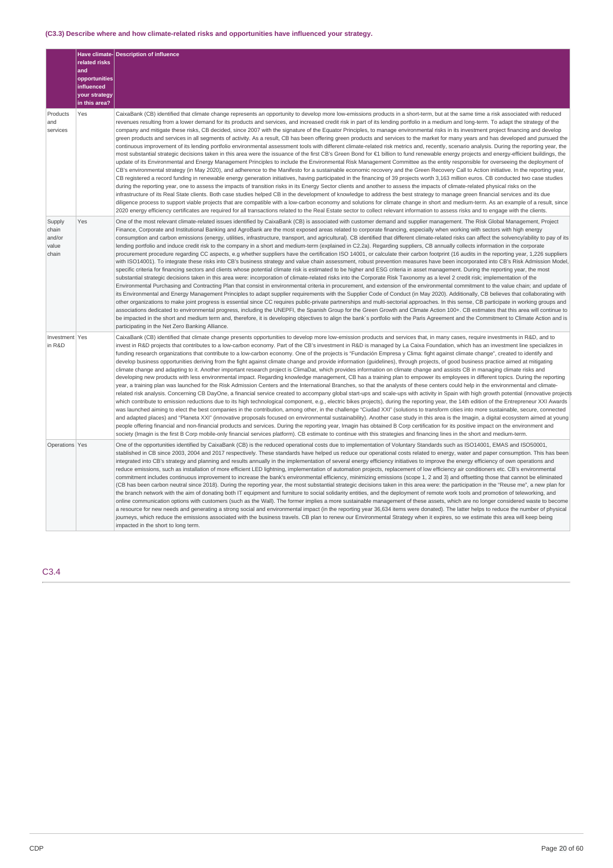## **(C3.3) Describe where and how climate-related risks and opportunities have influenced your strategy.**

|                                             | related risks<br>and<br>opportunities        | Have climate-Description of influence                                                                                                                                                                                                                                                                                                                                                                                                                                                                                                                                                                                                                                                                                                                                                                                                                                                                                                                                                                                                                                                                                                                                                                                                                                                                                                                                                                                                                                                                                                                                                                                                                                                                                                                                                                                                                                                                                                                                                                                                                                                                                                                                                                                                                                                                                                                                                                                                                                                                                                  |
|---------------------------------------------|----------------------------------------------|----------------------------------------------------------------------------------------------------------------------------------------------------------------------------------------------------------------------------------------------------------------------------------------------------------------------------------------------------------------------------------------------------------------------------------------------------------------------------------------------------------------------------------------------------------------------------------------------------------------------------------------------------------------------------------------------------------------------------------------------------------------------------------------------------------------------------------------------------------------------------------------------------------------------------------------------------------------------------------------------------------------------------------------------------------------------------------------------------------------------------------------------------------------------------------------------------------------------------------------------------------------------------------------------------------------------------------------------------------------------------------------------------------------------------------------------------------------------------------------------------------------------------------------------------------------------------------------------------------------------------------------------------------------------------------------------------------------------------------------------------------------------------------------------------------------------------------------------------------------------------------------------------------------------------------------------------------------------------------------------------------------------------------------------------------------------------------------------------------------------------------------------------------------------------------------------------------------------------------------------------------------------------------------------------------------------------------------------------------------------------------------------------------------------------------------------------------------------------------------------------------------------------------------|
|                                             | influenced<br>your strategy<br>in this area? |                                                                                                                                                                                                                                                                                                                                                                                                                                                                                                                                                                                                                                                                                                                                                                                                                                                                                                                                                                                                                                                                                                                                                                                                                                                                                                                                                                                                                                                                                                                                                                                                                                                                                                                                                                                                                                                                                                                                                                                                                                                                                                                                                                                                                                                                                                                                                                                                                                                                                                                                        |
| Products<br>and<br>services                 | Yes                                          | CaixaBank (CB) identified that climate change represents an opportunity to develop more low-emissions products in a short-term, but at the same time a risk associated with reduced<br>revenues resulting from a lower demand for its products and services, and increased credit risk in part of its lending portfolio in a medium and long-term. To adapt the strategy of the<br>company and mitigate these risks, CB decided, since 2007 with the signature of the Equator Principles, to manage environmental risks in its investment project financing and develop<br>green products and services in all segments of activity. As a result, CB has been offering green products and services to the market for many years and has developed and pursued the<br>continuous improvement of its lending portfolio environmental assessment tools with different climate-related risk metrics and, recently, scenario analysis. During the reporting year, the<br>most substantial strategic decisions taken in this area were the issuance of the first CB's Green Bond for €1 billion to fund renewable energy projects and energy-efficient buildings, the<br>update of its Environmental and Energy Management Principles to include the Environmental Risk Management Committee as the entity responsible for overseeing the deployment of<br>CB's environmental strategy (in May 2020), and adherence to the Manifesto for a sustainable economic recovery and the Green Recovery Call to Action initiative. In the reporting year,<br>CB registered a record funding in renewable energy generation initiatives, having participated in the financing of 39 projects worth 3,163 million euros. CB conducted two case studies<br>during the reporting year, one to assess the impacts of transition risks in its Energy Sector clients and another to assess the impacts of climate-related physical risks on the<br>infrastructure of its Real State clients. Both case studies helped CB in the development of knowledge to address the best strategy to manage green financial services and its due<br>diligence process to support viable projects that are compatible with a low-carbon economy and solutions for climate change in short and medium-term. As an example of a result, since<br>2020 energy efficiency certificates are required for all transactions related to the Real Estate sector to collect relevant information to assess risks and to engage with the clients.                                    |
| Supply<br>chain<br>and/or<br>value<br>chain | Yes                                          | One of the most relevant climate-related issues identified by CaixaBank (CB) is associated with customer demand and supplier management. The Risk Global Management, Project<br>Finance, Corporate and Institutional Banking and AgroBank are the most exposed areas related to corporate financing, especially when working with sectors with high energy<br>consumption and carbon emissions (energy, utilities, infrastructure, transport, and agricultural). CB identified that different climate-related risks can affect the solvency/ability to pay of its<br>lending portfolio and induce credit risk to the company in a short and medium-term (explained in C2.2a). Regarding suppliers, CB annually collects information in the corporate<br>procurement procedure regarding CC aspects, e.g whether suppliers have the certification ISO 14001, or calculate their carbon footprint (16 audits in the reporting year, 1,226 suppliers<br>with ISO14001). To integrate these risks into CB's business strategy and value chain assessment, robust prevention measures have been incorporated into CB's Risk Admission Model,<br>specific criteria for financing sectors and clients whose potential climate risk is estimated to be higher and ESG criteria in asset management. During the reporting year, the most<br>substantial strategic decisions taken in this area were: incorporation of climate-related risks into the Corporate Risk Taxonomy as a level 2 credit risk; implementation of the<br>Environmental Purchasing and Contracting Plan that consist in environmental criteria in procurement, and extension of the environmental commitment to the value chain; and update of<br>its Environmental and Energy Management Principles to adapt supplier requirements with the Supplier Code of Conduct (in May 2020). Additionally, CB believes that collaborating with<br>other organizations to make joint progress is essential since CC requires public-private partnerships and multi-sectorial approaches. In this sense, CB participate in working groups and<br>associations dedicated to environmental progress, including the UNEPFI, the Spanish Group for the Green Growth and Climate Action 100+. CB estimates that this area will continue to<br>be impacted in the short and medium term and, therefore, it is developing objectives to align the bank's portfolio with the Paris Agreement and the Commitment to Climate Action and is<br>participating in the Net Zero Banking Alliance. |
| Investment Yes<br>in R&D                    |                                              | CaixaBank (CB) identified that climate change presents opportunities to develop more low-emission products and services that, in many cases, require investments in R&D, and to<br>invest in R&D projects that contributes to a low-carbon economy. Part of the CB's investment in R&D is managed by La Caixa Foundation, which has an investment line specializes in<br>funding research organizations that contribute to a low-carbon economy. One of the projects is "Fundación Empresa y Clima: fight against climate change", created to identify and<br>develop business opportunities deriving from the fight against climate change and provide information (quidelines), through projects, of good business practice aimed at mitigating<br>climate change and adapting to it. Another important research project is ClimaDat, which provides information on climate change and assists CB in managing climate risks and<br>developing new products with less environmental impact. Regarding knowledge management, CB has a training plan to empower its employees in different topics. During the reporting<br>year, a training plan was launched for the Risk Admission Centers and the International Branches, so that the analysts of these centers could help in the environmental and climate-<br>related risk analysis. Concerning CB DayOne, a financial service created to accompany global start-ups and scale-ups with activity in Spain with high growth potential (innovative projects<br>which contribute to emission reductions due to its high technological component, e.g., electric bikes projects), during the reporting year, the 14th edition of the Entrepreneur XXI Awards<br>was launched aiming to elect the best companies in the contribution, among other, in the challenge "Ciudad XXI" (solutions to transform cities into more sustainable, secure, connected<br>and adapted places) and "Planeta XXI" (innovative proposals focused on environmental sustainability). Another case study in this area is the Imagin, a digital ecosystem aimed at young<br>people offering financial and non-financial products and services. During the reporting year, Imagin has obtained B Corp certification for its positive impact on the environment and<br>society (Imagin is the first B Corp mobile-only financial services platform). CB estimate to continue with this strategies and financing lines in the short and medium-term.                                                            |
| Operations Yes                              |                                              | One of the opportunities identified by CaixaBank (CB) is the reduced operational costs due to implementation of Voluntary Standards such as ISO14001, EMAS and ISO50001,<br>stablished in CB since 2003, 2004 and 2017 respectively. These standards have helped us reduce our operational costs related to energy, water and paper consumption. This has been<br>integrated into CB's strategy and planning and results annually in the implementation of several energy efficiency initiatives to improve the energy efficiency of own operations and<br>reduce emissions, such as installation of more efficient LED lightning, implementation of automation projects, replacement of low efficiency air conditioners etc. CB's environmental<br>commitment includes continuous improvement to increase the bank's environmental efficiency, minimizing emissions (scope 1, 2 and 3) and offsetting those that cannot be eliminated<br>(CB has been carbon neutral since 2018). During the reporting year, the most substantial strategic decisions taken in this area were: the participation in the "Reuse me", a new plan for<br>the branch network with the aim of donating both IT equipment and furniture to social solidarity entities, and the deployment of remote work tools and promotion of teleworking, and<br>online communication options with customers (such as the Wall). The former implies a more sustainable management of these assets, which are no longer considered waste to become<br>a resource for new needs and generating a strong social and environmental impact (in the reporting year 36,634 items were donated). The latter helps to reduce the number of physical<br>journeys, which reduce the emissions associated with the business travels. CB plan to renew our Environmental Strategy when it expires, so we estimate this area will keep being<br>impacted in the short to long term.                                                                                                                                                                                                                                                                                                                                                                                                                                                                                                                                                                                                    |

C3.4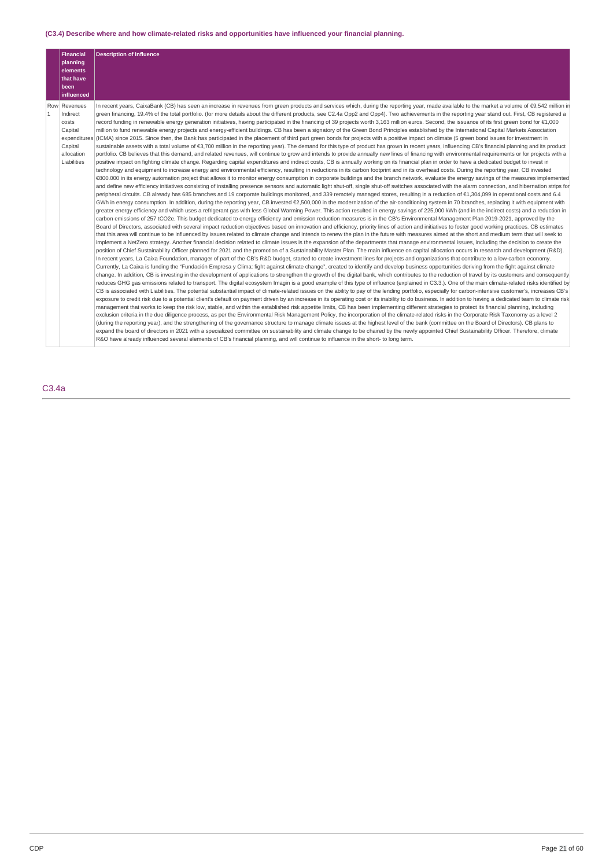## **(C3.4) Describe where and how climate-related risks and opportunities have influenced your financial planning.**

|              | <b>Financial</b><br>planning<br>elements<br>that have                                | <b>Description of influence</b>                                                                                                                                                                                                                                                                                                                                                                                                                                                                                                                                                                                                                                                                                                                                                                                                                                                                                                                                                                                                                                                                                                                                                                                                                                                                                                                                                                                                                                                                                                                                                                                                                                                                                                                                                                                                                                                                                                                                                                                                                                                                                                                                                                                                                                                                                                                                                                                                                                                                                                                                                                                                                                                                                                                                                                                                                                                                                                                                                                                                                                                                                                                                                                                                                                                                                                                                                                                                                                                                                                                                                                                                                                                                                                                                                                                                                                                                                                                                                                                                                                                                                                                                                                                                                                                                                                                                                                                                                                                                                                                                                                                                                                                                                                                                                                                                                                                                                                                                                                                                                                                                                                                                                                                                                                                                                                                                                                                                                                                                                                                                                                                                                                                                                                                                                                                                                                                                                                                                                                                                 |
|--------------|--------------------------------------------------------------------------------------|---------------------------------------------------------------------------------------------------------------------------------------------------------------------------------------------------------------------------------------------------------------------------------------------------------------------------------------------------------------------------------------------------------------------------------------------------------------------------------------------------------------------------------------------------------------------------------------------------------------------------------------------------------------------------------------------------------------------------------------------------------------------------------------------------------------------------------------------------------------------------------------------------------------------------------------------------------------------------------------------------------------------------------------------------------------------------------------------------------------------------------------------------------------------------------------------------------------------------------------------------------------------------------------------------------------------------------------------------------------------------------------------------------------------------------------------------------------------------------------------------------------------------------------------------------------------------------------------------------------------------------------------------------------------------------------------------------------------------------------------------------------------------------------------------------------------------------------------------------------------------------------------------------------------------------------------------------------------------------------------------------------------------------------------------------------------------------------------------------------------------------------------------------------------------------------------------------------------------------------------------------------------------------------------------------------------------------------------------------------------------------------------------------------------------------------------------------------------------------------------------------------------------------------------------------------------------------------------------------------------------------------------------------------------------------------------------------------------------------------------------------------------------------------------------------------------------------------------------------------------------------------------------------------------------------------------------------------------------------------------------------------------------------------------------------------------------------------------------------------------------------------------------------------------------------------------------------------------------------------------------------------------------------------------------------------------------------------------------------------------------------------------------------------------------------------------------------------------------------------------------------------------------------------------------------------------------------------------------------------------------------------------------------------------------------------------------------------------------------------------------------------------------------------------------------------------------------------------------------------------------------------------------------------------------------------------------------------------------------------------------------------------------------------------------------------------------------------------------------------------------------------------------------------------------------------------------------------------------------------------------------------------------------------------------------------------------------------------------------------------------------------------------------------------------------------------------------------------------------------------------------------------------------------------------------------------------------------------------------------------------------------------------------------------------------------------------------------------------------------------------------------------------------------------------------------------------------------------------------------------------------------------------------------------------------------------------------------------------------------------------------------------------------------------------------------------------------------------------------------------------------------------------------------------------------------------------------------------------------------------------------------------------------------------------------------------------------------------------------------------------------------------------------------------------------------------------------------------------------------------------------------------------------------------------------------------------------------------------------------------------------------------------------------------------------------------------------------------------------------------------------------------------------------------------------------------------------------------------------------------------------------------------------------------------------------------------------------------------------------------------------------------------------|
|              | been<br>influenced                                                                   |                                                                                                                                                                                                                                                                                                                                                                                                                                                                                                                                                                                                                                                                                                                                                                                                                                                                                                                                                                                                                                                                                                                                                                                                                                                                                                                                                                                                                                                                                                                                                                                                                                                                                                                                                                                                                                                                                                                                                                                                                                                                                                                                                                                                                                                                                                                                                                                                                                                                                                                                                                                                                                                                                                                                                                                                                                                                                                                                                                                                                                                                                                                                                                                                                                                                                                                                                                                                                                                                                                                                                                                                                                                                                                                                                                                                                                                                                                                                                                                                                                                                                                                                                                                                                                                                                                                                                                                                                                                                                                                                                                                                                                                                                                                                                                                                                                                                                                                                                                                                                                                                                                                                                                                                                                                                                                                                                                                                                                                                                                                                                                                                                                                                                                                                                                                                                                                                                                                                                                                                                                 |
| $\mathbf{1}$ | Row Revenues<br>Indirect<br>costs<br>Capital<br>Capital<br>allocation<br>Liabilities | In recent years, CaixaBank (CB) has seen an increase in revenues from green products and services which, during the reporting year, made available to the market a volume of €9,542 million in<br>green financing, 19.4% of the total portfolio. (for more details about the different products, see C2.4a Opp2 and Opp4). Two achievements in the reporting year stand out. First, CB registered a<br>record funding in renewable energy generation initiatives, having participated in the financing of 39 projects worth 3,163 million euros. Second, the issuance of its first green bond for €1,000<br>million to fund renewable energy projects and energy-efficient buildings. CB has been a signatory of the Green Bond Principles established by the International Capital Markets Association<br>expenditures (ICMA) since 2015. Since then, the Bank has participated in the placement of third part green bonds for projects with a positive impact on climate (5 green bond issues for investment in<br>sustainable assets with a total volume of €3,700 million in the reporting year). The demand for this type of product has grown in recent years, influencing CB's financial planning and its product<br>portfolio. CB believes that this demand, and related revenues, will continue to grow and intends to provide annually new lines of financing with environmental requirements or for projects with a<br>positive impact on fighting climate change. Regarding capital expenditures and indirect costs, CB is annually working on its financial plan in order to have a dedicated budget to invest in<br>technology and equipment to increase energy and environmental efficiency, resulting in reductions in its carbon footprint and in its overhead costs. During the reporting year, CB invested<br>€800.000 in its energy automation project that allows it to monitor energy consumption in corporate buildings and the branch network, evaluate the energy savings of the measures implemented<br>and define new efficiency initiatives consisting of installing presence sensors and automatic light shut-off, single shut-off switches associated with the alarm connection, and hibernation strips for<br>peripheral circuits. CB already has 685 branches and 19 corporate buildings monitored, and 339 remotely managed stores, resulting in a reduction of €1,304,099 in operational costs and 6.4<br>GWh in energy consumption. In addition, during the reporting year, CB invested €2,500,000 in the modernization of the air-conditioning system in 70 branches, replacing it with equipment with<br>greater energy efficiency and which uses a refrigerant gas with less Global Warming Power. This action resulted in energy savings of 225,000 kWh (and in the indirect costs) and a reduction in<br>carbon emissions of 257 tCO2e. This budget dedicated to energy efficiency and emission reduction measures is in the CB's Environmental Management Plan 2019-2021, approved by the<br>Board of Directors, associated with several impact reduction objectives based on innovation and efficiency, priority lines of action and initiatives to foster good working practices. CB estimates<br>that this area will continue to be influenced by issues related to climate change and intends to renew the plan in the future with measures aimed at the short and medium term that will seek to<br>implement a NetZero strategy. Another financial decision related to climate issues is the expansion of the departments that manage environmental issues, including the decision to create the<br>position of Chief Sustainability Officer planned for 2021 and the promotion of a Sustainability Master Plan. The main influence on capital allocation occurs in research and development (R&D).<br>In recent years, La Caixa Foundation, manager of part of the CB's R&D budget, started to create investment lines for projects and organizations that contribute to a low-carbon economy.<br>Currently, La Caixa is funding the "Fundación Empresa y Clima: fight against climate change", created to identify and develop business opportunities deriving from the fight against climate<br>change. In addition, CB is investing in the development of applications to strengthen the growth of the digital bank, which contributes to the reduction of travel by its customers and consequently<br>reduces GHG gas emissions related to transport. The digital ecosystem Imagin is a good example of this type of influence (explained in C3.3.). One of the main climate-related risks identified by<br>CB is associated with Liabilities. The potential substantial impact of climate-related issues on the ability to pay of the lending portfolio, especially for carbon-intensive customer's, increases CB's<br>exposure to credit risk due to a potential client's default on payment driven by an increase in its operating cost or its inability to do business. In addition to having a dedicated team to climate risk<br>management that works to keep the risk low, stable, and within the established risk appetite limits, CB has been implementing different strategies to protect its financial planning, including<br>exclusion criteria in the due diligence process, as per the Environmental Risk Management Policy, the incorporation of the climate-related risks in the Corporate Risk Taxonomy as a level 2<br>(during the reporting year), and the strengthening of the governance structure to manage climate issues at the highest level of the bank (committee on the Board of Directors). CB plans to<br>expand the board of directors in 2021 with a specialized committee on sustainability and climate change to be chaired by the newly appointed Chief Sustainability Officer. Therefore, climate<br>R&O have already influenced several elements of CB's financial planning, and will continue to influence in the short- to long term. |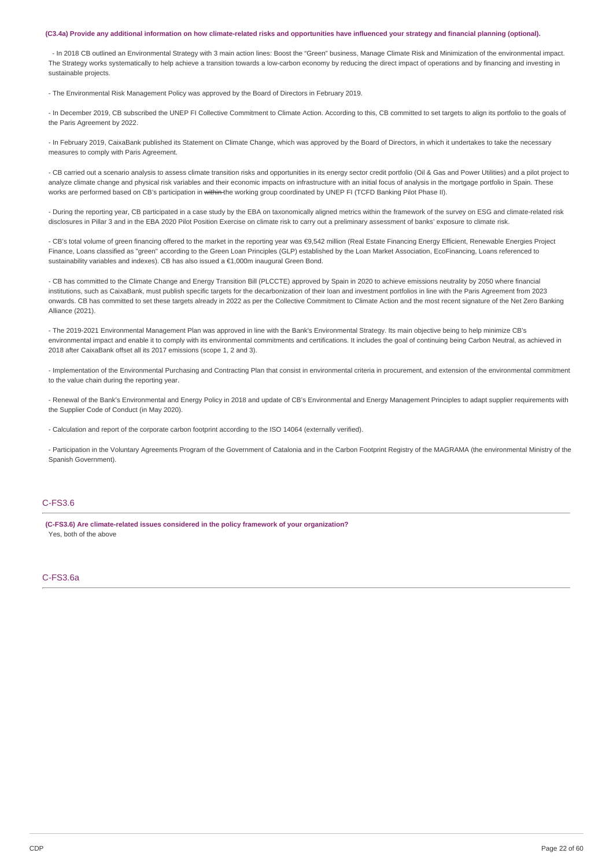#### (C3.4a) Provide any additional information on how climate-related risks and opportunities have influenced your strategy and financial planning (optional).

- In 2018 CB outlined an Environmental Strategy with 3 main action lines: Boost the "Green" business, Manage Climate Risk and Minimization of the environmental impact. The Strategy works systematically to help achieve a transition towards a low-carbon economy by reducing the direct impact of operations and by financing and investing in sustainable projects.

- The Environmental Risk Management Policy was approved by the Board of Directors in February 2019.

- In December 2019, CB subscribed the UNEP FI Collective Commitment to Climate Action. According to this, CB committed to set targets to align its portfolio to the goals of the Paris Agreement by 2022.

- In February 2019, CaixaBank published its Statement on Climate Change, which was approved by the Board of Directors, in which it undertakes to take the necessary measures to comply with Paris Agreement.

- CB carried out a scenario analysis to assess climate transition risks and opportunities in its energy sector credit portfolio (Oil & Gas and Power Utilities) and a pilot project to analyze climate change and physical risk variables and their economic impacts on infrastructure with an initial focus of analysis in the mortgage portfolio in Spain. These works are performed based on CB's participation in within the working group coordinated by UNEP FI (TCFD Banking Pilot Phase II).

- During the reporting year, CB participated in a case study by the EBA on taxonomically aligned metrics within the framework of the survey on ESG and climate-related risk disclosures in Pillar 3 and in the EBA 2020 Pilot Position Exercise on climate risk to carry out a preliminary assessment of banks' exposure to climate risk.

- CB's total volume of green financing offered to the market in the reporting year was €9,542 million (Real Estate Financing Energy Efficient, Renewable Energies Project Finance, Loans classified as "green" according to the Green Loan Principles (GLP) established by the Loan Market Association, EcoFinancing, Loans referenced to sustainability variables and indexes). CB has also issued a €1,000m inaugural Green Bond.

- CB has committed to the Climate Change and Energy Transition Bill (PLCCTE) approved by Spain in 2020 to achieve emissions neutrality by 2050 where financial institutions, such as CaixaBank, must publish specific targets for the decarbonization of their loan and investment portfolios in line with the Paris Agreement from 2023 onwards. CB has committed to set these targets already in 2022 as per the Collective Commitment to Climate Action and the most recent signature of the Net Zero Banking Alliance (2021).

- The 2019-2021 Environmental Management Plan was approved in line with the Bank's Environmental Strategy. Its main objective being to help minimize CB's environmental impact and enable it to comply with its environmental commitments and certifications. It includes the goal of continuing being Carbon Neutral, as achieved in 2018 after CaixaBank offset all its 2017 emissions (scope 1, 2 and 3).

- Implementation of the Environmental Purchasing and Contracting Plan that consist in environmental criteria in procurement, and extension of the environmental commitment to the value chain during the reporting year.

- Renewal of the Bank's Environmental and Energy Policy in 2018 and update of CB's Environmental and Energy Management Principles to adapt supplier requirements with the Supplier Code of Conduct (in May 2020).

- Calculation and report of the corporate carbon footprint according to the ISO 14064 (externally verified).

- Participation in the Voluntary Agreements Program of the Government of Catalonia and in the Carbon Footprint Registry of the MAGRAMA (the environmental Ministry of the Spanish Government).

### C-FS3.6

**(C-FS3.6) Are climate-related issues considered in the policy framework of your organization?** Yes, both of the above

### C-FS3.6a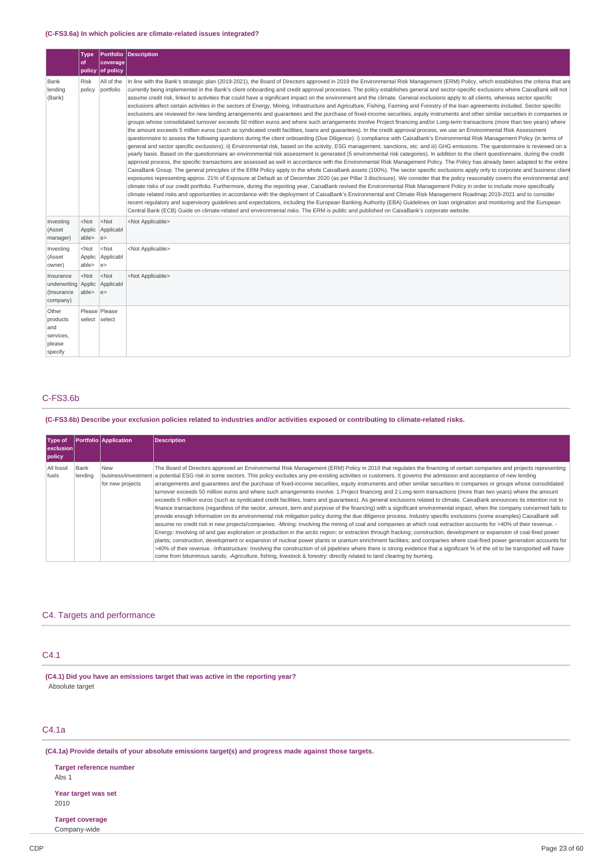### **(C-FS3.6a) In which policies are climate-related issues integrated?**

|                                                            | <b>Type</b><br>of          | coverage<br>policy of policy | Portfolio Description                                                                                                                                                                                                                                                                                                                                                                                                                                                                                                                                                                                                                                                                                                                                                                                                                                                                                                                                                                                                                                                                                                                                                                                                                                                                                                                                                                                                                                                                                                                                                                                                                                                                                                                                                                                                                                                                                                                                                                                                                                                                                                                                                                                                                                                                                                                                                                                                                                                                                                                                                                                                                                                                                                                                                                                                                                                                                                                                                                                                                                                                                                 |  |
|------------------------------------------------------------|----------------------------|------------------------------|-----------------------------------------------------------------------------------------------------------------------------------------------------------------------------------------------------------------------------------------------------------------------------------------------------------------------------------------------------------------------------------------------------------------------------------------------------------------------------------------------------------------------------------------------------------------------------------------------------------------------------------------------------------------------------------------------------------------------------------------------------------------------------------------------------------------------------------------------------------------------------------------------------------------------------------------------------------------------------------------------------------------------------------------------------------------------------------------------------------------------------------------------------------------------------------------------------------------------------------------------------------------------------------------------------------------------------------------------------------------------------------------------------------------------------------------------------------------------------------------------------------------------------------------------------------------------------------------------------------------------------------------------------------------------------------------------------------------------------------------------------------------------------------------------------------------------------------------------------------------------------------------------------------------------------------------------------------------------------------------------------------------------------------------------------------------------------------------------------------------------------------------------------------------------------------------------------------------------------------------------------------------------------------------------------------------------------------------------------------------------------------------------------------------------------------------------------------------------------------------------------------------------------------------------------------------------------------------------------------------------------------------------------------------------------------------------------------------------------------------------------------------------------------------------------------------------------------------------------------------------------------------------------------------------------------------------------------------------------------------------------------------------------------------------------------------------------------------------------------------------|--|
| Bank<br>lending<br>(Bank)                                  | <b>Risk</b><br>policy      | All of the<br>portfolio      | In line with the Bank's strategic plan (2019-2021), the Board of Directors approved in 2019 the Environmental Risk Management (ERM) Policy, which establishes the criteria that are<br>currently being implemented in the Bank's client onboarding and credit approval processes. The policy establishes general and sector-specific exclusions where CaixaBank will not<br>assume credit risk, linked to activities that could have a significant impact on the environment and the climate. General exclusions apply to all clients, whereas sector specific<br>exclusions affect certain activities in the sectors of Energy, Mining, Infrastructure and Agriculture, Fishing, Farming and Forestry of the loan agreements included. Sector specific<br>exclusions are reviewed for new lending arrangements and guarantees and the purchase of fixed-income securities, equity instruments and other similar securities in companies or<br>groups whose consolidated turnover exceeds 50 million euros and where such arrangements involve Project financing and/or Long-term transactions (more than two years) where<br>the amount exceeds 5 million euros (such as syndicated credit facilities, loans and quarantees). In the credit approval process, we use an Environmental Risk Assessment<br>questionnaire to assess the following questions during the client onboarding (Due Diligence): i) compliance with CaixaBank's Environmental Risk Management Policy (in terms of<br>general and sector specific exclusions); ii) Environmental risk, based on the activity, ESG management, sanctions, etc. and iii) GHG emissions. The questionnaire is reviewed on a<br>yearly basis. Based on the questionnaire an environmental risk assessment is generated (5 environmental risk categories). In addition to the client questionnaire, during the credit<br>approval process, the specific transactions are assessed as well in accordance with the Environmental Risk Management Policy. The Policy has already been adapted to the entire<br>CaixaBank Group. The general principles of the ERM Policy apply to the whole CaixaBank assets (100%). The sector specific exclusions apply only to corporate and business client<br>exposures representing approx. 21% of Exposure at Default as of December 2020 (as per Pillar 3 disclosure). We consider that the policy reasonably covers the environmental and<br>climate risks of our credit portfolio. Furthermore, during the reporting year, CaixaBank revised the Environmental Risk Management Policy in order to include more specifically<br>climate related risks and opportunities in accordance with the deployment of CaixaBank's Environmental and Climate Risk Management Roadmap 2019-2021 and to consider<br>recent requlatory and supervisory quidelines and expectations, including the European Banking Authority (EBA) Guidelines on loan origination and monitoring and the European<br>Central Bank (ECB) Guide on climate-related and environmental risks. The ERM is public and published on CaixaBank's corporate website. |  |
| Investing<br>(Asset<br>manager)                            | $<$ Not<br>Applic<br>able> | $<$ Not<br>Applicabl<br>e    | <not applicable=""></not>                                                                                                                                                                                                                                                                                                                                                                                                                                                                                                                                                                                                                                                                                                                                                                                                                                                                                                                                                                                                                                                                                                                                                                                                                                                                                                                                                                                                                                                                                                                                                                                                                                                                                                                                                                                                                                                                                                                                                                                                                                                                                                                                                                                                                                                                                                                                                                                                                                                                                                                                                                                                                                                                                                                                                                                                                                                                                                                                                                                                                                                                                             |  |
| Investing<br>(Asset<br>owner)                              | $<$ Not<br>Applic<br>able> | $<$ Not<br>Applicabl<br>e    | <not applicable=""></not>                                                                                                                                                                                                                                                                                                                                                                                                                                                                                                                                                                                                                                                                                                                                                                                                                                                                                                                                                                                                                                                                                                                                                                                                                                                                                                                                                                                                                                                                                                                                                                                                                                                                                                                                                                                                                                                                                                                                                                                                                                                                                                                                                                                                                                                                                                                                                                                                                                                                                                                                                                                                                                                                                                                                                                                                                                                                                                                                                                                                                                                                                             |  |
| Insurance<br>underwriting Applic<br>(Insurance<br>company) | $<$ Not<br>able>           | $<$ Not<br>Applicabl<br>e    | <not applicable=""></not>                                                                                                                                                                                                                                                                                                                                                                                                                                                                                                                                                                                                                                                                                                                                                                                                                                                                                                                                                                                                                                                                                                                                                                                                                                                                                                                                                                                                                                                                                                                                                                                                                                                                                                                                                                                                                                                                                                                                                                                                                                                                                                                                                                                                                                                                                                                                                                                                                                                                                                                                                                                                                                                                                                                                                                                                                                                                                                                                                                                                                                                                                             |  |
| Other<br>products<br>and<br>services,<br>please<br>specify | select select              | Please Please                |                                                                                                                                                                                                                                                                                                                                                                                                                                                                                                                                                                                                                                                                                                                                                                                                                                                                                                                                                                                                                                                                                                                                                                                                                                                                                                                                                                                                                                                                                                                                                                                                                                                                                                                                                                                                                                                                                                                                                                                                                                                                                                                                                                                                                                                                                                                                                                                                                                                                                                                                                                                                                                                                                                                                                                                                                                                                                                                                                                                                                                                                                                                       |  |

### C-FS3.6b

(C-FS3.6b) Describe your exclusion policies related to industries and/or activities exposed or contributing to climate-related risks.

| Type of<br><u>lexclusionl</u><br>policy |                 | <b>Portfolio</b> Application   | <b>Description</b>                                                                                                                                                                                                                                                                                                                                                                                                                                                                                                                                                                                                                                                                                                                                                                                                                                                                                                                                                                                                                                                                                                                                                                                                                                                                                                                                                                                                                                                                                                                                                                                                                                                                                                                                                                                                                                                                                                                                                                                                                                                  |
|-----------------------------------------|-----------------|--------------------------------|---------------------------------------------------------------------------------------------------------------------------------------------------------------------------------------------------------------------------------------------------------------------------------------------------------------------------------------------------------------------------------------------------------------------------------------------------------------------------------------------------------------------------------------------------------------------------------------------------------------------------------------------------------------------------------------------------------------------------------------------------------------------------------------------------------------------------------------------------------------------------------------------------------------------------------------------------------------------------------------------------------------------------------------------------------------------------------------------------------------------------------------------------------------------------------------------------------------------------------------------------------------------------------------------------------------------------------------------------------------------------------------------------------------------------------------------------------------------------------------------------------------------------------------------------------------------------------------------------------------------------------------------------------------------------------------------------------------------------------------------------------------------------------------------------------------------------------------------------------------------------------------------------------------------------------------------------------------------------------------------------------------------------------------------------------------------|
| All fossil<br>fuels                     | Bank<br>lendina | <b>New</b><br>for new projects | The Board of Directors approved an Environmental Risk Management (ERM) Policy in 2019 that regulates the financing of certain companies and projects representing<br>business/investment a potential ESG risk in some sectors. This policy excludes any pre-existing activities or customers. It governs the admission and acceptance of new lending<br>arrangements and guarantees and the purchase of fixed-income securities, equity instruments and other similar securities in companies or groups whose consolidated<br>turnover exceeds 50 million euros and where such arrangements involve: 1.Project financing and 2.Long-term transactions (more than two years) where the amount<br>exceeds 5 million euros (such as syndicated credit facilities, loans and quarantees). As general exclusions related to climate, CaixaBank announces its intention not to<br>finance transactions (regardless of the sector, amount, term and purpose of the financing) with a significant environmental impact, when the company concerned fails to<br>provide enough information on its environmental risk mitigation policy during the due diligence process. Industry specific exclusions (some examples) CaixaBank will<br>assume no credit risk in new projects/companies: -Mining: involving the mining of coal and companies at which coal extraction accounts for >40% of their revenue. -<br>Energy: Involving oil and gas exploration or production in the arctic region; or extraction through fracking; construction, development or expansion of coal-fired power<br>plants; construction, development or expansion of nuclear power plants or uranium enrichment facilities; and companies where coal-fired power generation accounts for<br>>40% of their revenue. -Infrastructure: Involving the construction of oil pipelines where there is strong evidence that a significant % of the oil to be transported will have<br>come from bituminous sands; -Agriculture, fishing, livestock & forestry: directly related to land clearing by burning. |

### C4. Targets and performance

## C4.1

**(C4.1) Did you have an emissions target that was active in the reporting year?** Absolute target

## C4.1a

**(C4.1a) Provide details of your absolute emissions target(s) and progress made against those targets.**

**Target reference number** Abs 1 **Year target was set** 2010

**Target coverage** Company-wide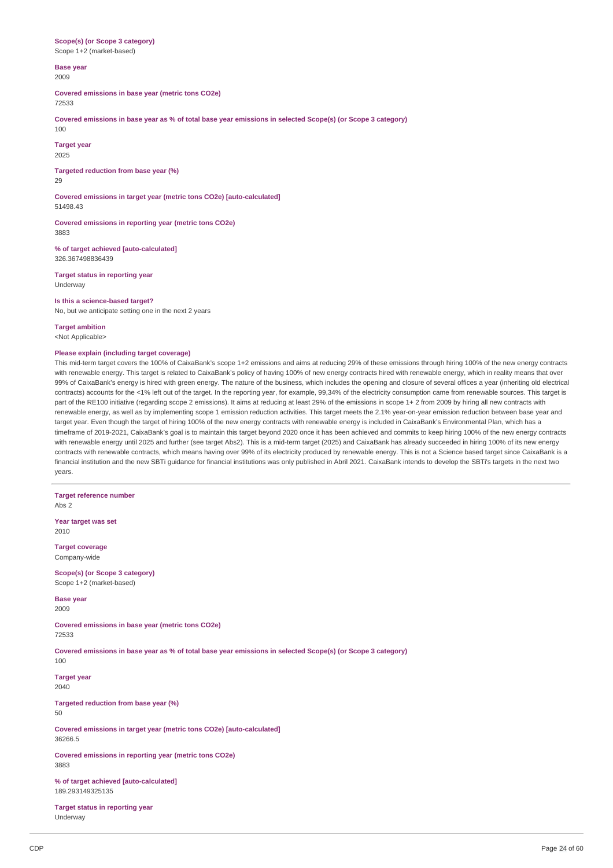### **Scope(s) (or Scope 3 category)** Scope 1+2 (market-based)

**Base year**

2009

**Covered emissions in base year (metric tons CO2e)** 72533

Covered emissions in base year as % of total base year emissions in selected Scope(s) (or Scope 3 category) 100

**Target year** 2025

**Targeted reduction from base year (%)**  $29$ 

**Covered emissions in target year (metric tons CO2e) [auto-calculated]** 51498.43

**Covered emissions in reporting year (metric tons CO2e)** 3883

**% of target achieved [auto-calculated]** 326.367498836439

**Target status in reporting year** Underway

**Is this a science-based target?** No, but we anticipate setting one in the next 2 years

**Target ambition** <Not Applicable>

### **Please explain (including target coverage)**

This mid-term target covers the 100% of CaixaBank's scope 1+2 emissions and aims at reducing 29% of these emissions through hiring 100% of the new energy contracts with renewable energy. This target is related to CaixaBank's policy of having 100% of new energy contracts hired with renewable energy, which in reality means that over 99% of CaixaBank's energy is hired with green energy. The nature of the business, which includes the opening and closure of several offices a year (inheriting old electrical contracts) accounts for the <1% left out of the target. In the reporting year, for example, 99,34% of the electricity consumption came from renewable sources. This target is part of the RE100 initiative (regarding scope 2 emissions). It aims at reducing at least 29% of the emissions in scope 1+ 2 from 2009 by hiring all new contracts with renewable energy, as well as by implementing scope 1 emission reduction activities. This target meets the 2.1% year-on-year emission reduction between base year and target year. Even though the target of hiring 100% of the new energy contracts with renewable energy is included in CaixaBank's Environmental Plan, which has a timeframe of 2019-2021, CaixaBank's goal is to maintain this target beyond 2020 once it has been achieved and commits to keep hiring 100% of the new energy contracts with renewable energy until 2025 and further (see target Abs2). This is a mid-term target (2025) and CaixaBank has already succeeded in hiring 100% of its new energy contracts with renewable contracts, which means having over 99% of its electricity produced by renewable energy. This is not a Science based target since CaixaBank is a financial institution and the new SBTi guidance for financial institutions was only published in Abril 2021. CaixaBank intends to develop the SBTi's targets in the next two years.

**Target reference number** Abs 2

**Year target was set** 2010

**Target coverage** Company-wide

**Scope(s) (or Scope 3 category)** Scope 1+2 (market-based)

**Base year** 2009

**Covered emissions in base year (metric tons CO2e)** 72533

Covered emissions in base year as % of total base year emissions in selected Scope(s) (or Scope 3 category) 100

**Target year** 2040

**Targeted reduction from base year (%)**

50

**Covered emissions in target year (metric tons CO2e) [auto-calculated]** 36266.5

**Covered emissions in reporting year (metric tons CO2e)** 3883

**% of target achieved [auto-calculated]** 189.293149325135

**Target status in reporting year** Underway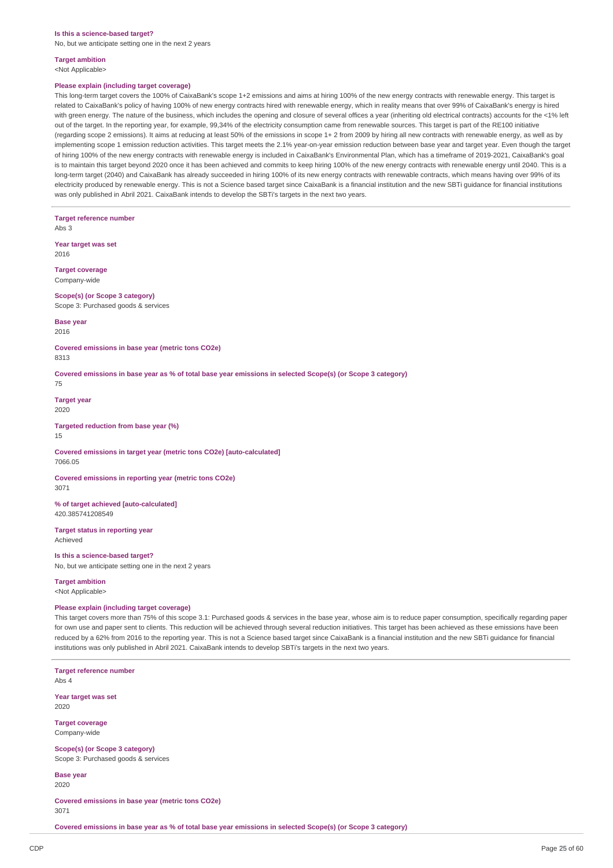#### **Is this a science-based target?**

No, but we anticipate setting one in the next 2 years

## **Target ambition**

<Not Applicable>

### **Please explain (including target coverage)**

This long-term target covers the 100% of CaixaBank's scope 1+2 emissions and aims at hiring 100% of the new energy contracts with renewable energy. This target is related to CaixaBank's policy of having 100% of new energy contracts hired with renewable energy, which in reality means that over 99% of CaixaBank's energy is hired with green energy. The nature of the business, which includes the opening and closure of several offices a year (inheriting old electrical contracts) accounts for the <1% left out of the target. In the reporting year, for example, 99,34% of the electricity consumption came from renewable sources. This target is part of the RE100 initiative (regarding scope 2 emissions). It aims at reducing at least 50% of the emissions in scope 1+ 2 from 2009 by hiring all new contracts with renewable energy, as well as by implementing scope 1 emission reduction activities. This target meets the 2.1% year-on-year emission reduction between base year and target year. Even though the target of hiring 100% of the new energy contracts with renewable energy is included in CaixaBank's Environmental Plan, which has a timeframe of 2019-2021, CaixaBank's goal is to maintain this target beyond 2020 once it has been achieved and commits to keep hiring 100% of the new energy contracts with renewable energy until 2040. This is a long-term target (2040) and CaixaBank has already succeeded in hiring 100% of its new energy contracts with renewable contracts, which means having over 99% of its electricity produced by renewable energy. This is not a Science based target since CaixaBank is a financial institution and the new SBTi guidance for financial institutions was only published in Abril 2021. CaixaBank intends to develop the SBTi's targets in the next two years.

**Target reference number**

Abs 3

**Year target was set** 2016

**Target coverage** Company-wide

**Scope(s) (or Scope 3 category)** Scope 3: Purchased goods & services

**Base year** 2016

**Covered emissions in base year (metric tons CO2e)** 8313

Covered emissions in base year as % of total base year emissions in selected Scope(s) (or Scope 3 category)

75

**Target year** 2020

**Targeted reduction from base year (%)** 15

**Covered emissions in target year (metric tons CO2e) [auto-calculated]** 7066.05

**Covered emissions in reporting year (metric tons CO2e)** 3071

**% of target achieved [auto-calculated]** 420.385741208549

**Target status in reporting year** Achieved

### **Is this a science-based target?**

No, but we anticipate setting one in the next 2 years

**Target ambition** <Not Applicable>

#### **Please explain (including target coverage)**

This target covers more than 75% of this scope 3.1: Purchased goods & services in the base year, whose aim is to reduce paper consumption, specifically regarding paper for own use and paper sent to clients. This reduction will be achieved through several reduction initiatives. This target has been achieved as these emissions have been reduced by a 62% from 2016 to the reporting year. This is not a Science based target since CaixaBank is a financial institution and the new SBTi guidance for financial institutions was only published in Abril 2021. CaixaBank intends to develop SBTi's targets in the next two years.

**Target reference number** Abs 4

**Year target was set** 2020

**Target coverage** Company-wide

**Scope(s) (or Scope 3 category)** Scope 3: Purchased goods & services

**Base year** 2020

**Covered emissions in base year (metric tons CO2e)** 3071

Covered emissions in base year as % of total base year emissions in selected Scope(s) (or Scope 3 category)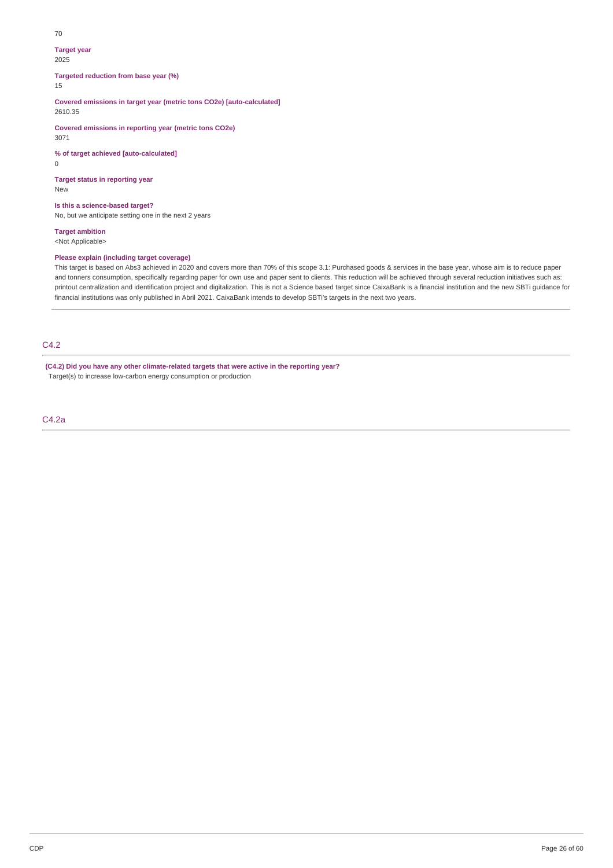#### 70

#### **Target year**

2025

**Targeted reduction from base year (%)**

### 15

**Covered emissions in target year (metric tons CO2e) [auto-calculated]** 2610.35

**Covered emissions in reporting year (metric tons CO2e)** 3071

**% of target achieved [auto-calculated]**  $\overline{0}$ 

**Target status in reporting year** New

### **Is this a science-based target?**

No, but we anticipate setting one in the next 2 years

## **Target ambition**

<Not Applicable>

## **Please explain (including target coverage)**

This target is based on Abs3 achieved in 2020 and covers more than 70% of this scope 3.1: Purchased goods & services in the base year, whose aim is to reduce paper and tonners consumption, specifically regarding paper for own use and paper sent to clients. This reduction will be achieved through several reduction initiatives such as: printout centralization and identification project and digitalization. This is not a Science based target since CaixaBank is a financial institution and the new SBTi guidance for financial institutions was only published in Abril 2021. CaixaBank intends to develop SBTi's targets in the next two years.

## C4.2

**(C4.2) Did you have any other climate-related targets that were active in the reporting year?** Target(s) to increase low-carbon energy consumption or production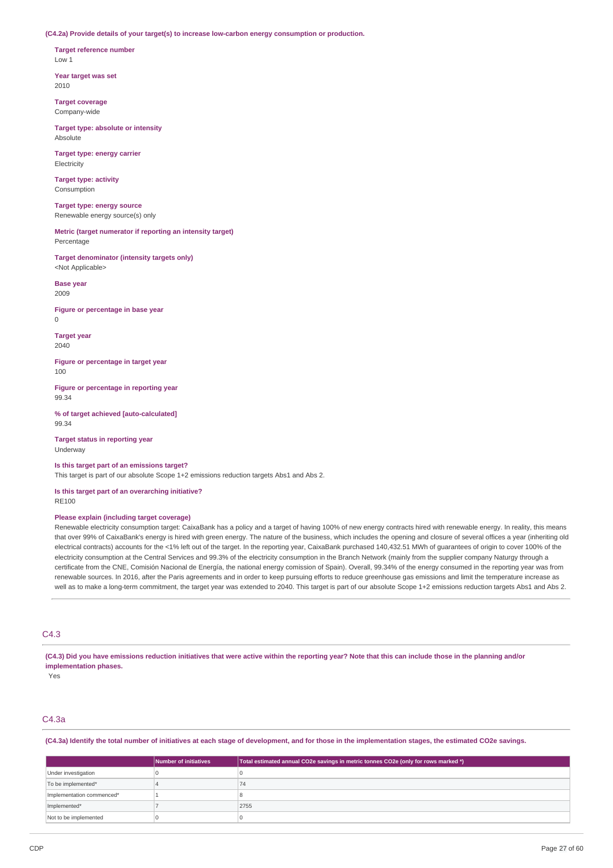**(C4.2a) Provide details of your target(s) to increase low-carbon energy consumption or production.**

**Target reference number** Low 1

**Year target was set** 2010

**Target coverage** Company-wide

**Target type: absolute or intensity** Absolute

**Target type: energy carrier** Electricity

**Target type: activity** Consumption

**Target type: energy source** Renewable energy source(s) only

**Metric (target numerator if reporting an intensity target)** Percentage

**Target denominator (intensity targets only)** <Not Applicable>

**Base year** 2009

**Figure or percentage in base year**  $\Omega$ 

**Target year** 2040

**Figure or percentage in target year** 100

**Figure or percentage in reporting year** 99.34

**% of target achieved [auto-calculated]** 99.34

**Target status in reporting year** Underway

**Is this target part of an emissions target?**

This target is part of our absolute Scope 1+2 emissions reduction targets Abs1 and Abs 2.

**Is this target part of an overarching initiative?** RE100

### **Please explain (including target coverage)**

Renewable electricity consumption target: CaixaBank has a policy and a target of having 100% of new energy contracts hired with renewable energy. In reality, this means that over 99% of CaixaBank's energy is hired with green energy. The nature of the business, which includes the opening and closure of several offices a year (inheriting old electrical contracts) accounts for the <1% left out of the target. In the reporting year, CaixaBank purchased 140,432.51 MWh of guarantees of origin to cover 100% of the electricity consumption at the Central Services and 99.3% of the electricity consumption in the Branch Network (mainly from the supplier company Naturgy through a certificate from the CNE, Comisión Nacional de Energía, the national energy comission of Spain). Overall, 99.34% of the energy consumed in the reporting year was from renewable sources. In 2016, after the Paris agreements and in order to keep pursuing efforts to reduce greenhouse gas emissions and limit the temperature increase as well as to make a long-term commitment, the target year was extended to 2040. This target is part of our absolute Scope 1+2 emissions reduction targets Abs1 and Abs 2.

### C4.3

(C4.3) Did you have emissions reduction initiatives that were active within the reporting year? Note that this can include those in the planning and/or **implementation phases.**

Yes

## C4.3a

(C4.3a) Identify the total number of initiatives at each stage of development, and for those in the implementation stages, the estimated CO2e savings.

|                           | Number of initiatives | Total estimated annual CO2e savings in metric tonnes CO2e (only for rows marked *) |
|---------------------------|-----------------------|------------------------------------------------------------------------------------|
| Under investigation       |                       |                                                                                    |
| To be implemented*        |                       | (4)                                                                                |
| Implementation commenced* |                       |                                                                                    |
| Implemented*              |                       | 2755                                                                               |
| Not to be implemented     |                       |                                                                                    |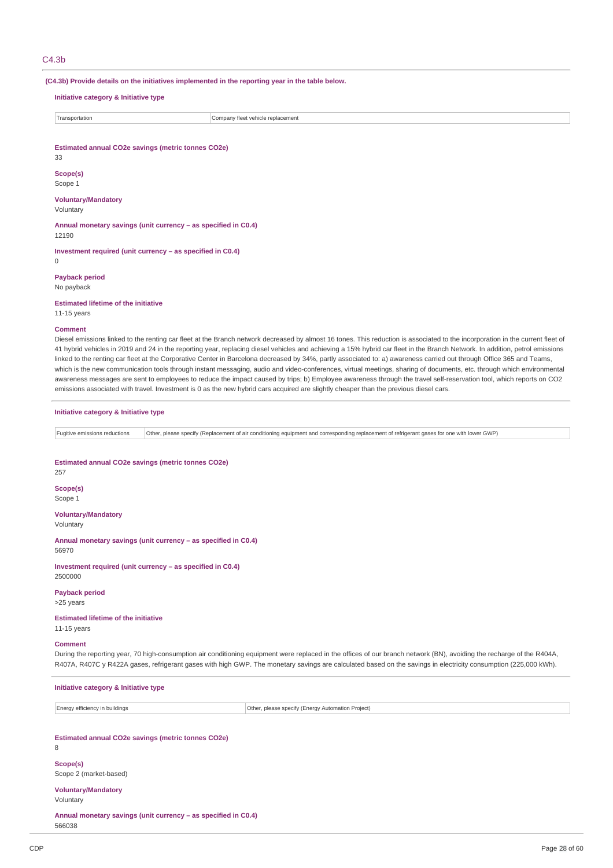#### $C<sub>4</sub>$ .3h

**(C4.3b) Provide details on the initiatives implemented in the reporting year in the table below.**

**Initiative category & Initiative type**

| ransportation | replacement<br>oanv fleet<br>10r<br>$V = 1$ |
|---------------|---------------------------------------------|
|               |                                             |

**Estimated annual CO2e savings (metric tonnes CO2e)**

33

**Scope(s)** Scope 1

#### **Voluntary/Mandatory** Voluntary

**Annual monetary savings (unit currency – as specified in C0.4)** 12190

**Investment required (unit currency – as specified in C0.4)**  $\Omega$ 

**Payback period** No payback

**Estimated lifetime of the initiative**

11-15 years

#### **Comment**

Diesel emissions linked to the renting car fleet at the Branch network decreased by almost 16 tones. This reduction is associated to the incorporation in the current fleet of 41 hybrid vehicles in 2019 and 24 in the reporting year, replacing diesel vehicles and achieving a 15% hybrid car fleet in the Branch Network. In addition, petrol emissions linked to the renting car fleet at the Corporative Center in Barcelona decreased by 34%, partly associated to: a) awareness carried out through Office 365 and Teams, which is the new communication tools through instant messaging, audio and video-conferences, virtual meetings, sharing of documents, etc. through which environmental awareness messages are sent to employees to reduce the impact caused by trips; b) Employee awareness through the travel self-reservation tool, which reports on CO2 emissions associated with travel. Investment is 0 as the new hybrid cars acquired are slightly cheaper than the previous diesel cars.

**Initiative category & Initiative type**

Fugitive emissions reductions Other, please specify (Replacement of air conditioning equipment and corresponding replacement of refrigerant gases for one with lower GWP)

**Estimated annual CO2e savings (metric tonnes CO2e)** 257 **Scope(s)** Scope 1

**Voluntary/Mandatory** Voluntary

**Annual monetary savings (unit currency – as specified in C0.4)** 56970

**Investment required (unit currency – as specified in C0.4)** 2500000

**Payback period**

>25 years

**Estimated lifetime of the initiative** 11-15 years

### **Comment**

During the reporting year, 70 high-consumption air conditioning equipment were replaced in the offices of our branch network (BN), avoiding the recharge of the R404A, R407A, R407C y R422A gases, refrigerant gases with high GWP. The monetary savings are calculated based on the savings in electricity consumption (225,000 kWh).

**Initiative category & Initiative type**

Energy efficiency in buildings Other, please specify (Energy Automation Project)

### **Estimated annual CO2e savings (metric tonnes CO2e)**

8

**Scope(s)** Scope 2 (market-based)

**Voluntary/Mandatory**

Voluntary

**Annual monetary savings (unit currency – as specified in C0.4)** 566038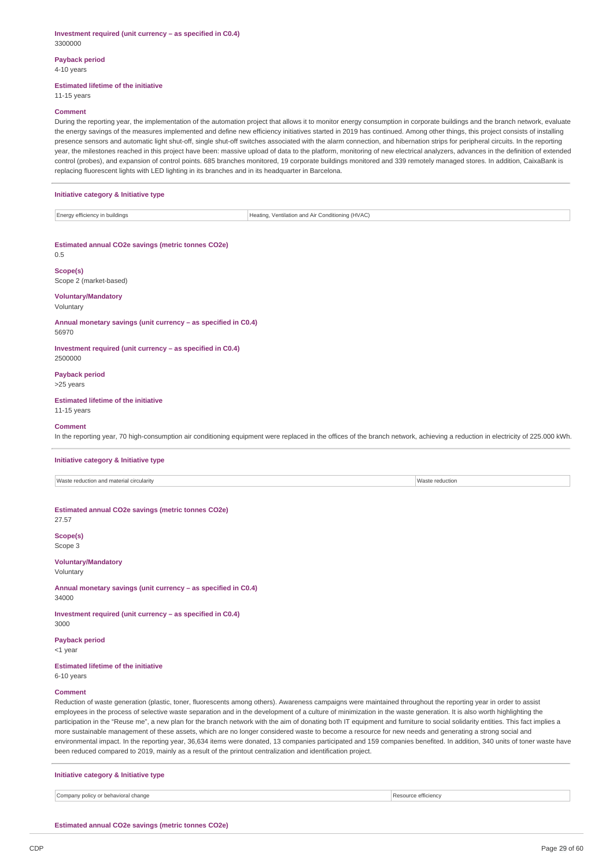#### **Investment required (unit currency – as specified in C0.4)** 3300000

#### **Payback period** 4-10 years

### **Estimated lifetime of the initiative**

11-15 years

#### **Comment**

During the reporting year, the implementation of the automation project that allows it to monitor energy consumption in corporate buildings and the branch network, evaluate the energy savings of the measures implemented and define new efficiency initiatives started in 2019 has continued. Among other things, this project consists of installing presence sensors and automatic light shut-off, single shut-off switches associated with the alarm connection, and hibernation strips for peripheral circuits. In the reporting year, the milestones reached in this project have been: massive upload of data to the platform, monitoring of new electrical analyzers, advances in the definition of extended control (probes), and expansion of control points. 685 branches monitored, 19 corporate buildings monitored and 339 remotely managed stores. In addition, CaixaBank is replacing fluorescent lights with LED lighting in its branches and in its headquarter in Barcelona.

### **Initiative category & Initiative type**

| Energy efficiency in buildings | Heating, Ventilation and Air Conditioning (HVAC)<br>____ |
|--------------------------------|----------------------------------------------------------|

#### **Estimated annual CO2e savings (metric tonnes CO2e)**

0.5

**Scope(s)** Scope 2 (market-based)

#### **Voluntary/Mandatory**

Voluntary

**Annual monetary savings (unit currency – as specified in C0.4)** 56970

**Investment required (unit currency – as specified in C0.4)** 2500000

#### **Payback period**

>25 years

### **Estimated lifetime of the initiative**

11-15 years

#### **Comment**

In the reporting year, 70 high-consumption air conditioning equipment were replaced in the offices of the branch network, achieving a reduction in electricity of 225.000 kWh.

### **Initiative category & Initiative type**

Waste reduction and material circularity Waster reduction

**Estimated annual CO2e savings (metric tonnes CO2e)**

27.57 **Scope(s)**

Scope 3

**Voluntary/Mandatory** Voluntary

**Annual monetary savings (unit currency – as specified in C0.4)** 34000

**Investment required (unit currency – as specified in C0.4)** 3000

## **Payback period**

<1 year

### **Estimated lifetime of the initiative**

6-10 years

### **Comment**

Reduction of waste generation (plastic, toner, fluorescents among others). Awareness campaigns were maintained throughout the reporting year in order to assist employees in the process of selective waste separation and in the development of a culture of minimization in the waste generation. It is also worth highlighting the participation in the "Reuse me", a new plan for the branch network with the aim of donating both IT equipment and furniture to social solidarity entities. This fact implies a more sustainable management of these assets, which are no longer considered waste to become a resource for new needs and generating a strong social and environmental impact. In the reporting year, 36,634 items were donated, 13 companies participated and 159 companies benefited. In addition, 340 units of toner waste have been reduced compared to 2019, mainly as a result of the printout centralization and identification project.

| Initiative category & Initiative type |                     |
|---------------------------------------|---------------------|
| Company policy or behavioral change   | Resource efficiency |

**Estimated annual CO2e savings (metric tonnes CO2e)**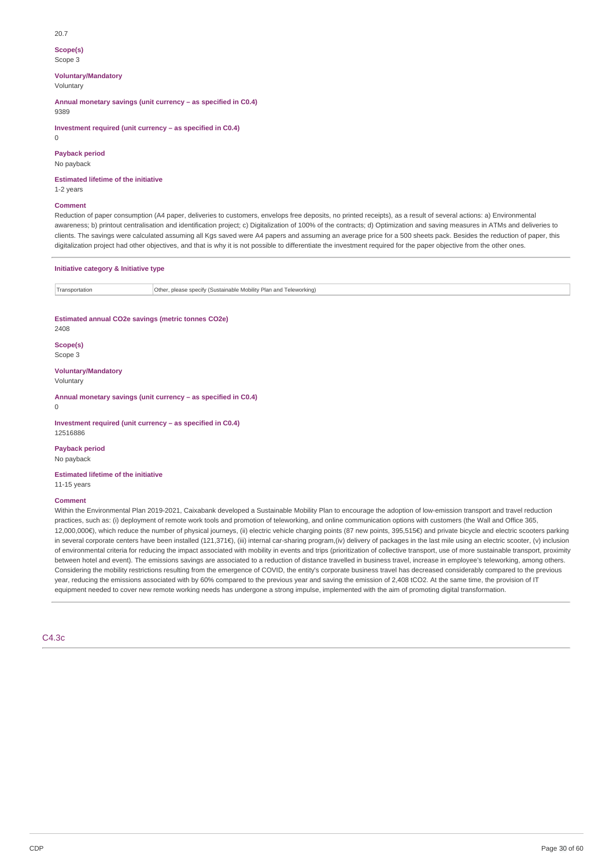#### 20.7

### **Scope(s)**

Scope 3

### **Voluntary/Mandatory**

Voluntary

**Annual monetary savings (unit currency – as specified in C0.4)**

9389

**Investment required (unit currency – as specified in C0.4)**

 $\Omega$ 

## **Payback period**

No payback

**Estimated lifetime of the initiative**

# 1-2 years

### **Comment**

Reduction of paper consumption (A4 paper, deliveries to customers, envelops free deposits, no printed receipts), as a result of several actions: a) Environmental awareness; b) printout centralisation and identification project; c) Digitalization of 100% of the contracts; d) Optimization and saving measures in ATMs and deliveries to clients. The savings were calculated assuming all Kgs saved were A4 papers and assuming an average price for a 500 sheets pack. Besides the reduction of paper, this digitalization project had other objectives, and that is why it is not possible to differentiate the investment required for the paper objective from the other ones.

### **Initiative category & Initiative type**

| ansportation* | Othe<br>$\,$ . please specify (Sustainable Mobility Plan and T<br>Teleworking)<br>____ |
|---------------|----------------------------------------------------------------------------------------|
|               |                                                                                        |

### **Estimated annual CO2e savings (metric tonnes CO2e)**

2408

## **Scope(s)**

Scope 3

### **Voluntary/Mandatory**

Voluntary

 $\Omega$ 

**Annual monetary savings (unit currency – as specified in C0.4)**

**Investment required (unit currency – as specified in C0.4)** 12516886

## **Payback period**

No payback

#### **Estimated lifetime of the initiative** 11-15 years

### **Comment**

Within the Environmental Plan 2019-2021, Caixabank developed a Sustainable Mobility Plan to encourage the adoption of low-emission transport and travel reduction practices, such as: (i) deployment of remote work tools and promotion of teleworking, and online communication options with customers (the Wall and Office 365, 12,000,000€), which reduce the number of physical journeys, (ii) electric vehicle charging points (87 new points, 395,515€) and private bicycle and electric scooters parking in several corporate centers have been installed (121,371€), (iii) internal car-sharing program,(iv) delivery of packages in the last mile using an electric scooter, (v) inclusion of environmental criteria for reducing the impact associated with mobility in events and trips (prioritization of collective transport, use of more sustainable transport, proximity between hotel and event). The emissions savings are associated to a reduction of distance travelled in business travel, increase in employee's teleworking, among others. Considering the mobility restrictions resulting from the emergence of COVID, the entity's corporate business travel has decreased considerably compared to the previous year, reducing the emissions associated with by 60% compared to the previous year and saving the emission of 2,408 tCO2. At the same time, the provision of IT equipment needed to cover new remote working needs has undergone a strong impulse, implemented with the aim of promoting digital transformation.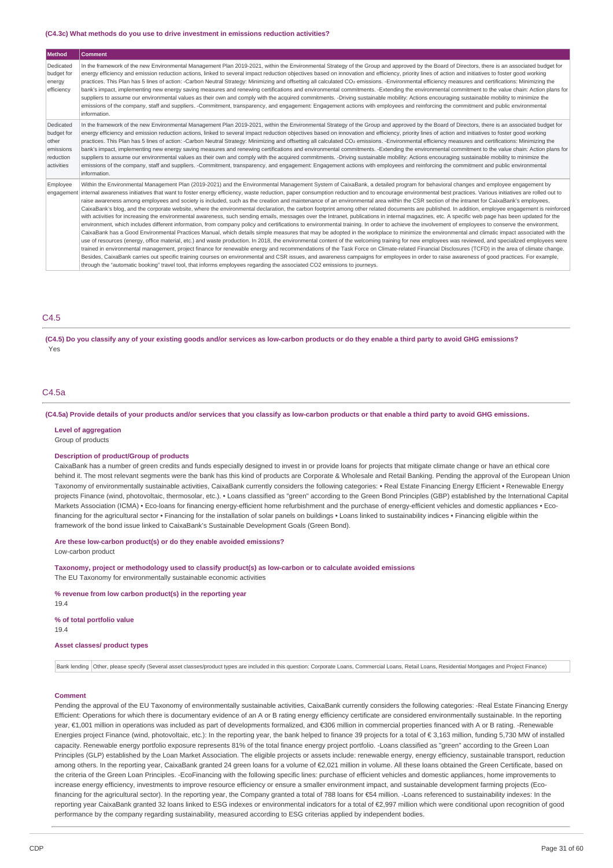#### **(C4.3c) What methods do you use to drive investment in emissions reduction activities?**

| <b>Method</b>                                                            | <b>Comment</b>                                                                                                                                                                                                                                                                                                                                                                                                                                                                                                                                                                                                                                                                                                                                                                                                                                                                                                                                                                                                                                                                                                                                                                                                                                                                                                                                                                                                                                                                                                                                                                                                                                                                                                                                                                                                                                                                                                                                                                                                                                                                                                                              |
|--------------------------------------------------------------------------|---------------------------------------------------------------------------------------------------------------------------------------------------------------------------------------------------------------------------------------------------------------------------------------------------------------------------------------------------------------------------------------------------------------------------------------------------------------------------------------------------------------------------------------------------------------------------------------------------------------------------------------------------------------------------------------------------------------------------------------------------------------------------------------------------------------------------------------------------------------------------------------------------------------------------------------------------------------------------------------------------------------------------------------------------------------------------------------------------------------------------------------------------------------------------------------------------------------------------------------------------------------------------------------------------------------------------------------------------------------------------------------------------------------------------------------------------------------------------------------------------------------------------------------------------------------------------------------------------------------------------------------------------------------------------------------------------------------------------------------------------------------------------------------------------------------------------------------------------------------------------------------------------------------------------------------------------------------------------------------------------------------------------------------------------------------------------------------------------------------------------------------------|
| Dedicated<br>budget for<br>energy<br>efficiency                          | In the framework of the new Environmental Management Plan 2019-2021, within the Environmental Strategy of the Group and approved by the Board of Directors, there is an associated budget for<br>energy efficiency and emission reduction actions, linked to several impact reduction objectives based on innovation and efficiency, priority lines of action and initiatives to foster good working<br>practices. This Plan has 5 lines of action: -Carbon Neutral Strategy: Minimizing and offsetting all calculated CO <sub>2</sub> emissions. -Environmental efficiency measures and certifications: Minimizing the<br>bank's impact, implementing new energy saving measures and renewing certifications and environmental commitments. -Extending the environmental commitment to the value chain: Action plans for<br>suppliers to assume our environmental values as their own and comply with the acquired commitments. -Driving sustainable mobility: Actions encouraging sustainable mobility to minimize the<br>emissions of the company, staff and suppliers. -Commitment, transparency, and engagement: Engagement actions with employees and reinforcing the commitment and public environmental<br>information.                                                                                                                                                                                                                                                                                                                                                                                                                                                                                                                                                                                                                                                                                                                                                                                                                                                                                                             |
| Dedicated<br>budget for<br>other<br>emissions<br>reduction<br>activities | In the framework of the new Environmental Management Plan 2019-2021, within the Environmental Strategy of the Group and approved by the Board of Directors, there is an associated budget for<br>energy efficiency and emission reduction actions, linked to several impact reduction objectives based on innovation and efficiency, priority lines of action and initiatives to foster good working<br>practices. This Plan has 5 lines of action: -Carbon Neutral Strategy: Minimizing and offsetting all calculated CO <sub>2</sub> emissions. -Environmental efficiency measures and certifications: Minimizing the<br>bank's impact, implementing new energy saving measures and renewing certifications and environmental commitments. -Extending the environmental commitment to the value chain: Action plans for<br>suppliers to assume our environmental values as their own and comply with the acquired commitments. -Driving sustainable mobility: Actions encouraging sustainable mobility to minimize the<br>emissions of the company, staff and suppliers. -Commitment, transparency, and engagement: Engagement actions with employees and reinforcing the commitment and public environmental<br>information.                                                                                                                                                                                                                                                                                                                                                                                                                                                                                                                                                                                                                                                                                                                                                                                                                                                                                                             |
| Employee<br>engagement                                                   | Within the Environmental Management Plan (2019-2021) and the Environmental Management System of CaixaBank, a detailed program for behavioral changes and employee engagement by<br>internal awareness initiatives that want to foster energy efficiency, waste reduction, paper consumption reduction and to encourage environmental best practices. Various initiatives are rolled out to<br>raise awareness among employees and society is included, such as the creation and maintenance of an environmental area within the CSR section of the intranet for CaixaBank's employees,<br>CaixaBank's blog, and the corporate website, where the environmental declaration, the carbon footprint among other related documents are published. In addition, employee engagement is reinforced<br>with activities for increasing the environmental awareness, such sending emails, messages over the Intranet, publications in internal magazines, etc. A specific web page has been updated for the<br>environment, which includes different information, from company policy and certifications to environmental training. In order to achieve the involvement of employees to conserve the environment,<br>CaixaBank has a Good Environmental Practices Manual, which details simple measures that may be adopted in the workplace to minimize the environmental and climatic impact associated with the<br>use of resources (energy, office material, etc.) and waste production. In 2018, the environmental content of the welcoming training for new employees was reviewed, and specialized employees were<br>trained in environmental management, project finance for renewable energy and recommendations of the Task Force on Climate-related Financial Disclosures (TCFD) in the area of climate change.<br>Besides, CaixaBank carries out specific training courses on environmental and CSR issues, and awareness campaigns for employees in order to raise awareness of good practices. For example,<br>through the "automatic booking" travel tool, that informs employees regarding the associated CO2 emissions to journeys. |

### C4.5

(C4.5) Do you classify any of your existing goods and/or services as low-carbon products or do they enable a third party to avoid GHG emissions? Yes

### C4.5a

#### (C4.5a) Provide details of your products and/or services that you classify as low-carbon products or that enable a third party to avoid GHG emissions.

#### **Level of aggregation**

Group of products

### **Description of product/Group of products**

CaixaBank has a number of green credits and funds especially designed to invest in or provide loans for projects that mitigate climate change or have an ethical core behind it. The most relevant segments were the bank has this kind of products are Corporate & Wholesale and Retail Banking. Pending the approval of the European Union Taxonomy of environmentally sustainable activities, CaixaBank currently considers the following categories: • Real Estate Financing Energy Efficient • Renewable Energy projects Finance (wind, photovoltaic, thermosolar, etc.). • Loans classified as "green" according to the Green Bond Principles (GBP) established by the International Capital Markets Association (ICMA) • Eco-loans for financing energy-efficient home refurbishment and the purchase of energy-efficient vehicles and domestic appliances • Ecofinancing for the agricultural sector • Financing for the installation of solar panels on buildings • Loans linked to sustainability indices • Financing eligible within the framework of the bond issue linked to CaixaBank's Sustainable Development Goals (Green Bond).

**Are these low-carbon product(s) or do they enable avoided emissions?**

Low-carbon product

**Taxonomy, project or methodology used to classify product(s) as low-carbon or to calculate avoided emissions** The EU Taxonomy for environmentally sustainable economic activities

**% revenue from low carbon product(s) in the reporting year**

19.4

### **% of total portfolio value**

19.4

### **Asset classes/ product types**

Bank lending Other, please specify (Several asset classes/product types are included in this question: Corporate Loans, Commercial Loans, Retail Loans, Residential Mortgages and Project Finance)

#### **Comment**

Pending the approval of the EU Taxonomy of environmentally sustainable activities, CaixaBank currently considers the following categories: -Real Estate Financing Energy Efficient: Operations for which there is documentary evidence of an A or B rating energy efficiency certificate are considered environmentally sustainable. In the reporting year, €1,001 million in operations was included as part of developments formalized, and €306 million in commercial properties financed with A or B rating. -Renewable Energies project Finance (wind, photovoltaic, etc.): In the reporting year, the bank helped to finance 39 projects for a total of € 3,163 million, funding 5,730 MW of installed capacity. Renewable energy portfolio exposure represents 81% of the total finance energy project portfolio. -Loans classified as "green" according to the Green Loan Principles (GLP) established by the Loan Market Association. The eligible projects or assets include: renewable energy, energy efficiency, sustainable transport, reduction among others. In the reporting year, CaixaBank granted 24 green loans for a volume of €2,021 million in volume. All these loans obtained the Green Certificate, based on the criteria of the Green Loan Principles. -EcoFinancing with the following specific lines: purchase of efficient vehicles and domestic appliances, home improvements to increase energy efficiency, investments to improve resource efficiency or ensure a smaller environment impact, and sustainable development farming projects (Ecofinancing for the agricultural sector). In the reporting year, the Company granted a total of 788 loans for €54 million. -Loans referenced to sustainability indexes: In the reporting year CaixaBank granted 32 loans linked to ESG indexes or environmental indicators for a total of €2,997 million which were conditional upon recognition of good performance by the company regarding sustainability, measured according to ESG criterias applied by independent bodies.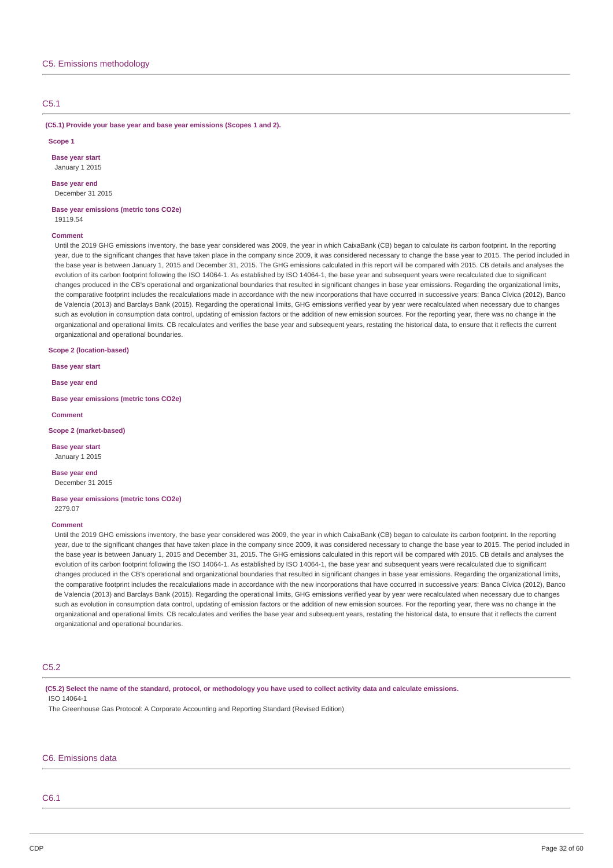### C5.1

**(C5.1) Provide your base year and base year emissions (Scopes 1 and 2).**

#### **Scope 1**

**Base year start** January 1 2015

#### **Base year end** December 31 2015

**Base year emissions (metric tons CO2e)** 19119.54

#### **Comment**

Until the 2019 GHG emissions inventory, the base year considered was 2009, the year in which CaixaBank (CB) began to calculate its carbon footprint. In the reporting year, due to the significant changes that have taken place in the company since 2009, it was considered necessary to change the base year to 2015. The period included in the base year is between January 1, 2015 and December 31, 2015. The GHG emissions calculated in this report will be compared with 2015. CB details and analyses the evolution of its carbon footprint following the ISO 14064-1. As established by ISO 14064-1, the base year and subsequent years were recalculated due to significant changes produced in the CB's operational and organizational boundaries that resulted in significant changes in base year emissions. Regarding the organizational limits, the comparative footprint includes the recalculations made in accordance with the new incorporations that have occurred in successive years: Banca Cívica (2012), Banco de Valencia (2013) and Barclays Bank (2015). Regarding the operational limits, GHG emissions verified year by year were recalculated when necessary due to changes such as evolution in consumption data control, updating of emission factors or the addition of new emission sources. For the reporting year, there was no change in the organizational and operational limits. CB recalculates and verifies the base year and subsequent years, restating the historical data, to ensure that it reflects the current organizational and operational boundaries.

### **Scope 2 (location-based)**

**Base year start**

**Base year end**

**Base year emissions (metric tons CO2e)**

**Comment**

#### **Scope 2 (market-based)**

**Base year start** January 1 2015

**Base year end** December 31 2015

# **Base year emissions (metric tons CO2e)**

2279.07

#### **Comment**

Until the 2019 GHG emissions inventory, the base year considered was 2009, the year in which CaixaBank (CB) began to calculate its carbon footprint. In the reporting year, due to the significant changes that have taken place in the company since 2009, it was considered necessary to change the base year to 2015. The period included in the base year is between January 1, 2015 and December 31, 2015. The GHG emissions calculated in this report will be compared with 2015. CB details and analyses the evolution of its carbon footprint following the ISO 14064-1. As established by ISO 14064-1, the base year and subsequent years were recalculated due to significant changes produced in the CB's operational and organizational boundaries that resulted in significant changes in base year emissions. Regarding the organizational limits, the comparative footprint includes the recalculations made in accordance with the new incorporations that have occurred in successive years: Banca Cívica (2012), Banco de Valencia (2013) and Barclays Bank (2015). Regarding the operational limits, GHG emissions verified year by year were recalculated when necessary due to changes such as evolution in consumption data control, updating of emission factors or the addition of new emission sources. For the reporting year, there was no change in the organizational and operational limits. CB recalculates and verifies the base year and subsequent years, restating the historical data, to ensure that it reflects the current organizational and operational boundaries.

### C5.2

(C5.2) Select the name of the standard, protocol, or methodology you have used to collect activity data and calculate emissions. ISO 14064-1

The Greenhouse Gas Protocol: A Corporate Accounting and Reporting Standard (Revised Edition)

### C6. Emissions data

## C6.1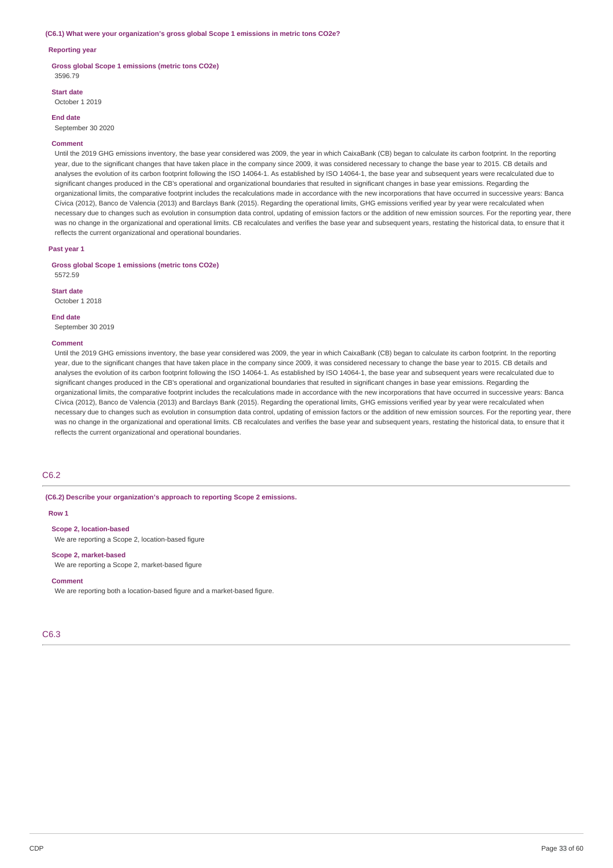#### **(C6.1) What were your organization's gross global Scope 1 emissions in metric tons CO2e?**

### **Reporting year**

**Gross global Scope 1 emissions (metric tons CO2e)** 3596.79

### **Start date**

October 1 2019

#### **End date**

September 30 2020

#### **Comment**

Until the 2019 GHG emissions inventory, the base year considered was 2009, the year in which CaixaBank (CB) began to calculate its carbon footprint. In the reporting year, due to the significant changes that have taken place in the company since 2009, it was considered necessary to change the base year to 2015. CB details and analyses the evolution of its carbon footprint following the ISO 14064-1. As established by ISO 14064-1, the base year and subsequent years were recalculated due to significant changes produced in the CB's operational and organizational boundaries that resulted in significant changes in base year emissions. Regarding the organizational limits, the comparative footprint includes the recalculations made in accordance with the new incorporations that have occurred in successive years: Banca Cívica (2012), Banco de Valencia (2013) and Barclays Bank (2015). Regarding the operational limits, GHG emissions verified year by year were recalculated when necessary due to changes such as evolution in consumption data control, updating of emission factors or the addition of new emission sources. For the reporting year, there was no change in the organizational and operational limits. CB recalculates and verifies the base year and subsequent years, restating the historical data, to ensure that it reflects the current organizational and operational boundaries.

#### **Past year 1**

**Gross global Scope 1 emissions (metric tons CO2e)**

5572.59

#### **Start date**

October 1 2018

### **End date**

September 30 2019

#### **Comment**

Until the 2019 GHG emissions inventory, the base year considered was 2009, the year in which CaixaBank (CB) began to calculate its carbon footprint. In the reporting year, due to the significant changes that have taken place in the company since 2009, it was considered necessary to change the base year to 2015. CB details and analyses the evolution of its carbon footprint following the ISO 14064-1. As established by ISO 14064-1, the base year and subsequent years were recalculated due to significant changes produced in the CB's operational and organizational boundaries that resulted in significant changes in base year emissions. Regarding the organizational limits, the comparative footprint includes the recalculations made in accordance with the new incorporations that have occurred in successive years: Banca Cívica (2012), Banco de Valencia (2013) and Barclays Bank (2015). Regarding the operational limits, GHG emissions verified year by year were recalculated when necessary due to changes such as evolution in consumption data control, updating of emission factors or the addition of new emission sources. For the reporting year, there was no change in the organizational and operational limits. CB recalculates and verifies the base year and subsequent years, restating the historical data, to ensure that it reflects the current organizational and operational boundaries.

### C6.2

**(C6.2) Describe your organization's approach to reporting Scope 2 emissions.**

#### **Row 1**

**Scope 2, location-based**

We are reporting a Scope 2, location-based figure

#### **Scope 2, market-based**

We are reporting a Scope 2, market-based figure

### **Comment**

We are reporting both a location-based figure and a market-based figure.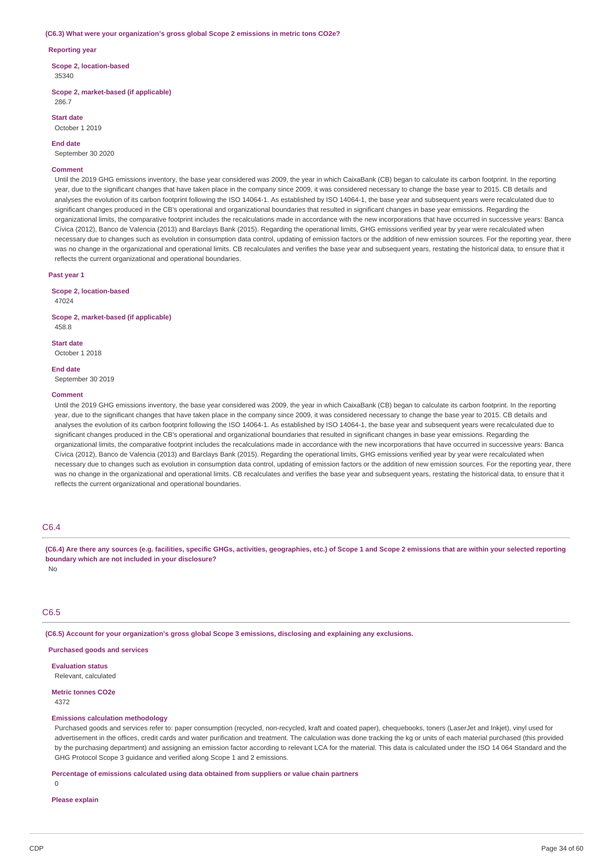#### **(C6.3) What were your organization's gross global Scope 2 emissions in metric tons CO2e?**

#### **Reporting year**

**Scope 2, location-based** 35340

**Scope 2, market-based (if applicable)** 286.7

**Start date**

October 1 2019

**End date**

September 30 2020

#### **Comment**

Until the 2019 GHG emissions inventory, the base year considered was 2009, the year in which CaixaBank (CB) began to calculate its carbon footprint. In the reporting year, due to the significant changes that have taken place in the company since 2009, it was considered necessary to change the base year to 2015. CB details and analyses the evolution of its carbon footprint following the ISO 14064-1. As established by ISO 14064-1, the base year and subsequent years were recalculated due to significant changes produced in the CB's operational and organizational boundaries that resulted in significant changes in base year emissions. Regarding the organizational limits, the comparative footprint includes the recalculations made in accordance with the new incorporations that have occurred in successive years: Banca Cívica (2012), Banco de Valencia (2013) and Barclays Bank (2015). Regarding the operational limits, GHG emissions verified year by year were recalculated when necessary due to changes such as evolution in consumption data control, updating of emission factors or the addition of new emission sources. For the reporting year, there was no change in the organizational and operational limits. CB recalculates and verifies the base year and subsequent years, restating the historical data, to ensure that it reflects the current organizational and operational boundaries.

### **Past year 1**

**Scope 2, location-based** 47024

**Scope 2, market-based (if applicable)** 458.8

**Start date** October 1 2018

**End date**

September 30 2019

#### **Comment**

Until the 2019 GHG emissions inventory, the base year considered was 2009, the year in which CaixaBank (CB) began to calculate its carbon footprint. In the reporting year, due to the significant changes that have taken place in the company since 2009, it was considered necessary to change the base year to 2015. CB details and analyses the evolution of its carbon footprint following the ISO 14064-1. As established by ISO 14064-1, the base year and subsequent years were recalculated due to significant changes produced in the CB's operational and organizational boundaries that resulted in significant changes in base year emissions. Regarding the organizational limits, the comparative footprint includes the recalculations made in accordance with the new incorporations that have occurred in successive years: Banca Cívica (2012), Banco de Valencia (2013) and Barclays Bank (2015). Regarding the operational limits, GHG emissions verified year by year were recalculated when necessary due to changes such as evolution in consumption data control, updating of emission factors or the addition of new emission sources. For the reporting year, there was no change in the organizational and operational limits. CB recalculates and verifies the base year and subsequent years, restating the historical data, to ensure that it reflects the current organizational and operational boundaries.

### $C6.4$

(C6.4) Are there any sources (e.g. facilities, specific GHGs, activities, geographies, etc.) of Scope 1 and Scope 2 emissions that are within your selected reporting **boundary which are not included in your disclosure?**

No

## C6.5

**(C6.5) Account for your organization's gross global Scope 3 emissions, disclosing and explaining any exclusions.**

### **Purchased goods and services**

**Evaluation status** Relevant, calculated

**Metric tonnes CO2e** 4372

### **Emissions calculation methodology**

Purchased goods and services refer to: paper consumption (recycled, non-recycled, kraft and coated paper), chequebooks, toners (LaserJet and Inkjet), vinyl used for advertisement in the offices, credit cards and water purification and treatment. The calculation was done tracking the kg or units of each material purchased (this provided by the purchasing department) and assigning an emission factor according to relevant LCA for the material. This data is calculated under the ISO 14 064 Standard and the GHG Protocol Scope 3 guidance and verified along Scope 1 and 2 emissions.

### **Percentage of emissions calculated using data obtained from suppliers or value chain partners**

 $\theta$ 

### **Please explain**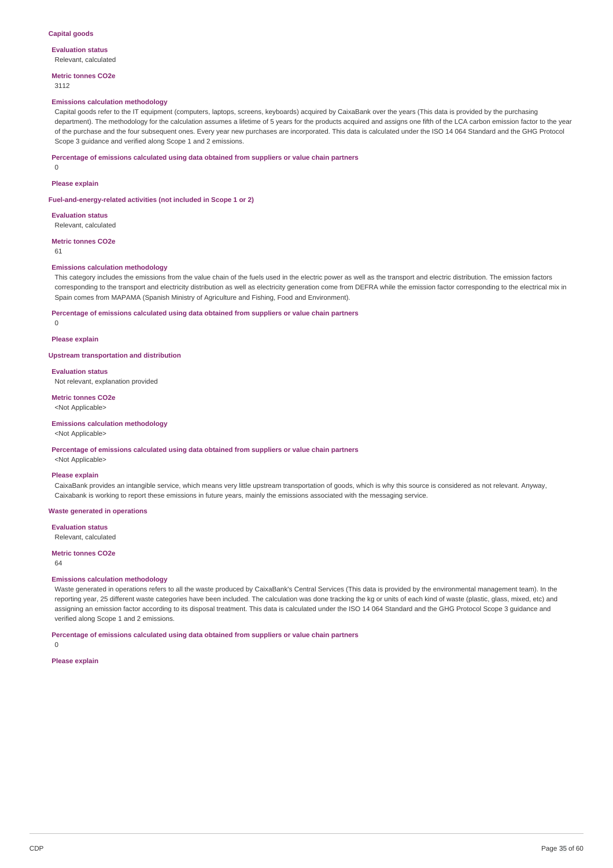#### **Evaluation status** Relevant, calculated

**Metric tonnes CO2e**

3112

### **Emissions calculation methodology**

Capital goods refer to the IT equipment (computers, laptops, screens, keyboards) acquired by CaixaBank over the years (This data is provided by the purchasing department). The methodology for the calculation assumes a lifetime of 5 years for the products acquired and assigns one fifth of the LCA carbon emission factor to the year of the purchase and the four subsequent ones. Every year new purchases are incorporated. This data is calculated under the ISO 14 064 Standard and the GHG Protocol Scope 3 guidance and verified along Scope 1 and 2 emissions.

#### **Percentage of emissions calculated using data obtained from suppliers or value chain partners**

0

#### **Please explain**

**Fuel-and-energy-related activities (not included in Scope 1 or 2)**

**Evaluation status** Relevant, calculated

**Metric tonnes CO2e**

61

#### **Emissions calculation methodology**

This category includes the emissions from the value chain of the fuels used in the electric power as well as the transport and electric distribution. The emission factors corresponding to the transport and electricity distribution as well as electricity generation come from DEFRA while the emission factor corresponding to the electrical mix in Spain comes from MAPAMA (Spanish Ministry of Agriculture and Fishing, Food and Environment).

**Percentage of emissions calculated using data obtained from suppliers or value chain partners**

 $\Omega$ 

**Please explain**

### **Upstream transportation and distribution**

**Evaluation status**

Not relevant, explanation provided

**Metric tonnes CO2e** <Not Applicable>

### **Emissions calculation methodology**

### <Not Applicable>

### **Percentage of emissions calculated using data obtained from suppliers or value chain partners**

<Not Applicable>

#### **Please explain**

CaixaBank provides an intangible service, which means very little upstream transportation of goods, which is why this source is considered as not relevant. Anyway, Caixabank is working to report these emissions in future years, mainly the emissions associated with the messaging service.

### **Waste generated in operations**

**Evaluation status** Relevant, calculated

#### **Metric tonnes CO2e**

 $64$ 

### **Emissions calculation methodology**

Waste generated in operations refers to all the waste produced by CaixaBank's Central Services (This data is provided by the environmental management team). In the reporting year, 25 different waste categories have been included. The calculation was done tracking the kg or units of each kind of waste (plastic, glass, mixed, etc) and assigning an emission factor according to its disposal treatment. This data is calculated under the ISO 14 064 Standard and the GHG Protocol Scope 3 guidance and verified along Scope 1 and 2 emissions.

**Percentage of emissions calculated using data obtained from suppliers or value chain partners**

0

## **Please explain**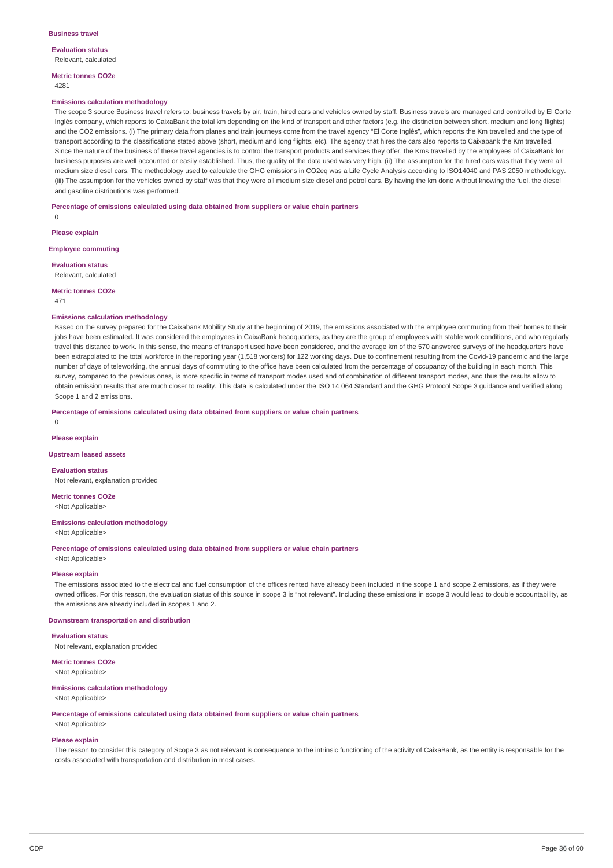**Evaluation status** Relevant, calculated

**Metric tonnes CO2e** 4281

#### **Emissions calculation methodology**

The scope 3 source Business travel refers to: business travels by air, train, hired cars and vehicles owned by staff. Business travels are managed and controlled by El Corte Inglés company, which reports to CaixaBank the total km depending on the kind of transport and other factors (e.g. the distinction between short, medium and long flights) and the CO2 emissions. (i) The primary data from planes and train journeys come from the travel agency "El Corte Inglés", which reports the Km travelled and the type of transport according to the classifications stated above (short, medium and long flights, etc). The agency that hires the cars also reports to Caixabank the Km travelled. Since the nature of the business of these travel agencies is to control the transport products and services they offer, the Kms travelled by the employees of CaixaBank for business purposes are well accounted or easily established. Thus, the quality of the data used was very high. (ii) The assumption for the hired cars was that they were all medium size diesel cars. The methodology used to calculate the GHG emissions in CO2eq was a Life Cycle Analysis according to ISO14040 and PAS 2050 methodology. (iii) The assumption for the vehicles owned by staff was that they were all medium size diesel and petrol cars. By having the km done without knowing the fuel, the diesel and gasoline distributions was performed.

**Percentage of emissions calculated using data obtained from suppliers or value chain partners**

**Please explain**

**Employee commuting**

**Evaluation status**

Relevant, calculated

**Metric tonnes CO2e** 471

0

### **Emissions calculation methodology**

Based on the survey prepared for the Caixabank Mobility Study at the beginning of 2019, the emissions associated with the employee commuting from their homes to their jobs have been estimated. It was considered the employees in CaixaBank headquarters, as they are the group of employees with stable work conditions, and who regularly travel this distance to work. In this sense, the means of transport used have been considered, and the average km of the 570 answered surveys of the headquarters have been extrapolated to the total workforce in the reporting year (1,518 workers) for 122 working days. Due to confinement resulting from the Covid-19 pandemic and the large number of days of teleworking, the annual days of commuting to the office have been calculated from the percentage of occupancy of the building in each month. This survey, compared to the previous ones, is more specific in terms of transport modes used and of combination of different transport modes, and thus the results allow to obtain emission results that are much closer to reality. This data is calculated under the ISO 14 064 Standard and the GHG Protocol Scope 3 guidance and verified along Scope 1 and 2 emissions.

**Percentage of emissions calculated using data obtained from suppliers or value chain partners**

 $\overline{0}$ 

**Please explain**

#### **Upstream leased assets**

**Evaluation status**

Not relevant, explanation provided

**Metric tonnes CO2e** <Not Applicable>

#### **Emissions calculation methodology**

<Not Applicable>

**Percentage of emissions calculated using data obtained from suppliers or value chain partners**

## <Not Applicable> **Please explain**

The emissions associated to the electrical and fuel consumption of the offices rented have already been included in the scope 1 and scope 2 emissions, as if they were owned offices. For this reason, the evaluation status of this source in scope 3 is "not relevant". Including these emissions in scope 3 would lead to double accountability, as the emissions are already included in scopes 1 and 2.

**Downstream transportation and distribution**

**Evaluation status**

Not relevant, explanation provided

**Metric tonnes CO2e** <Not Applicable>

#### **Emissions calculation methodology**

<Not Applicable>

**Percentage of emissions calculated using data obtained from suppliers or value chain partners**

<Not Applicable>

### **Please explain**

The reason to consider this category of Scope 3 as not relevant is consequence to the intrinsic functioning of the activity of CaixaBank, as the entity is responsable for the costs associated with transportation and distribution in most cases.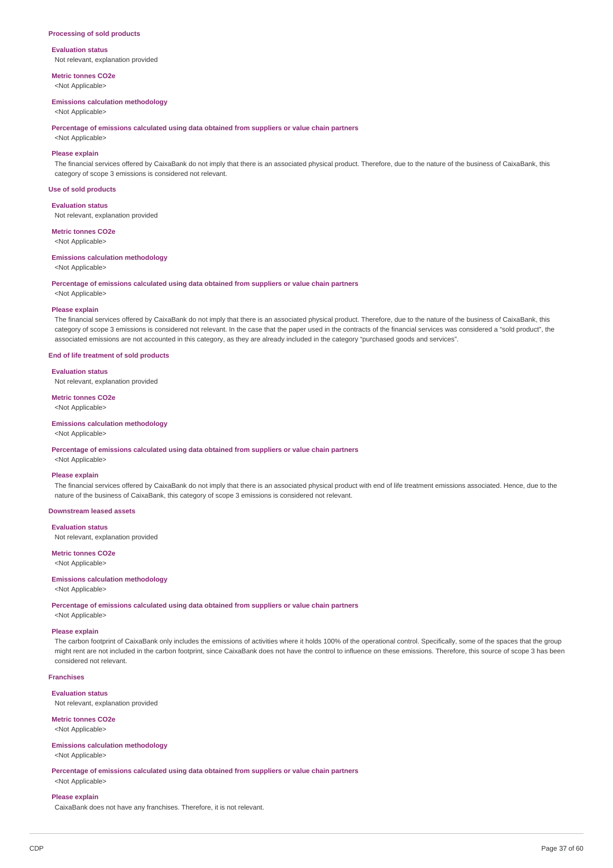#### **Processing of sold products**

#### **Evaluation status**

Not relevant, explanation provided

**Metric tonnes CO2e** <Not Applicable>

**Emissions calculation methodology**

<Not Applicable>

**Percentage of emissions calculated using data obtained from suppliers or value chain partners**

<Not Applicable>

### **Please explain**

The financial services offered by CaixaBank do not imply that there is an associated physical product. Therefore, due to the nature of the business of CaixaBank, this category of scope 3 emissions is considered not relevant.

### **Use of sold products**

**Evaluation status**

Not relevant, explanation provided

**Metric tonnes CO2e**

<Not Applicable>

### **Emissions calculation methodology**

<Not Applicable>

**Percentage of emissions calculated using data obtained from suppliers or value chain partners**

<Not Applicable>

### **Please explain**

The financial services offered by CaixaBank do not imply that there is an associated physical product. Therefore, due to the nature of the business of CaixaBank, this category of scope 3 emissions is considered not relevant. In the case that the paper used in the contracts of the financial services was considered a "sold product", the associated emissions are not accounted in this category, as they are already included in the category "purchased goods and services".

### **End of life treatment of sold products**

**Evaluation status**

Not relevant, explanation provided

## **Metric tonnes CO2e**

<Not Applicable>

### **Emissions calculation methodology**

### <Not Applicable>

### **Percentage of emissions calculated using data obtained from suppliers or value chain partners**

<Not Applicable>

#### **Please explain**

The financial services offered by CaixaBank do not imply that there is an associated physical product with end of life treatment emissions associated. Hence, due to the nature of the business of CaixaBank, this category of scope 3 emissions is considered not relevant.

### **Downstream leased assets**

**Evaluation status**

Not relevant, explanation provided

### **Metric tonnes CO2e**

<Not Applicable>

### **Emissions calculation methodology**

<Not Applicable>

**Percentage of emissions calculated using data obtained from suppliers or value chain partners**

<Not Applicable>

### **Please explain**

The carbon footprint of CaixaBank only includes the emissions of activities where it holds 100% of the operational control. Specifically, some of the spaces that the group might rent are not included in the carbon footprint, since CaixaBank does not have the control to influence on these emissions. Therefore, this source of scope 3 has been considered not relevant.

### **Franchises**

**Evaluation status**

Not relevant, explanation provided

### **Metric tonnes CO2e**

<Not Applicable>

### **Emissions calculation methodology**

<Not Applicable>

**Percentage of emissions calculated using data obtained from suppliers or value chain partners** <Not Applicable>

#### **Please explain**

CaixaBank does not have any franchises. Therefore, it is not relevant.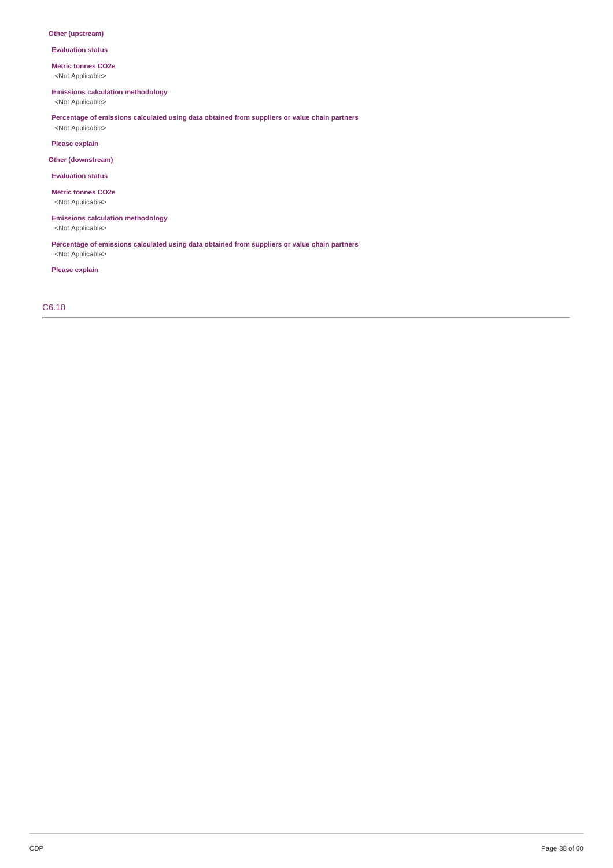### **Other (upstream)**

**Evaluation status**

**Metric tonnes CO2e**

<Not Applicable>

**Emissions calculation methodology**

<Not Applicable>

**Percentage of emissions calculated using data obtained from suppliers or value chain partners** <Not Applicable>

**Please explain**

**Other (downstream)**

**Evaluation status**

**Metric tonnes CO2e** <Not Applicable>

**Emissions calculation methodology**

<Not Applicable>

**Percentage of emissions calculated using data obtained from suppliers or value chain partners** <Not Applicable>

**Please explain**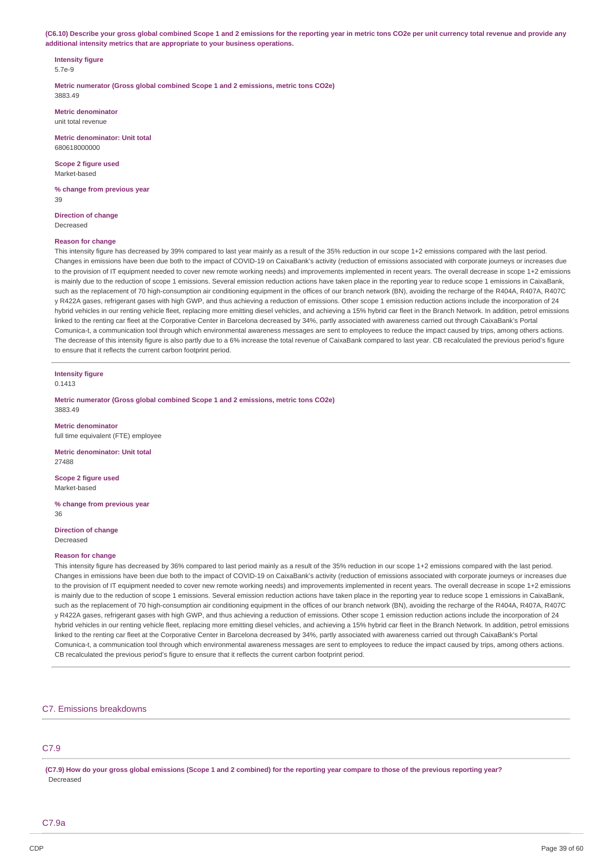(C6.10) Describe your gross global combined Scope 1 and 2 emissions for the reporting year in metric tons CO2e per unit currency total revenue and provide any **additional intensity metrics that are appropriate to your business operations.**

#### **Intensity figure** 5.7e-9

**Metric numerator (Gross global combined Scope 1 and 2 emissions, metric tons CO2e)** 3883.49

**Metric denominator** unit total revenue

**Metric denominator: Unit total** 680618000000

**Scope 2 figure used** Market-based

**% change from previous year** 39

**Direction of change** Decreased

### **Reason for change**

This intensity figure has decreased by 39% compared to last year mainly as a result of the 35% reduction in our scope 1+2 emissions compared with the last period. Changes in emissions have been due both to the impact of COVID-19 on CaixaBank's activity (reduction of emissions associated with corporate journeys or increases due to the provision of IT equipment needed to cover new remote working needs) and improvements implemented in recent years. The overall decrease in scope 1+2 emissions is mainly due to the reduction of scope 1 emissions. Several emission reduction actions have taken place in the reporting year to reduce scope 1 emissions in CaixaBank, such as the replacement of 70 high-consumption air conditioning equipment in the offices of our branch network (BN), avoiding the recharge of the R404A, R407A, R407C y R422A gases, refrigerant gases with high GWP, and thus achieving a reduction of emissions. Other scope 1 emission reduction actions include the incorporation of 24 hybrid vehicles in our renting vehicle fleet, replacing more emitting diesel vehicles, and achieving a 15% hybrid car fleet in the Branch Network. In addition, petrol emissions linked to the renting car fleet at the Corporative Center in Barcelona decreased by 34%, partly associated with awareness carried out through CaixaBank's Portal Comunica-t, a communication tool through which environmental awareness messages are sent to employees to reduce the impact caused by trips, among others actions. The decrease of this intensity figure is also partly due to a 6% increase the total revenue of CaixaBank compared to last year. CB recalculated the previous period's figure to ensure that it reflects the current carbon footprint period.

## **Intensity figure**

0.1413

**Metric numerator (Gross global combined Scope 1 and 2 emissions, metric tons CO2e)** 3883.49

**Metric denominator** full time equivalent (FTE) employee

**Metric denominator: Unit total** 27488

**Scope 2 figure used** Market-based

**% change from previous year** 36

**Direction of change** Decreased

#### **Reason for change**

This intensity figure has decreased by 36% compared to last period mainly as a result of the 35% reduction in our scope 1+2 emissions compared with the last period. Changes in emissions have been due both to the impact of COVID-19 on CaixaBank's activity (reduction of emissions associated with corporate journeys or increases due to the provision of IT equipment needed to cover new remote working needs) and improvements implemented in recent years. The overall decrease in scope 1+2 emissions is mainly due to the reduction of scope 1 emissions. Several emission reduction actions have taken place in the reporting year to reduce scope 1 emissions in CaixaBank, such as the replacement of 70 high-consumption air conditioning equipment in the offices of our branch network (BN), avoiding the recharge of the R404A, R407A, R407C y R422A gases, refrigerant gases with high GWP, and thus achieving a reduction of emissions. Other scope 1 emission reduction actions include the incorporation of 24 hybrid vehicles in our renting vehicle fleet, replacing more emitting diesel vehicles, and achieving a 15% hybrid car fleet in the Branch Network. In addition, petrol emissions linked to the renting car fleet at the Corporative Center in Barcelona decreased by 34%, partly associated with awareness carried out through CaixaBank's Portal Comunica-t, a communication tool through which environmental awareness messages are sent to employees to reduce the impact caused by trips, among others actions. CB recalculated the previous period's figure to ensure that it reflects the current carbon footprint period.

### C7. Emissions breakdowns

## C7.9

(C7.9) How do your gross global emissions (Scope 1 and 2 combined) for the reporting year compare to those of the previous reporting year? Decreased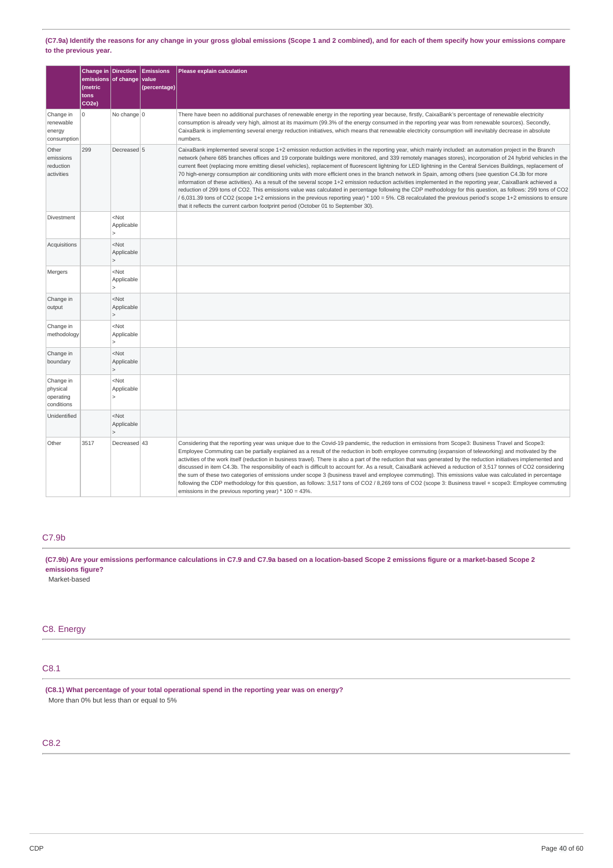(C7.9a) Identify the reasons for any change in your gross global emissions (Scope 1 and 2 combined), and for each of them specify how your emissions compare **to the previous year.**

|                                                  | Change in Direction<br>emissions of change<br>(metric<br>tons<br>CO <sub>2e</sub> ) |                                         | <b>Emissions</b><br>value<br>(percentage) | Please explain calculation                                                                                                                                                                                                                                                                                                                                                                                                                                                                                                                                                                                                                                                                                                                                                                                                                                                                                                                                                                                                                                                                                                                                                                                                             |
|--------------------------------------------------|-------------------------------------------------------------------------------------|-----------------------------------------|-------------------------------------------|----------------------------------------------------------------------------------------------------------------------------------------------------------------------------------------------------------------------------------------------------------------------------------------------------------------------------------------------------------------------------------------------------------------------------------------------------------------------------------------------------------------------------------------------------------------------------------------------------------------------------------------------------------------------------------------------------------------------------------------------------------------------------------------------------------------------------------------------------------------------------------------------------------------------------------------------------------------------------------------------------------------------------------------------------------------------------------------------------------------------------------------------------------------------------------------------------------------------------------------|
| Change in<br>renewable<br>energy<br>consumption  | 0                                                                                   | No change 0                             |                                           | There have been no additional purchases of renewable energy in the reporting year because, firstly, CaixaBank's percentage of renewable electricity<br>consumption is already very high, almost at its maximum (99.3% of the energy consumed in the reporting year was from renewable sources). Secondly,<br>CaixaBank is implementing several energy reduction initiatives, which means that renewable electricity consumption will inevitably decrease in absolute<br>numbers.                                                                                                                                                                                                                                                                                                                                                                                                                                                                                                                                                                                                                                                                                                                                                       |
| Other<br>emissions<br>reduction<br>activities    | 299                                                                                 | Decreased 5                             |                                           | CaixaBank implemented several scope 1+2 emission reduction activities in the reporting year, which mainly included: an automation project in the Branch<br>network (where 685 branches offices and 19 corporate buildings were monitored, and 339 remotely manages stores), incorporation of 24 hybrid vehicles in the<br>current fleet (replacing more emitting diesel vehicles), replacement of fluorescent lightning for LED lightning in the Central Services Buildings, replacement of<br>70 high-energy consumption air conditioning units with more efficient ones in the branch network in Spain, among others (see question C4.3b for more<br>information of these activities). As a result of the several scope 1+2 emission reduction activities implemented in the reporting year, CaixaBank achieved a<br>reduction of 299 tons of CO2. This emissions value was calculated in percentage following the CDP methodology for this question, as follows: 299 tons of CO2<br>6,031.39 tons of CO2 (scope 1+2 emissions in the previous reporting year) * 100 = 5%. CB recalculated the previous period's scope 1+2 emissions to ensure<br>that it reflects the current carbon footprint period (October 01 to September 30). |
| Divestment                                       |                                                                                     | $<$ Not<br>Applicable                   |                                           |                                                                                                                                                                                                                                                                                                                                                                                                                                                                                                                                                                                                                                                                                                                                                                                                                                                                                                                                                                                                                                                                                                                                                                                                                                        |
| Acquisitions                                     |                                                                                     | $<$ Not<br>Applicable<br>$\overline{ }$ |                                           |                                                                                                                                                                                                                                                                                                                                                                                                                                                                                                                                                                                                                                                                                                                                                                                                                                                                                                                                                                                                                                                                                                                                                                                                                                        |
| Mergers                                          |                                                                                     | $<$ Not<br>Applicable<br>5              |                                           |                                                                                                                                                                                                                                                                                                                                                                                                                                                                                                                                                                                                                                                                                                                                                                                                                                                                                                                                                                                                                                                                                                                                                                                                                                        |
| Change in<br>output                              |                                                                                     | $<$ Not<br>Applicable                   |                                           |                                                                                                                                                                                                                                                                                                                                                                                                                                                                                                                                                                                                                                                                                                                                                                                                                                                                                                                                                                                                                                                                                                                                                                                                                                        |
| Change in<br>methodology                         |                                                                                     | $<$ Not<br>Applicable<br>$\mathbf{r}$   |                                           |                                                                                                                                                                                                                                                                                                                                                                                                                                                                                                                                                                                                                                                                                                                                                                                                                                                                                                                                                                                                                                                                                                                                                                                                                                        |
| Change in<br>boundary                            |                                                                                     | $<$ Not<br>Applicable                   |                                           |                                                                                                                                                                                                                                                                                                                                                                                                                                                                                                                                                                                                                                                                                                                                                                                                                                                                                                                                                                                                                                                                                                                                                                                                                                        |
| Change in<br>physical<br>operating<br>conditions |                                                                                     | $<$ Not<br>Applicable                   |                                           |                                                                                                                                                                                                                                                                                                                                                                                                                                                                                                                                                                                                                                                                                                                                                                                                                                                                                                                                                                                                                                                                                                                                                                                                                                        |
| Unidentified                                     |                                                                                     | $<$ Not<br>Applicable                   |                                           |                                                                                                                                                                                                                                                                                                                                                                                                                                                                                                                                                                                                                                                                                                                                                                                                                                                                                                                                                                                                                                                                                                                                                                                                                                        |
| Other                                            | 3517                                                                                | Decreased 43                            |                                           | Considering that the reporting year was unique due to the Covid-19 pandemic, the reduction in emissions from Scope3: Business Travel and Scope3:<br>Employee Commuting can be partially explained as a result of the reduction in both employee commuting (expansion of teleworking) and motivated by the<br>activities of the work itself (reduction in business travel). There is also a part of the reduction that was generated by the reduction initiatives implemented and<br>discussed in item C4.3b. The responsibility of each is difficult to account for. As a result, CaixaBank achieved a reduction of 3,517 tonnes of CO2 considering<br>the sum of these two categories of emissions under scope 3 (business travel and employee commuting). This emissions value was calculated in percentage<br>following the CDP methodology for this question, as follows: 3,517 tons of CO2 / 8,269 tons of CO2 (scope 3: Business travel + scope3: Employee commuting<br>emissions in the previous reporting year) * 100 = 43%.                                                                                                                                                                                                   |

## C7.9b

(C7.9b) Are your emissions performance calculations in C7.9 and C7.9a based on a location-based Scope 2 emissions figure or a market-based Scope 2 **emissions figure?**

Market-based

## C8. Energy

### C8.1

**(C8.1) What percentage of your total operational spend in the reporting year was on energy?** More than 0% but less than or equal to 5%

## C8.2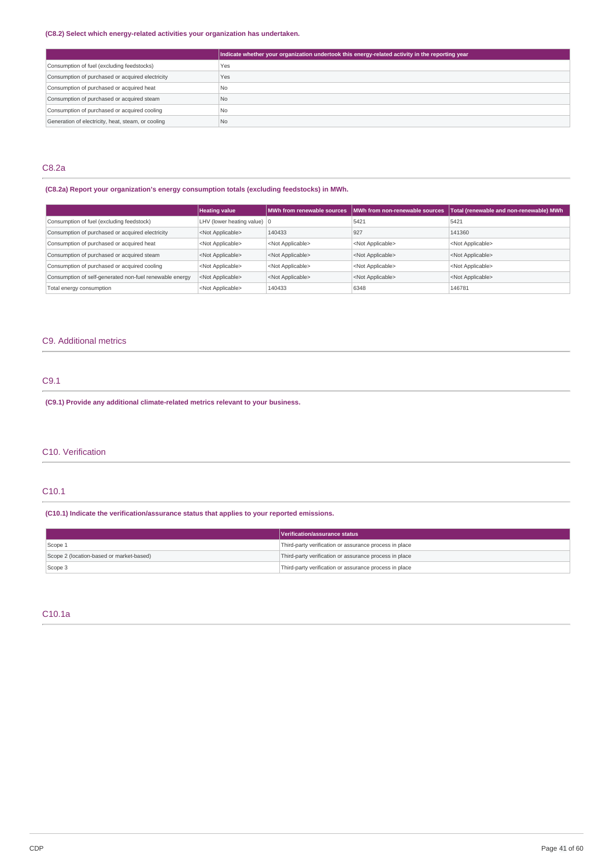### **(C8.2) Select which energy-related activities your organization has undertaken.**

|                                                    | Indicate whether your organization undertook this energy-related activity in the reporting year |
|----------------------------------------------------|-------------------------------------------------------------------------------------------------|
| Consumption of fuel (excluding feedstocks)         | Yes                                                                                             |
| Consumption of purchased or acquired electricity   | Yes                                                                                             |
| Consumption of purchased or acquired heat          | N <sub>o</sub>                                                                                  |
| Consumption of purchased or acquired steam         | N <sub>o</sub>                                                                                  |
| Consumption of purchased or acquired cooling       | N <sub>o</sub>                                                                                  |
| Generation of electricity, heat, steam, or cooling | N <sub>o</sub>                                                                                  |

## C8.2a

### **(C8.2a) Report your organization's energy consumption totals (excluding feedstocks) in MWh.**

|                                                         | <b>Heating value</b>                  |                           | MWh from renewable sources   MWh from non-renewable sources | Total (renewable and non-renewable) MWh |
|---------------------------------------------------------|---------------------------------------|---------------------------|-------------------------------------------------------------|-----------------------------------------|
| Consumption of fuel (excluding feedstock)               | LHV (lower heating value) $ 0\rangle$ |                           | 5421                                                        | 5421                                    |
| Consumption of purchased or acquired electricity        | <not applicable=""></not>             | 140433                    | 927                                                         | 141360                                  |
| Consumption of purchased or acquired heat               | <not applicable=""></not>             | <not applicable=""></not> | <not applicable=""></not>                                   | <not applicable=""></not>               |
| Consumption of purchased or acquired steam              | <not applicable=""></not>             | <not applicable=""></not> | <not applicable=""></not>                                   | <not applicable=""></not>               |
| Consumption of purchased or acquired cooling            | <not applicable=""></not>             | <not applicable=""></not> | <not applicable=""></not>                                   | <not applicable=""></not>               |
| Consumption of self-generated non-fuel renewable energy | <not applicable=""></not>             | <not applicable=""></not> | <not applicable=""></not>                                   | <not applicable=""></not>               |
| Total energy consumption                                | <not applicable=""></not>             | 140433                    | 6348                                                        | 146781                                  |

## C9. Additional metrics

## C9.1

**(C9.1) Provide any additional climate-related metrics relevant to your business.**

### C10. Verification

## C10.1

## **(C10.1) Indicate the verification/assurance status that applies to your reported emissions.**

|                                          | Verification/assurance status                          |
|------------------------------------------|--------------------------------------------------------|
| Scope 1                                  | Third-party verification or assurance process in place |
| Scope 2 (location-based or market-based) | Third-party verification or assurance process in place |
| Scope 3                                  | Third-party verification or assurance process in place |

## C10.1a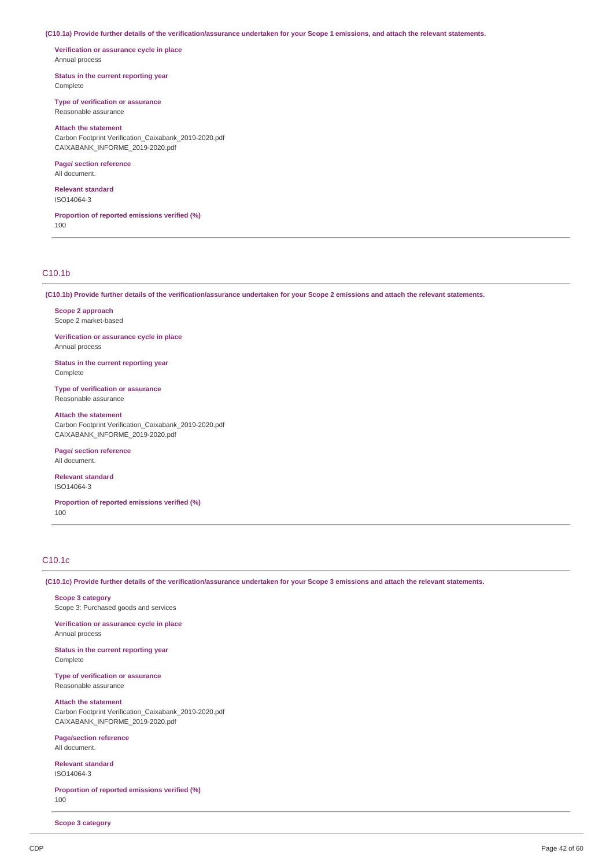(C10.1a) Provide further details of the verification/assurance undertaken for your Scope 1 emissions, and attach the relevant statements.

**Verification or assurance cycle in place** Annual process

**Status in the current reporting year** Complete

**Type of verification or assurance** Reasonable assurance

### **Attach the statement**

Carbon Footprint Verification\_Caixabank\_2019-2020.pdf CAIXABANK\_INFORME\_2019-2020.pdf

## **Page/ section reference**

All document.

**Relevant standard** ISO14064-3

**Proportion of reported emissions verified (%)** 100

### C10.1b

(C10.1b) Provide further details of the verification/assurance undertaken for your Scope 2 emissions and attach the relevant statements.

**Scope 2 approach** Scope 2 market-based

**Verification or assurance cycle in place** Annual process

**Status in the current reporting year** Complete

**Type of verification or assurance** Reasonable assurance

**Attach the statement** Carbon Footprint Verification\_Caixabank\_2019-2020.pdf

CAIXABANK\_INFORME\_2019-2020.pdf

**Page/ section reference** All document.

**Relevant standard** ISO14064-3

**Proportion of reported emissions verified (%)** 100

### C10.1c

(C10.1c) Provide further details of the verification/assurance undertaken for your Scope 3 emissions and attach the relevant statements.

**Scope 3 category** Scope 3: Purchased goods and services

**Verification or assurance cycle in place** Annual process

**Status in the current reporting year** Complete

**Type of verification or assurance** Reasonable assurance

**Attach the statement**

Carbon Footprint Verification\_Caixabank\_2019-2020.pdf CAIXABANK\_INFORME\_2019-2020.pdf

**Page/section reference** All document.

**Relevant standard** ISO14064-3

**Proportion of reported emissions verified (%)** 100

**Scope 3 category**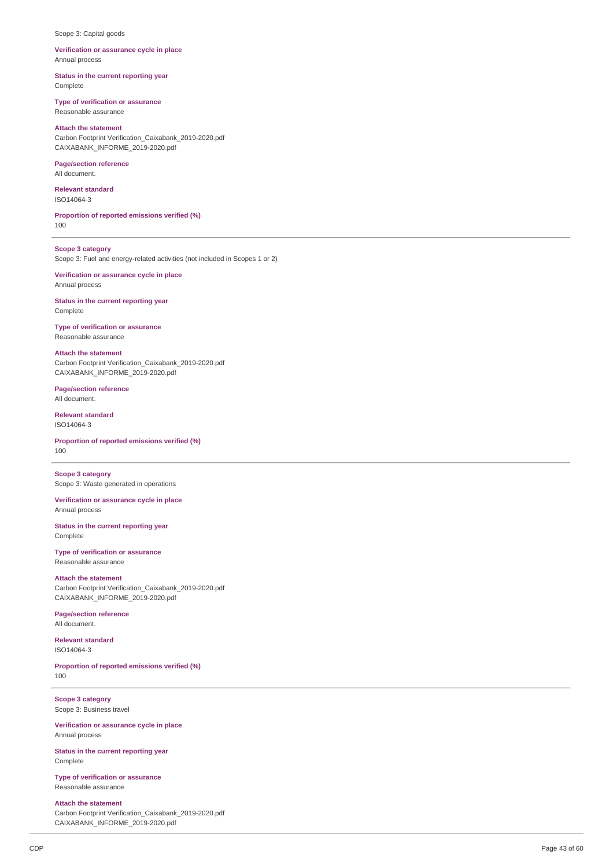#### Scope 3: Capital goods

### **Verification or assurance cycle in place** Annual process

**Status in the current reporting year** Complete

#### **Type of verification or assurance**

Reasonable assurance

### **Attach the statement**

Carbon Footprint Verification\_Caixabank\_2019-2020.pdf CAIXABANK\_INFORME\_2019-2020.pdf

### **Page/section reference**

All document.

**Relevant standard** ISO14064-3

**Proportion of reported emissions verified (%)** 100

**Scope 3 category** Scope 3: Fuel and energy-related activities (not included in Scopes 1 or 2)

**Verification or assurance cycle in place** Annual process

**Status in the current reporting year** Complete

### **Type of verification or assurance** Reasonable assurance

CAIXABANK\_INFORME\_2019-2020.pdf

**Attach the statement** Carbon Footprint Verification\_Caixabank\_2019-2020.pdf

**Page/section reference** All document.

**Relevant standard** ISO14064-3

**Proportion of reported emissions verified (%)** 100

**Scope 3 category** Scope 3: Waste generated in operations

**Verification or assurance cycle in place** Annual process

**Status in the current reporting year** Complete

**Type of verification or assurance** Reasonable assurance

### **Attach the statement**

Carbon Footprint Verification\_Caixabank\_2019-2020.pdf CAIXABANK\_INFORME\_2019-2020.pdf

**Page/section reference** All document.

**Relevant standard**

ISO14064-3

**Proportion of reported emissions verified (%)** 100

**Scope 3 category** Scope 3: Business travel

**Verification or assurance cycle in place** Annual process

**Status in the current reporting year** Complete

**Type of verification or assurance** Reasonable assurance

### **Attach the statement**

Carbon Footprint Verification\_Caixabank\_2019-2020.pdf CAIXABANK\_INFORME\_2019-2020.pdf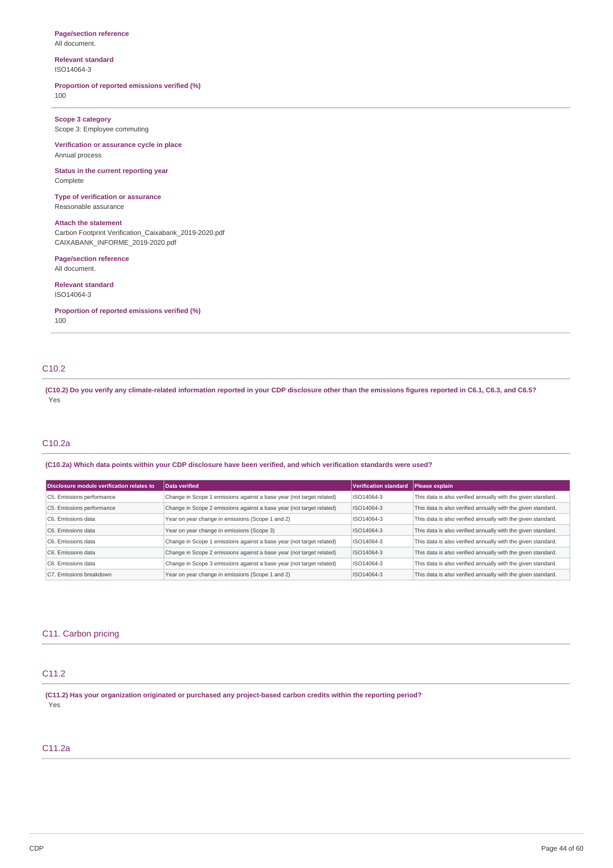#### **Page/section reference** All document.

### **Relevant standard** ISO14064-3

### **Proportion of reported emissions verified (%)**

100

## **Scope 3 category**

Scope 3: Employee commuting

### **Verification or assurance cycle in place** Annual process

**Status in the current reporting year** Complete

## **Type of verification or assurance**

Reasonable assurance

## **Attach the statement**

Carbon Footprint Verification\_Caixabank\_2019-2020.pdf CAIXABANK\_INFORME\_2019-2020.pdf

### **Page/section reference**

All document.

### **Relevant standard**

ISO14064-3

**Proportion of reported emissions verified (%)**

100

## C10.2

(C10.2) Do you verify any climate-related information reported in your CDP disclosure other than the emissions figures reported in C6.1, C6.3, and C6.5? Yes

### C10.2a

### (C10.2a) Which data points within your CDP disclosure have been verified, and which verification standards were used?

| Disclosure module verification relates to | Data verified                                                        | Verification standard | Please explain                                               |
|-------------------------------------------|----------------------------------------------------------------------|-----------------------|--------------------------------------------------------------|
| C5. Emissions performance                 | Change in Scope 1 emissions against a base year (not target related) | ISO14064-3            | This data is also verified annually with the given standard. |
| C5. Emissions performance                 | Change in Scope 2 emissions against a base year (not target related) | ISO14064-3            | This data is also verified annually with the given standard. |
| C6. Emissions data                        | Year on year change in emissions (Scope 1 and 2)                     | ISO14064-3            | This data is also verified annually with the given standard. |
| C6. Emissions data                        | Year on year change in emissions (Scope 3)                           | ISO14064-3            | This data is also verified annually with the given standard. |
| C6. Emissions data                        | Change in Scope 1 emissions against a base year (not target related) | ISO14064-3            | This data is also verified annually with the given standard. |
| C6. Emissions data                        | Change in Scope 2 emissions against a base year (not target related) | ISO14064-3            | This data is also verified annually with the given standard. |
| C6. Emissions data                        | Change in Scope 3 emissions against a base year (not target related) | ISO14064-3            | This data is also verified annually with the given standard. |
| C7. Emissions breakdown                   | Year on year change in emissions (Scope 1 and 2)                     | ISO14064-3            | This data is also verified annually with the given standard. |

### C11. Carbon pricing

## C11.2

**(C11.2) Has your organization originated or purchased any project-based carbon credits within the reporting period?** Yes

## C11.2a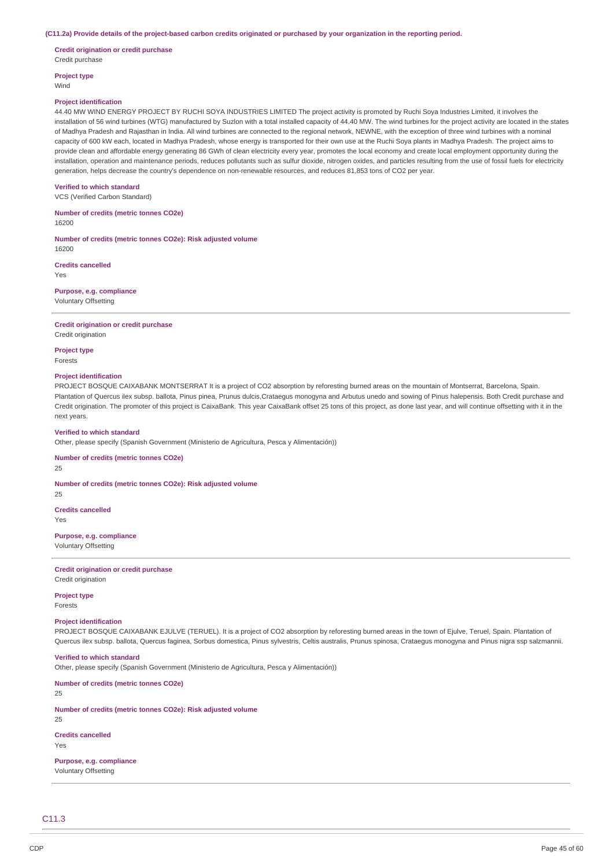#### (C11.2a) Provide details of the project-based carbon credits originated or purchased by your organization in the reporting period.

**Credit origination or credit purchase** Credit purchase

**Project type** Wind

#### **Project identification**

44.40 MW WIND ENERGY PROJECT BY RUCHI SOYA INDUSTRIES LIMITED The project activity is promoted by Ruchi Soya Industries Limited, it involves the installation of 56 wind turbines (WTG) manufactured by Suzlon with a total installed capacity of 44.40 MW. The wind turbines for the project activity are located in the states of Madhya Pradesh and Rajasthan in India. All wind turbines are connected to the regional network, NEWNE, with the exception of three wind turbines with a nominal capacity of 600 kW each, located in Madhya Pradesh, whose energy is transported for their own use at the Ruchi Soya plants in Madhya Pradesh. The project aims to provide clean and affordable energy generating 86 GWh of clean electricity every year, promotes the local economy and create local employment opportunity during the installation, operation and maintenance periods, reduces pollutants such as sulfur dioxide, nitrogen oxides, and particles resulting from the use of fossil fuels for electricity generation, helps decrease the country's dependence on non-renewable resources, and reduces 81,853 tons of CO2 per year.

#### **Verified to which standard**

VCS (Verified Carbon Standard)

**Number of credits (metric tonnes CO2e)** 16200

**Number of credits (metric tonnes CO2e): Risk adjusted volume** 16200

**Credits cancelled**

Yes

**Purpose, e.g. compliance** Voluntary Offsetting

### **Credit origination or credit purchase**

Credit origination

**Project type** Forests

### **Project identification**

PROJECT BOSQUE CAIXABANK MONTSERRAT It is a project of CO2 absorption by reforesting burned areas on the mountain of Montserrat, Barcelona, Spain. Plantation of Quercus ilex subsp. ballota, Pinus pinea, Prunus dulcis,Crataegus monogyna and Arbutus unedo and sowing of Pinus halepensis. Both Credit purchase and Credit origination. The promoter of this project is CaixaBank. This year CaixaBank offset 25 tons of this project, as done last year, and will continue offsetting with it in the next years.

#### **Verified to which standard**

Other, please specify (Spanish Government (Ministerio de Agricultura, Pesca y Alimentación))

#### **Number of credits (metric tonnes CO2e)**

25

### **Number of credits (metric tonnes CO2e): Risk adjusted volume**

 $25$ 

**Credits cancelled**

Yes

### **Purpose, e.g. compliance**

Voluntary Offsetting

#### **Credit origination or credit purchase** Credit origination

#### **Project type** Forests

### **Project identification**

PROJECT BOSQUE CAIXABANK EJULVE (TERUEL). It is a project of CO2 absorption by reforesting burned areas in the town of Ejulve, Teruel, Spain. Plantation of Quercus ilex subsp. ballota, Quercus faginea, Sorbus domestica, Pinus sylvestris, Celtis australis, Prunus spinosa, Crataegus monogyna and Pinus nigra ssp salzmannii.

### **Verified to which standard**

Other, please specify (Spanish Government (Ministerio de Agricultura, Pesca y Alimentación))

**Number of credits (metric tonnes CO2e)**

 $25$ 

### **Number of credits (metric tonnes CO2e): Risk adjusted volume**

25

**Credits cancelled** Yes

### **Purpose, e.g. compliance** Voluntary Offsetting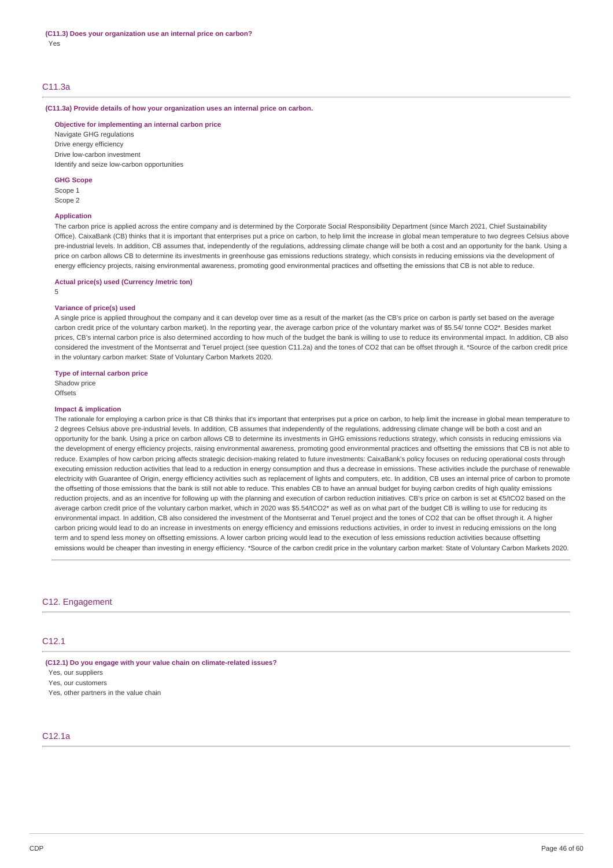### C11.3a

#### **(C11.3a) Provide details of how your organization uses an internal price on carbon.**

**Objective for implementing an internal carbon price** Navigate GHG regulations

Drive energy efficiency Drive low-carbon investment Identify and seize low-carbon opportunities

### **GHG Scope**

Scope 1 Scope 2

### **Application**

The carbon price is applied across the entire company and is determined by the Corporate Social Responsibility Department (since March 2021, Chief Sustainability Office). CaixaBank (CB) thinks that it is important that enterprises put a price on carbon, to help limit the increase in global mean temperature to two degrees Celsius above pre-industrial levels. In addition, CB assumes that, independently of the regulations, addressing climate change will be both a cost and an opportunity for the bank. Using a price on carbon allows CB to determine its investments in greenhouse gas emissions reductions strategy, which consists in reducing emissions via the development of energy efficiency projects, raising environmental awareness, promoting good environmental practices and offsetting the emissions that CB is not able to reduce.

#### **Actual price(s) used (Currency /metric ton)**

5

#### **Variance of price(s) used**

A single price is applied throughout the company and it can develop over time as a result of the market (as the CB's price on carbon is partly set based on the average carbon credit price of the voluntary carbon market). In the reporting year, the average carbon price of the voluntary market was of \$5.54/ tonne CO2\*. Besides market prices, CB's internal carbon price is also determined according to how much of the budget the bank is willing to use to reduce its environmental impact. In addition, CB also considered the investment of the Montserrat and Teruel project (see question C11.2a) and the tones of CO2 that can be offset through it. \*Source of the carbon credit price in the voluntary carbon market: State of Voluntary Carbon Markets 2020.

#### **Type of internal carbon price**

Shadow price **Offsets** 

#### **Impact & implication**

The rationale for employing a carbon price is that CB thinks that it's important that enterprises put a price on carbon, to help limit the increase in global mean temperature to 2 degrees Celsius above pre-industrial levels. In addition, CB assumes that independently of the regulations, addressing climate change will be both a cost and an opportunity for the bank. Using a price on carbon allows CB to determine its investments in GHG emissions reductions strategy, which consists in reducing emissions via the development of energy efficiency projects, raising environmental awareness, promoting good environmental practices and offsetting the emissions that CB is not able to reduce. Examples of how carbon pricing affects strategic decision-making related to future investments: CaixaBank's policy focuses on reducing operational costs through executing emission reduction activities that lead to a reduction in energy consumption and thus a decrease in emissions. These activities include the purchase of renewable electricity with Guarantee of Origin, energy efficiency activities such as replacement of lights and computers, etc. In addition, CB uses an internal price of carbon to promote the offsetting of those emissions that the bank is still not able to reduce. This enables CB to have an annual budget for buying carbon credits of high quality emissions reduction projects, and as an incentive for following up with the planning and execution of carbon reduction initiatives. CB's price on carbon is set at €5/tCO2 based on the average carbon credit price of the voluntary carbon market, which in 2020 was \$5.54/tCO2\* as well as on what part of the budget CB is willing to use for reducing its environmental impact. In addition, CB also considered the investment of the Montserrat and Teruel project and the tones of CO2 that can be offset through it. A higher carbon pricing would lead to do an increase in investments on energy efficiency and emissions reductions activities, in order to invest in reducing emissions on the long term and to spend less money on offsetting emissions. A lower carbon pricing would lead to the execution of less emissions reduction activities because offsetting emissions would be cheaper than investing in energy efficiency. \*Source of the carbon credit price in the voluntary carbon market: State of Voluntary Carbon Markets 2020.

### C12. Engagement

### C12.1

**(C12.1) Do you engage with your value chain on climate-related issues?**

Yes, our suppliers

Yes, our customers

Yes, other partners in the value chain

### C12.1a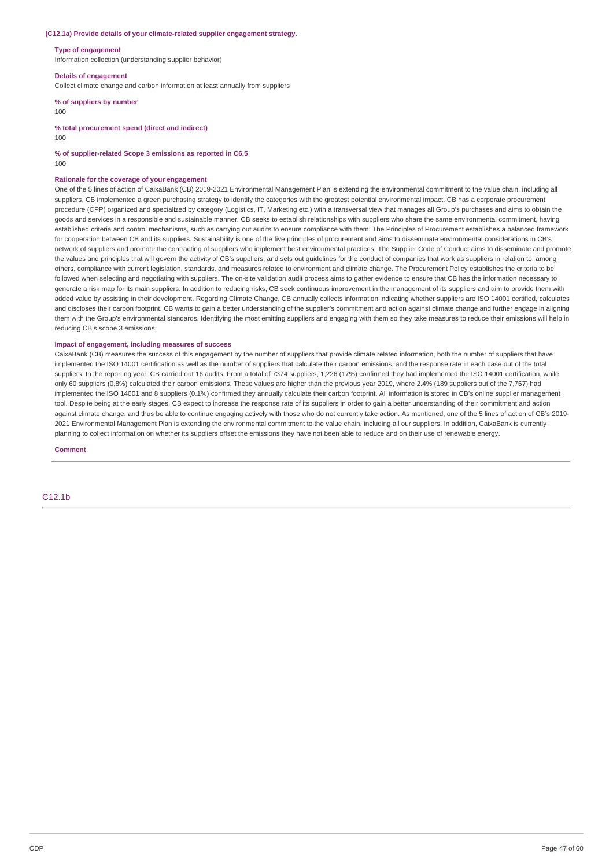#### **(C12.1a) Provide details of your climate-related supplier engagement strategy.**

#### **Type of engagement**

Information collection (understanding supplier behavior)

#### **Details of engagement**

Collect climate change and carbon information at least annually from suppliers

### **% of suppliers by number**

100

**% total procurement spend (direct and indirect)**

 $100$ 

**% of supplier-related Scope 3 emissions as reported in C6.5**

100

#### **Rationale for the coverage of your engagement**

One of the 5 lines of action of CaixaBank (CB) 2019-2021 Environmental Management Plan is extending the environmental commitment to the value chain, including all suppliers. CB implemented a green purchasing strategy to identify the categories with the greatest potential environmental impact. CB has a corporate procurement procedure (CPP) organized and specialized by category (Logistics, IT, Marketing etc.) with a transversal view that manages all Group's purchases and aims to obtain the goods and services in a responsible and sustainable manner. CB seeks to establish relationships with suppliers who share the same environmental commitment, having established criteria and control mechanisms, such as carrying out audits to ensure compliance with them. The Principles of Procurement establishes a balanced framework for cooperation between CB and its suppliers. Sustainability is one of the five principles of procurement and aims to disseminate environmental considerations in CB's network of suppliers and promote the contracting of suppliers who implement best environmental practices. The Supplier Code of Conduct aims to disseminate and promote the values and principles that will govern the activity of CB's suppliers, and sets out guidelines for the conduct of companies that work as suppliers in relation to, among others, compliance with current legislation, standards, and measures related to environment and climate change. The Procurement Policy establishes the criteria to be followed when selecting and negotiating with suppliers. The on-site validation audit process aims to gather evidence to ensure that CB has the information necessary to generate a risk map for its main suppliers. In addition to reducing risks, CB seek continuous improvement in the management of its suppliers and aim to provide them with added value by assisting in their development. Regarding Climate Change, CB annually collects information indicating whether suppliers are ISO 14001 certified, calculates and discloses their carbon footprint. CB wants to gain a better understanding of the supplier's commitment and action against climate change and further engage in aligning them with the Group's environmental standards. Identifying the most emitting suppliers and engaging with them so they take measures to reduce their emissions will help in reducing CB's scope 3 emissions.

### **Impact of engagement, including measures of success**

CaixaBank (CB) measures the success of this engagement by the number of suppliers that provide climate related information, both the number of suppliers that have implemented the ISO 14001 certification as well as the number of suppliers that calculate their carbon emissions, and the response rate in each case out of the total suppliers. In the reporting year, CB carried out 16 audits. From a total of 7374 suppliers, 1,226 (17%) confirmed they had implemented the ISO 14001 certification, while only 60 suppliers (0,8%) calculated their carbon emissions. These values are higher than the previous year 2019, where 2.4% (189 suppliers out of the 7,767) had implemented the ISO 14001 and 8 suppliers (0.1%) confirmed they annually calculate their carbon footprint. All information is stored in CB's online supplier management tool. Despite being at the early stages. CB expect to increase the response rate of its suppliers in order to gain a better understanding of their commitment and action against climate change, and thus be able to continue engaging actively with those who do not currently take action. As mentioned, one of the 5 lines of action of CB's 2019-2021 Environmental Management Plan is extending the environmental commitment to the value chain, including all our suppliers. In addition, CaixaBank is currently planning to collect information on whether its suppliers offset the emissions they have not been able to reduce and on their use of renewable energy.

**Comment**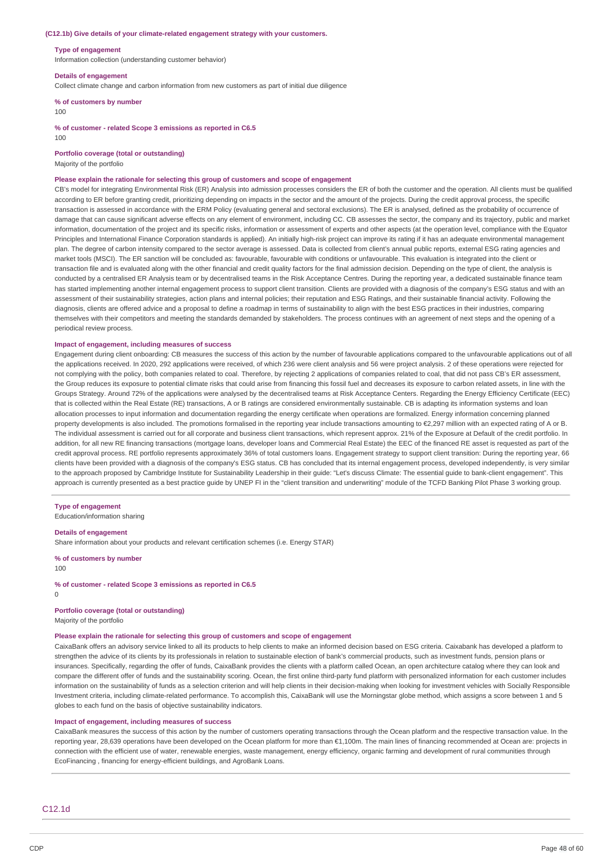#### **(C12.1b) Give details of your climate-related engagement strategy with your customers.**

#### **Type of engagement**

Information collection (understanding customer behavior)

#### **Details of engagement**

Collect climate change and carbon information from new customers as part of initial due diligence

**% of customers by number**

#### 100

**% of customer - related Scope 3 emissions as reported in C6.5**

 $100$ 

**Portfolio coverage (total or outstanding)**

Majority of the portfolio

#### **Please explain the rationale for selecting this group of customers and scope of engagement**

CB's model for integrating Environmental Risk (ER) Analysis into admission processes considers the ER of both the customer and the operation. All clients must be qualified according to ER before granting credit, prioritizing depending on impacts in the sector and the amount of the projects. During the credit approval process, the specific transaction is assessed in accordance with the ERM Policy (evaluating general and sectoral exclusions). The ER is analysed, defined as the probability of occurrence of damage that can cause significant adverse effects on any element of environment, including CC. CB assesses the sector, the company and its trajectory, public and market information, documentation of the project and its specific risks, information or assessment of experts and other aspects (at the operation level, compliance with the Equator Principles and International Finance Corporation standards is applied). An initially high-risk project can improve its rating if it has an adequate environmental management plan. The degree of carbon intensity compared to the sector average is assessed. Data is collected from client's annual public reports, external ESG rating agencies and market tools (MSCI). The ER sanction will be concluded as: favourable, favourable with conditions or unfavourable. This evaluation is integrated into the client or transaction file and is evaluated along with the other financial and credit quality factors for the final admission decision. Depending on the type of client, the analysis is conducted by a centralised ER Analysis team or by decentralised teams in the Risk Acceptance Centres. During the reporting year, a dedicated sustainable finance team has started implementing another internal engagement process to support client transition. Clients are provided with a diagnosis of the company's ESG status and with an assessment of their sustainability strategies, action plans and internal policies; their reputation and ESG Ratings, and their sustainable financial activity. Following the diagnosis, clients are offered advice and a proposal to define a roadmap in terms of sustainability to align with the best ESG practices in their industries, comparing themselves with their competitors and meeting the standards demanded by stakeholders. The process continues with an agreement of next steps and the opening of a periodical review process.

### **Impact of engagement, including measures of success**

Engagement during client onboarding: CB measures the success of this action by the number of favourable applications compared to the unfavourable applications out of all the applications received. In 2020, 292 applications were received, of which 236 were client analysis and 56 were project analysis. 2 of these operations were rejected for not complying with the policy, both companies related to coal. Therefore, by rejecting 2 applications of companies related to coal, that did not pass CB's ER assessment, the Group reduces its exposure to potential climate risks that could arise from financing this fossil fuel and decreases its exposure to carbon related assets, in line with the Groups Strategy. Around 72% of the applications were analysed by the decentralised teams at Risk Acceptance Centers. Regarding the Energy Efficiency Certificate (EEC) that is collected within the Real Estate (RE) transactions. A or B ratings are considered environmentally sustainable. CB is adapting its information systems and loan allocation processes to input information and documentation regarding the energy certificate when operations are formalized. Energy information concerning planned property developments is also included. The promotions formalised in the reporting year include transactions amounting to €2,297 million with an expected rating of A or B. The individual assessment is carried out for all corporate and business client transactions, which represent approx. 21% of the Exposure at Default of the credit portfolio. In addition, for all new RE financing transactions (mortgage loans, developer loans and Commercial Real Estate) the EEC of the financed RE asset is requested as part of the credit approval process. RE portfolio represents approximately 36% of total customers loans. Engagement strategy to support client transition: During the reporting year, 66 clients have been provided with a diagnosis of the company's ESG status. CB has concluded that its internal engagement process, developed independently, is very similar to the approach proposed by Cambridge Institute for Sustainability Leadership in their guide: "Let's discuss Climate: The essential guide to bank-client engagement". This approach is currently presented as a best practice guide by UNEP FI in the "client transition and underwriting" module of the TCFD Banking Pilot Phase 3 working group.

#### **Type of engagement**

Education/information sharing

#### **Details of engagement**

Share information about your products and relevant certification schemes (i.e. Energy STAR)

**% of customers by number** 100

**% of customer - related Scope 3 emissions as reported in C6.5**  $\Omega$ 

**Portfolio coverage (total or outstanding)** Majority of the portfolio

### **Please explain the rationale for selecting this group of customers and scope of engagement**

CaixaBank offers an advisory service linked to all its products to help clients to make an informed decision based on ESG criteria. Caixabank has developed a platform to strengthen the advice of its clients by its professionals in relation to sustainable election of bank's commercial products, such as investment funds, pension plans or insurances. Specifically, regarding the offer of funds, CaixaBank provides the clients with a platform called Ocean, an open architecture catalog where they can look and compare the different offer of funds and the sustainability scoring. Ocean, the first online third-party fund platform with personalized information for each customer includes information on the sustainability of funds as a selection criterion and will help clients in their decision-making when looking for investment vehicles with Socially Responsible Investment criteria, including climate-related performance. To accomplish this, CaixaBank will use the Morningstar globe method, which assigns a score between 1 and 5 globes to each fund on the basis of objective sustainability indicators.

#### **Impact of engagement, including measures of success**

CaixaBank measures the success of this action by the number of customers operating transactions through the Ocean platform and the respective transaction value. In the reporting year, 28,639 operations have been developed on the Ocean platform for more than €1,100m. The main lines of financing recommended at Ocean are: projects in connection with the efficient use of water, renewable energies, waste management, energy efficiency, organic farming and development of rural communities through EcoFinancing , financing for energy-efficient buildings, and AgroBank Loans.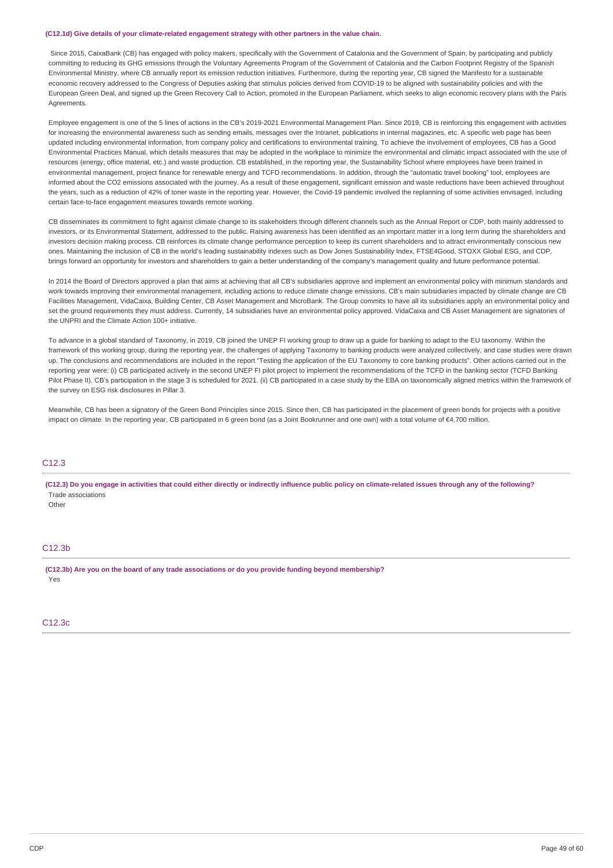#### **(C12.1d) Give details of your climate-related engagement strategy with other partners in the value chain.**

Since 2015, CaixaBank (CB) has engaged with policy makers, specifically with the Government of Catalonia and the Government of Spain, by participating and publicly committing to reducing its GHG emissions through the Voluntary Agreements Program of the Government of Catalonia and the Carbon Footprint Registry of the Spanish Environmental Ministry, where CB annually report its emission reduction initiatives. Furthermore, during the reporting year, CB signed the Manifesto for a sustainable economic recovery addressed to the Congress of Deputies asking that stimulus policies derived from COVID-19 to be aligned with sustainability policies and with the European Green Deal, and signed up the Green Recovery Call to Action, promoted in the European Parliament, which seeks to align economic recovery plans with the Paris **Agreements** 

Employee engagement is one of the 5 lines of actions in the CB's 2019-2021 Environmental Management Plan. Since 2019, CB is reinforcing this engagement with activities for increasing the environmental awareness such as sending emails, messages over the Intranet, publications in internal magazines, etc. A specific web page has been updated including environmental information, from company policy and certifications to environmental training. To achieve the involvement of employees, CB has a Good Environmental Practices Manual, which details measures that may be adopted in the workplace to minimize the environmental and climatic impact associated with the use of resources (energy, office material, etc.) and waste production. CB established, in the reporting year, the Sustainability School where employees have been trained in environmental management, project finance for renewable energy and TCFD recommendations. In addition, through the "automatic travel booking" tool, employees are informed about the CO2 emissions associated with the journey. As a result of these engagement, significant emission and waste reductions have been achieved throughout the years, such as a reduction of 42% of toner waste in the reporting year. However, the Covid-19 pandemic involved the replanning of some activities envisaged, including certain face-to-face engagement measures towards remote working.

CB disseminates its commitment to fight against climate change to its stakeholders through different channels such as the Annual Report or CDP, both mainly addressed to investors, or its Environmental Statement, addressed to the public. Raising awareness has been identified as an important matter in a long term during the shareholders and investors decision making process. CB reinforces its climate change performance perception to keep its current shareholders and to attract environmentally conscious new ones. Maintaining the inclusion of CB in the world's leading sustainability indexes such as Dow Jones Sustainability Index, FTSE4Good, STOXX Global ESG, and CDP, brings forward an opportunity for investors and shareholders to gain a better understanding of the company's management quality and future performance potential.

In 2014 the Board of Directors approved a plan that aims at achieving that all CB's subsidiaries approve and implement an environmental policy with minimum standards and work towards improving their environmental management, including actions to reduce climate change emissions. CB's main subsidiaries impacted by climate change are CB Facilities Management, VidaCaixa, Building Center, CB Asset Management and MicroBank. The Group commits to have all its subsidiaries apply an environmental policy and set the ground requirements they must address. Currently, 14 subsidiaries have an environmental policy approved. VidaCaixa and CB Asset Management are signatories of the UNPRI and the Climate Action 100+ initiative.

To advance in a global standard of Taxonomy, in 2019, CB joined the UNEP FI working group to draw up a guide for banking to adapt to the EU taxonomy. Within the framework of this working group, during the reporting year, the challenges of applying Taxonomy to banking products were analyzed collectively, and case studies were drawn up. The conclusions and recommendations are included in the report "Testing the application of the EU Taxonomy to core banking products". Other actions carried out in the reporting year were: (i) CB participated actively in the second UNEP FI pilot project to implement the recommendations of the TCFD in the banking sector (TCFD Banking Pilot Phase II). CB's participation in the stage 3 is scheduled for 2021. (ii) CB participated in a case study by the EBA on taxonomically aligned metrics within the framework of the survey on ESG risk disclosures in Pillar 3.

Meanwhile, CB has been a signatory of the Green Bond Principles since 2015. Since then, CB has participated in the placement of green bonds for projects with a positive impact on climate. In the reporting year, CB participated in 6 green bond (as a Joint Bookrunner and one own) with a total volume of €4,700 million.

## C12.3

(C12.3) Do you engage in activities that could either directly or indirectly influence public policy on climate-related issues through any of the following? Trade associations

**Other** 

### C<sub>12.3b</sub>

**(C12.3b) Are you on the board of any trade associations or do you provide funding beyond membership?** Yes

C12.3c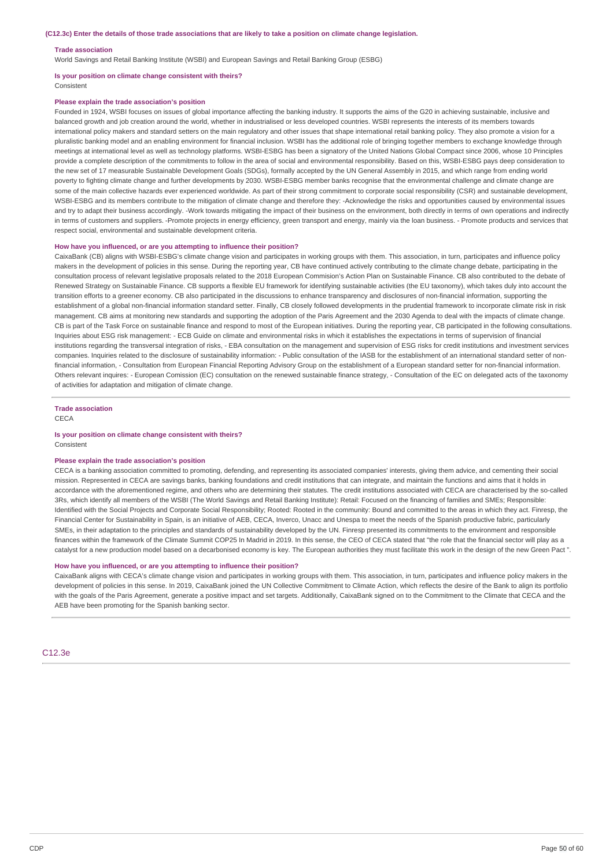#### **Trade association**

World Savings and Retail Banking Institute (WSBI) and European Savings and Retail Banking Group (ESBG)

## **Is your position on climate change consistent with theirs?**

Consistent

### **Please explain the trade association's position**

Founded in 1924, WSBI focuses on issues of global importance affecting the banking industry. It supports the aims of the G20 in achieving sustainable, inclusive and balanced growth and job creation around the world, whether in industrialised or less developed countries. WSBI represents the interests of its members towards international policy makers and standard setters on the main regulatory and other issues that shape international retail banking policy. They also promote a vision for a pluralistic banking model and an enabling environment for financial inclusion. WSBI has the additional role of bringing together members to exchange knowledge through meetings at international level as well as technology platforms. WSBI-ESBG has been a signatory of the United Nations Global Compact since 2006, whose 10 Principles provide a complete description of the commitments to follow in the area of social and environmental responsibility. Based on this, WSBI-ESBG pays deep consideration to the new set of 17 measurable Sustainable Development Goals (SDGs), formally accepted by the UN General Assembly in 2015, and which range from ending world poverty to fighting climate change and further developments by 2030. WSBI-ESBG member banks recognise that the environmental challenge and climate change are some of the main collective hazards ever experienced worldwide. As part of their strong commitment to corporate social responsibility (CSR) and sustainable development, WSBI-ESBG and its members contribute to the mitigation of climate change and therefore they: -Acknowledge the risks and opportunities caused by environmental issues and try to adapt their business accordingly. -Work towards mitigating the impact of their business on the environment, both directly in terms of own operations and indirectly in terms of customers and suppliers. -Promote projects in energy efficiency, green transport and energy, mainly via the loan business. - Promote products and services that respect social, environmental and sustainable development criteria.

#### **How have you influenced, or are you attempting to influence their position?**

CaixaBank (CB) aligns with WSBI-ESBG's climate change vision and participates in working groups with them. This association, in turn, participates and influence policy makers in the development of policies in this sense. During the reporting year, CB have continued actively contributing to the climate change debate, participating in the consultation process of relevant legislative proposals related to the 2018 European Commision's Action Plan on Sustainable Finance. CB also contributed to the debate of Renewed Strategy on Sustainable Finance. CB supports a flexible EU framework for identifying sustainable activities (the EU taxonomy), which takes duly into account the transition efforts to a greener economy. CB also participated in the discussions to enhance transparency and disclosures of non-financial information, supporting the establishment of a global non-financial information standard setter. Finally, CB closely followed developments in the prudential framework to incorporate climate risk in risk management. CB aims at monitoring new standards and supporting the adoption of the Paris Agreement and the 2030 Agenda to deal with the impacts of climate change. CB is part of the Task Force on sustainable finance and respond to most of the European initiatives. During the reporting year, CB participated in the following consultations. Inquiries about ESG risk management: - ECB Guide on climate and environmental risks in which it establishes the expectations in terms of supervision of financial institutions regarding the transversal integration of risks, - EBA consultation on the management and supervision of ESG risks for credit institutions and investment services companies. Inquiries related to the disclosure of sustainability information: - Public consultation of the IASB for the establishment of an international standard setter of nonfinancial information, - Consultation from European Financial Reporting Advisory Group on the establishment of a European standard setter for non-financial information. Others relevant inquires: - European Comission (EC) consultation on the renewed sustainable finance strategy, - Consultation of the EC on delegated acts of the taxonomy of activities for adaptation and mitigation of climate change.

#### **Trade association**

**CECA** 

#### **Is your position on climate change consistent with theirs?** Consistent

#### **Please explain the trade association's position**

CECA is a banking association committed to promoting, defending, and representing its associated companies' interests, giving them advice, and cementing their social mission. Represented in CECA are savings banks, banking foundations and credit institutions that can integrate, and maintain the functions and aims that it holds in accordance with the aforementioned regime, and others who are determining their statutes. The credit institutions associated with CECA are characterised by the so-called 3Rs, which identify all members of the WSBI (The World Savings and Retail Banking Institute): Retail: Focused on the financing of families and SMEs; Responsible: Identified with the Social Projects and Corporate Social Responsibility; Rooted: Rooted in the community: Bound and committed to the areas in which they act. Finresp, the Financial Center for Sustainability in Spain, is an initiative of AEB, CECA, Inverco, Unacc and Unespa to meet the needs of the Spanish productive fabric, particularly SMEs, in their adaptation to the principles and standards of sustainability developed by the UN. Finresp presented its commitments to the environment and responsible finances within the framework of the Climate Summit COP25 In Madrid in 2019. In this sense, the CEO of CECA stated that "the role that the financial sector will play as a catalyst for a new production model based on a decarbonised economy is key. The European authorities they must facilitate this work in the design of the new Green Pact ".

#### **How have you influenced, or are you attempting to influence their position?**

CaixaBank aligns with CECA's climate change vision and participates in working groups with them. This association, in turn, participates and influence policy makers in the development of policies in this sense. In 2019, CaixaBank joined the UN Collective Commitment to Climate Action, which reflects the desire of the Bank to align its portfolio with the goals of the Paris Agreement, generate a positive impact and set targets. Additionally, CaixaBank signed on to the Commitment to the Climate that CECA and the AEB have been promoting for the Spanish banking sector.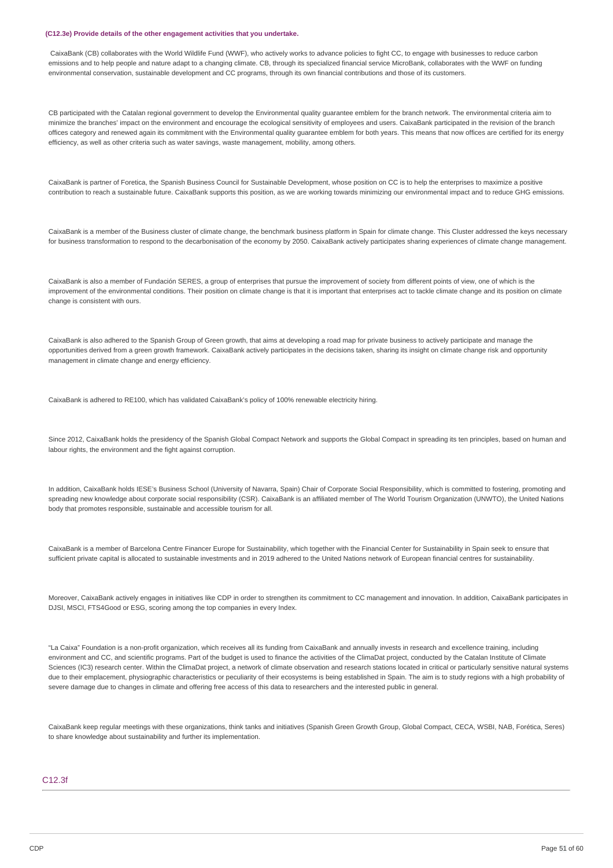#### **(C12.3e) Provide details of the other engagement activities that you undertake.**

CaixaBank (CB) collaborates with the World Wildlife Fund (WWF), who actively works to advance policies to fight CC, to engage with businesses to reduce carbon emissions and to help people and nature adapt to a changing climate. CB, through its specialized financial service MicroBank, collaborates with the WWF on funding environmental conservation, sustainable development and CC programs, through its own financial contributions and those of its customers.

CB participated with the Catalan regional government to develop the Environmental quality guarantee emblem for the branch network. The environmental criteria aim to minimize the branches' impact on the environment and encourage the ecological sensitivity of employees and users. CaixaBank participated in the revision of the branch offices category and renewed again its commitment with the Environmental quality guarantee emblem for both years. This means that now offices are certified for its energy efficiency, as well as other criteria such as water savings, waste management, mobility, among others.

CaixaBank is partner of Foretica, the Spanish Business Council for Sustainable Development, whose position on CC is to help the enterprises to maximize a positive contribution to reach a sustainable future. CaixaBank supports this position, as we are working towards minimizing our environmental impact and to reduce GHG emissions.

CaixaBank is a member of the Business cluster of climate change, the benchmark business platform in Spain for climate change. This Cluster addressed the keys necessary for business transformation to respond to the decarbonisation of the economy by 2050. CaixaBank actively participates sharing experiences of climate change management.

CaixaBank is also a member of Fundación SERES, a group of enterprises that pursue the improvement of society from different points of view, one of which is the improvement of the environmental conditions. Their position on climate change is that it is important that enterprises act to tackle climate change and its position on climate change is consistent with ours.

CaixaBank is also adhered to the Spanish Group of Green growth, that aims at developing a road map for private business to actively participate and manage the opportunities derived from a green growth framework. CaixaBank actively participates in the decisions taken, sharing its insight on climate change risk and opportunity management in climate change and energy efficiency.

CaixaBank is adhered to RE100, which has validated CaixaBank's policy of 100% renewable electricity hiring.

Since 2012, CaixaBank holds the presidency of the Spanish Global Compact Network and supports the Global Compact in spreading its ten principles, based on human and labour rights, the environment and the fight against corruption.

In addition, CaixaBank holds IESE's Business School (University of Navarra, Spain) Chair of Corporate Social Responsibility, which is committed to fostering, promoting and spreading new knowledge about corporate social responsibility (CSR). CaixaBank is an affiliated member of The World Tourism Organization (UNWTO), the United Nations body that promotes responsible, sustainable and accessible tourism for all.

CaixaBank is a member of Barcelona Centre Financer Europe for Sustainability, which together with the Financial Center for Sustainability in Spain seek to ensure that sufficient private capital is allocated to sustainable investments and in 2019 adhered to the United Nations network of European financial centres for sustainability.

Moreover, CaixaBank actively engages in initiatives like CDP in order to strengthen its commitment to CC management and innovation. In addition, CaixaBank participates in DJSI, MSCI, FTS4Good or ESG, scoring among the top companies in every Index.

"La Caixa" Foundation is a non-profit organization, which receives all its funding from CaixaBank and annually invests in research and excellence training, including environment and CC, and scientific programs. Part of the budget is used to finance the activities of the ClimaDat project, conducted by the Catalan Institute of Climate Sciences (IC3) research center. Within the ClimaDat project, a network of climate observation and research stations located in critical or particularly sensitive natural systems due to their emplacement, physiographic characteristics or peculiarity of their ecosystems is being established in Spain. The aim is to study regions with a high probability of severe damage due to changes in climate and offering free access of this data to researchers and the interested public in general.

CaixaBank keep regular meetings with these organizations, think tanks and initiatives (Spanish Green Growth Group, Global Compact, CECA, WSBI, NAB, Forética, Seres) to share knowledge about sustainability and further its implementation.

### $C12.3f$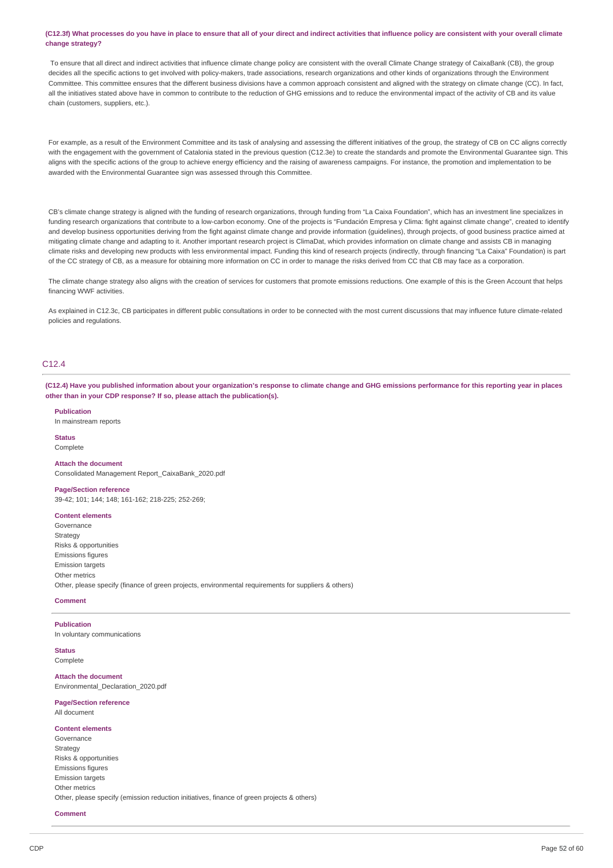(C12.3f) What processes do you have in place to ensure that all of your direct and indirect activities that influence policy are consistent with your overall climate **change strategy?**

To ensure that all direct and indirect activities that influence climate change policy are consistent with the overall Climate Change strategy of CaixaBank (CB), the group decides all the specific actions to get involved with policy-makers, trade associations, research organizations and other kinds of organizations through the Environment Committee. This committee ensures that the different business divisions have a common approach consistent and aligned with the strategy on climate change (CC). In fact, all the initiatives stated above have in common to contribute to the reduction of GHG emissions and to reduce the environmental impact of the activity of CB and its value chain (customers, suppliers, etc.).

For example, as a result of the Environment Committee and its task of analysing and assessing the different initiatives of the group, the strategy of CB on CC aligns correctly with the engagement with the government of Catalonia stated in the previous question (C12.3e) to create the standards and promote the Environmental Guarantee sign. This aligns with the specific actions of the group to achieve energy efficiency and the raising of awareness campaigns. For instance, the promotion and implementation to be awarded with the Environmental Guarantee sign was assessed through this Committee.

CB's climate change strategy is aligned with the funding of research organizations, through funding from "La Caixa Foundation", which has an investment line specializes in funding research organizations that contribute to a low-carbon economy. One of the projects is "Fundación Empresa y Clima: fight against climate change", created to identify and develop business opportunities deriving from the fight against climate change and provide information (guidelines), through projects, of good business practice aimed at mitigating climate change and adapting to it. Another important research project is ClimaDat, which provides information on climate change and assists CB in managing climate risks and developing new products with less environmental impact. Funding this kind of research projects (indirectly, through financing "La Caixa" Foundation) is part of the CC strategy of CB, as a measure for obtaining more information on CC in order to manage the risks derived from CC that CB may face as a corporation.

The climate change strategy also aligns with the creation of services for customers that promote emissions reductions. One example of this is the Green Account that helps financing WWF activities.

As explained in C12.3c, CB participates in different public consultations in order to be connected with the most current discussions that may influence future climate-related policies and regulations.

### C<sub>12</sub> 4

(C12.4) Have you published information about your organization's response to climate change and GHG emissions performance for this reporting year in places **other than in your CDP response? If so, please attach the publication(s).**

### **Publication**

In mainstream reports

#### **Status** Complete

**Attach the document**

Consolidated Management Report\_CaixaBank\_2020.pdf

### **Page/Section reference**

39-42; 101; 144; 148; 161-162; 218-225; 252-269;

## **Content elements**

Governance Strategy Risks & opportunities Emissions figures Emission targets Other metrics Other, please specify (finance of green projects, environmental requirements for suppliers & others)

### **Comment**

### **Publication**

In voluntary communications

#### **Status** Complete

**Attach the document** Environmental\_Declaration\_2020.pdf

### **Page/Section reference**

All document

### **Content elements**

Governance **Strategy** Risks & opportunities Emissions figures Emission targets Other metrics Other, please specify (emission reduction initiatives, finance of green projects & others)

#### **Comment**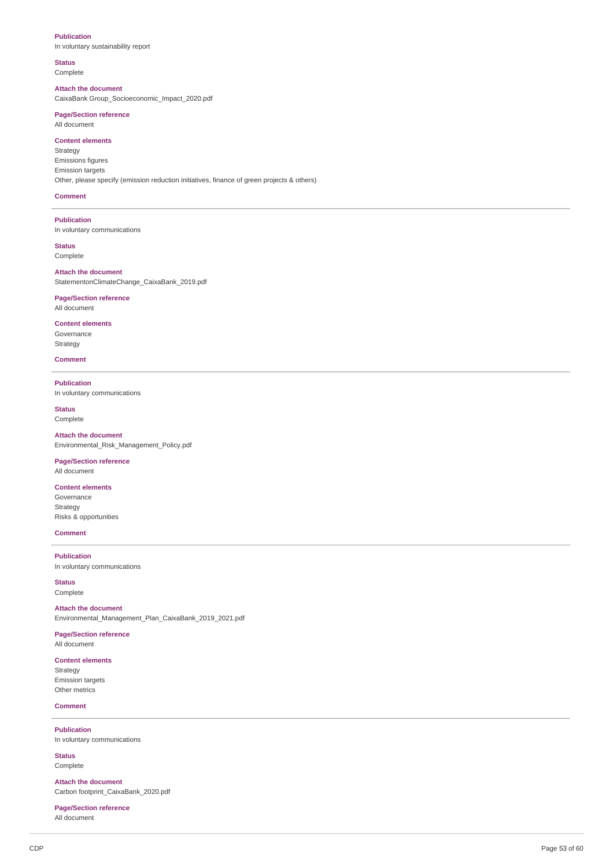### **Publication**

In voluntary sustainability report

### **Status**

Complete

**Attach the document** CaixaBank Group\_Socioeconomic\_Impact\_2020.pdf

### **Page/Section reference**

All document

**Content elements** Strategy Emissions figures Emission targets Other, please specify (emission reduction initiatives, finance of green projects & others)

### **Comment**

**Publication** In voluntary communications

**Status** Complete

### **Attach the document**

StatementonClimateChange\_CaixaBank\_2019.pdf

### **Page/Section reference** All document

**Content elements** Governance Strategy

### **Comment**

**Publication** In voluntary communications

## **Status**

Complete

**Attach the document** Environmental\_Risk\_Management\_Policy.pdf

## **Page/Section reference**

All document

### **Content elements** Governance Strategy Risks & opportunities

**Comment**

**Publication** In voluntary communications

**Status** Complete

## **Attach the document**

Environmental\_Management\_Plan\_CaixaBank\_2019\_2021.pdf

## **Page/Section reference**

All document

## **Content elements**

Strategy Emission targets Other metrics

### **Comment**

**Publication** In voluntary communications

**Status** Complete

**Attach the document** Carbon footprint\_CaixaBank\_2020.pdf

**Page/Section reference** All document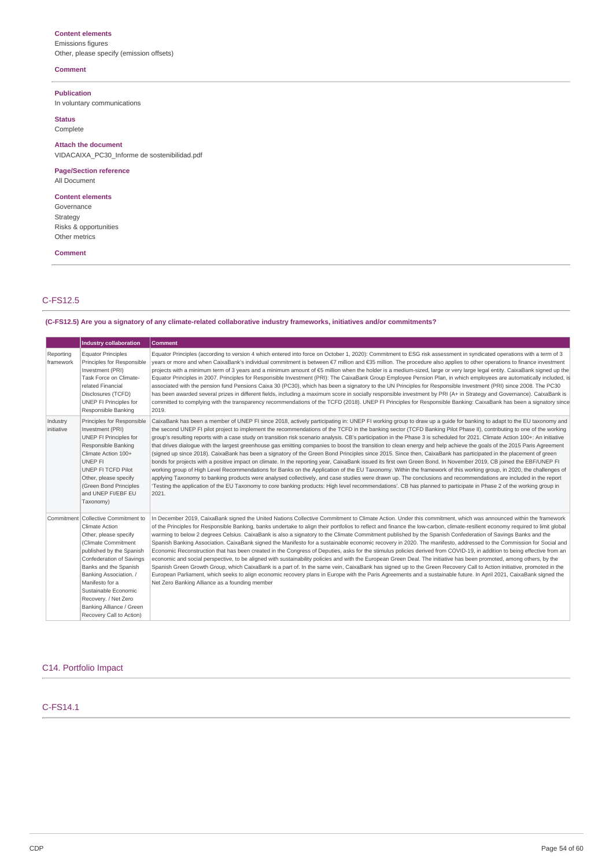### **Content elements**

Emissions figures Other, please specify (emission offsets)

### **Comment**

**Publication**

In voluntary communications

## **Status**

Complete

**Attach the document** VIDACAIXA\_PC30\_Informe de sostenibilidad.pdf

### **Page/Section reference**

All Document

**Content elements** Governance Strategy Risks & opportunities Other metrics

### **Comment**

C-FS12.5

## **(C-FS12.5) Are you a signatory of any climate-related collaborative industry frameworks, initiatives and/or commitments?**

|                        | <b>Industry collaboration</b>                                                                                                                                                                                                                                                                                                                        | <b>Comment</b>                                                                                                                                                                                                                                                                                                                                                                                                                                                                                                                                                                                                                                                                                                                                                                                                                                                                                                                                                                                                                                                                                                                                                                                                                                                                                                                                                                                                                                                                                                                                                              |
|------------------------|------------------------------------------------------------------------------------------------------------------------------------------------------------------------------------------------------------------------------------------------------------------------------------------------------------------------------------------------------|-----------------------------------------------------------------------------------------------------------------------------------------------------------------------------------------------------------------------------------------------------------------------------------------------------------------------------------------------------------------------------------------------------------------------------------------------------------------------------------------------------------------------------------------------------------------------------------------------------------------------------------------------------------------------------------------------------------------------------------------------------------------------------------------------------------------------------------------------------------------------------------------------------------------------------------------------------------------------------------------------------------------------------------------------------------------------------------------------------------------------------------------------------------------------------------------------------------------------------------------------------------------------------------------------------------------------------------------------------------------------------------------------------------------------------------------------------------------------------------------------------------------------------------------------------------------------------|
| Reporting<br>framework | <b>Equator Principles</b><br>Principles for Responsible<br>Investment (PRI)<br>Task Force on Climate-<br>related Financial<br>Disclosures (TCFD)<br>UNEP FI Principles for<br>Responsible Banking                                                                                                                                                    | Equator Principles (according to version 4 which entered into force on October 1, 2020): Commitment to ESG risk assessment in syndicated operations with a term of 3<br>years or more and when CaixaBank's individual commitment is between €7 million and €35 million. The procedure also applies to other operations to finance investment<br>projects with a minimum term of 3 years and a minimum amount of €5 million when the holder is a medium-sized, large or very large legal entity. CaixaBank signed up the<br>Equator Principles in 2007. Principles for Responsible Investment (PRI): The CaixaBank Group Employee Pension Plan, in which employees are automatically included, is<br>associated with the pension fund Pensions Caixa 30 (PC30), which has been a signatory to the UN Principles for Responsible Investment (PRI) since 2008. The PC30<br>has been awarded several prizes in different fields, including a maximum score in socially responsible investment by PRI (A+ in Strategy and Governance). CaixaBank is<br>committed to complying with the transparency recommendations of the TCFD (2018). UNEP FI Principles for Responsible Banking: CaixaBank has been a signatory since<br>2019.                                                                                                                                                                                                                                                                                                                                                |
| Industry<br>initiative | Principles for Responsible<br>Investment (PRI)<br>UNEP FI Principles for<br>Responsible Banking<br>Climate Action 100+<br>UNEP FI<br>UNEP FI TCFD Pilot<br>Other, please specify<br>(Green Bond Principles<br>and UNEP FI/EBF EU<br>Taxonomy)                                                                                                        | CaixaBank has been a member of UNEP FI since 2018, actively participating in: UNEP FI working group to draw up a quide for banking to adapt to the EU taxonomy and<br>the second UNEP FI pilot project to implement the recommendations of the TCFD in the banking sector (TCFD Banking Pilot Phase II), contributing to one of the working<br>group's resulting reports with a case study on transition risk scenario analysis. CB's participation in the Phase 3 is scheduled for 2021. Climate Action 100+: An initiative<br>that drives dialogue with the largest greenhouse gas emitting companies to boost the transition to clean energy and help achieve the goals of the 2015 Paris Agreement<br>(signed up since 2018). CaixaBank has been a signatory of the Green Bond Principles since 2015. Since then, CaixaBank has participated in the placement of green<br>bonds for projects with a positive impact on climate. In the reporting year, CaixaBank issued its first own Green Bond. In November 2019, CB joined the EBF/UNEP FI<br>working group of High Level Recommendations for Banks on the Application of the EU Taxonomy. Within the framework of this working group, in 2020, the challenges of<br>applying Taxonomy to banking products were analysed collectively, and case studies were drawn up. The conclusions and recommendations are included in the report<br>Testing the application of the EU Taxonomy to core banking products: High level recommendations'. CB has planned to participate in Phase 2 of the working group in<br>2021. |
|                        | Commitment   Collective Commitment to<br><b>Climate Action</b><br>Other, please specify<br>(Climate Commitment<br>published by the Spanish<br>Confederation of Savings<br>Banks and the Spanish<br>Banking Association. /<br>Manifesto for a<br>Sustainable Economic<br>Recovery. / Net Zero<br>Banking Alliance / Green<br>Recovery Call to Action) | In December 2019, CaixaBank signed the United Nations Collective Commitment to Climate Action. Under this commitment, which was announced within the framework<br>of the Principles for Responsible Banking, banks undertake to align their portfolios to reflect and finance the low-carbon, climate-resilient economy required to limit global<br>warming to below 2 degrees Celsius. CaixaBank is also a signatory to the Climate Commitment published by the Spanish Confederation of Savings Banks and the<br>Spanish Banking Association. CaixaBank signed the Manifesto for a sustainable economic recovery in 2020. The manifesto, addressed to the Commission for Social and<br>Economic Reconstruction that has been created in the Congress of Deputies, asks for the stimulus policies derived from COVID-19, in addition to being effective from an<br>economic and social perspective, to be aligned with sustainability policies and with the European Green Deal. The initiative has been promoted, among others, by the<br>Spanish Green Growth Group, which CaixaBank is a part of. In the same vein, CaixaBank has signed up to the Green Recovery Call to Action initiative, promoted in the<br>European Parliament, which seeks to align economic recovery plans in Europe with the Paris Agreements and a sustainable future. In April 2021, CaixaBank signed the<br>Net Zero Banking Alliance as a founding member                                                                                                                                   |

### C14. Portfolio Impact

C-FS14.1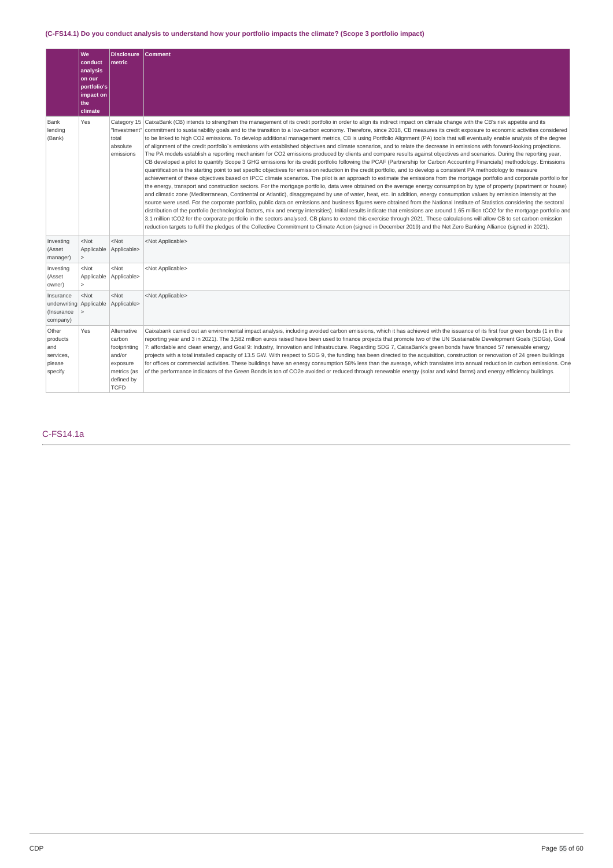## (C-FS14.1) Do you conduct analysis to understand how your portfolio impacts the climate? (Scope 3 portfolio impact)

|                                                                | lwe<br>conduct<br>analysis<br>on our<br>portfolio's<br>impact on<br>the<br>climate | <b>Disclosure</b><br>metric                                                                             | <b>Comment</b>                                                                                                                                                                                                                                                                                                                                                                                                                                                                                                                                                                                                                                                                                                                                                                                                                                                                                                                                                                                                                                                                                                                                                                                                                                                                                                                                                                                                                                                                                                                                                                                                                                                                                                                                                                                                                                                                                                                                                                                                                                                                                                                                                                                                                                                                                                                                                                                                                                                                                                                 |
|----------------------------------------------------------------|------------------------------------------------------------------------------------|---------------------------------------------------------------------------------------------------------|--------------------------------------------------------------------------------------------------------------------------------------------------------------------------------------------------------------------------------------------------------------------------------------------------------------------------------------------------------------------------------------------------------------------------------------------------------------------------------------------------------------------------------------------------------------------------------------------------------------------------------------------------------------------------------------------------------------------------------------------------------------------------------------------------------------------------------------------------------------------------------------------------------------------------------------------------------------------------------------------------------------------------------------------------------------------------------------------------------------------------------------------------------------------------------------------------------------------------------------------------------------------------------------------------------------------------------------------------------------------------------------------------------------------------------------------------------------------------------------------------------------------------------------------------------------------------------------------------------------------------------------------------------------------------------------------------------------------------------------------------------------------------------------------------------------------------------------------------------------------------------------------------------------------------------------------------------------------------------------------------------------------------------------------------------------------------------------------------------------------------------------------------------------------------------------------------------------------------------------------------------------------------------------------------------------------------------------------------------------------------------------------------------------------------------------------------------------------------------------------------------------------------------|
| Bank<br>lending<br>(Bank)                                      | Yes                                                                                | Category 15<br>"Investment"<br>total<br>absolute<br>emissions                                           | CaixaBank (CB) intends to strengthen the management of its credit portfolio in order to align its indirect impact on climate change with the CB's risk appetite and its<br>commitment to sustainability goals and to the transition to a low-carbon economy. Therefore, since 2018, CB measures its credit exposure to economic activities considered<br>to be linked to high CO2 emissions. To develop additional management metrics, CB is using Portfolio Alignment (PA) tools that will eventually enable analysis of the degree<br>of alignment of the credit portfolio's emissions with established objectives and climate scenarios, and to relate the decrease in emissions with forward-looking projections.<br>The PA models establish a reporting mechanism for CO2 emissions produced by clients and compare results against objectives and scenarios. During the reporting year,<br>CB developed a pilot to quantify Scope 3 GHG emissions for its credit portfolio following the PCAF (Partnership for Carbon Accounting Financials) methodology. Emissions<br>quantification is the starting point to set specific objectives for emission reduction in the credit portfolio, and to develop a consistent PA methodology to measure<br>achievement of these objectives based on IPCC climate scenarios. The pilot is an approach to estimate the emissions from the mortgage portfolio and corporate portfolio for<br>the energy, transport and construction sectors. For the mortgage portfolio, data were obtained on the average energy consumption by type of property (apartment or house)<br>and climatic zone (Mediterranean, Continental or Atlantic), disaggregated by use of water, heat, etc. In addition, energy consumption values by emission intensity at the<br>source were used. For the corporate portfolio, public data on emissions and business figures were obtained from the National Institute of Statistics considering the sectoral<br>distribution of the portfolio (technological factors, mix and energy intensities). Initial results indicate that emissions are around 1.65 million tCO2 for the mortgage portfolio and<br>3.1 million tCO2 for the corporate portfolio in the sectors analysed. CB plans to extend this exercise through 2021. These calculations will allow CB to set carbon emission<br>reduction targets to fulfil the pledges of the Collective Commitment to Climate Action (signed in December 2019) and the Net Zero Banking Alliance (signed in 2021). |
| Investing<br>(Asset<br>manager)                                | <not<br>Applicable<br/><math>\geq</math></not<br>                                  | $<$ Not<br>Applicable>                                                                                  | <not applicable=""></not>                                                                                                                                                                                                                                                                                                                                                                                                                                                                                                                                                                                                                                                                                                                                                                                                                                                                                                                                                                                                                                                                                                                                                                                                                                                                                                                                                                                                                                                                                                                                                                                                                                                                                                                                                                                                                                                                                                                                                                                                                                                                                                                                                                                                                                                                                                                                                                                                                                                                                                      |
| Investing<br>(Asset<br>owner)                                  | $<$ Not<br>Applicable<br>$\geq$                                                    | $<$ Not<br>Applicable>                                                                                  | <not applicable=""></not>                                                                                                                                                                                                                                                                                                                                                                                                                                                                                                                                                                                                                                                                                                                                                                                                                                                                                                                                                                                                                                                                                                                                                                                                                                                                                                                                                                                                                                                                                                                                                                                                                                                                                                                                                                                                                                                                                                                                                                                                                                                                                                                                                                                                                                                                                                                                                                                                                                                                                                      |
| Insurance<br>underwriting Applicable<br>(Insurance<br>company) | $<$ Not<br>$\geq$                                                                  | $<$ Not<br>Applicable>                                                                                  | <not applicable=""></not>                                                                                                                                                                                                                                                                                                                                                                                                                                                                                                                                                                                                                                                                                                                                                                                                                                                                                                                                                                                                                                                                                                                                                                                                                                                                                                                                                                                                                                                                                                                                                                                                                                                                                                                                                                                                                                                                                                                                                                                                                                                                                                                                                                                                                                                                                                                                                                                                                                                                                                      |
| Other<br>products<br>and<br>services.<br>please<br>specify     | Yes                                                                                | Alternative<br>carbon<br>footprinting<br>and/or<br>exposure<br>metrics (as<br>defined by<br><b>TCFD</b> | Caixabank carried out an environmental impact analysis, including avoided carbon emissions, which it has achieved with the issuance of its first four green bonds (1 in the<br>reporting year and 3 in 2021). The 3,582 million euros raised have been used to finance projects that promote two of the UN Sustainable Development Goals (SDGs), Goal<br>7: affordable and clean energy, and Goal 9: Industry, Innovation and Infrastructure. Regarding SDG 7, CaixaBank's green bonds have financed 57 renewable energy<br>projects with a total installed capacity of 13.5 GW. With respect to SDG 9, the funding has been directed to the acquisition, construction or renovation of 24 green buildings<br>for offices or commercial activities. These buildings have an energy consumption 58% less than the average, which translates into annual reduction in carbon emissions. One<br>of the performance indicators of the Green Bonds is ton of CO2e avoided or reduced through renewable energy (solar and wind farms) and energy efficiency buildings.                                                                                                                                                                                                                                                                                                                                                                                                                                                                                                                                                                                                                                                                                                                                                                                                                                                                                                                                                                                                                                                                                                                                                                                                                                                                                                                                                                                                                                                               |

C-FS14.1a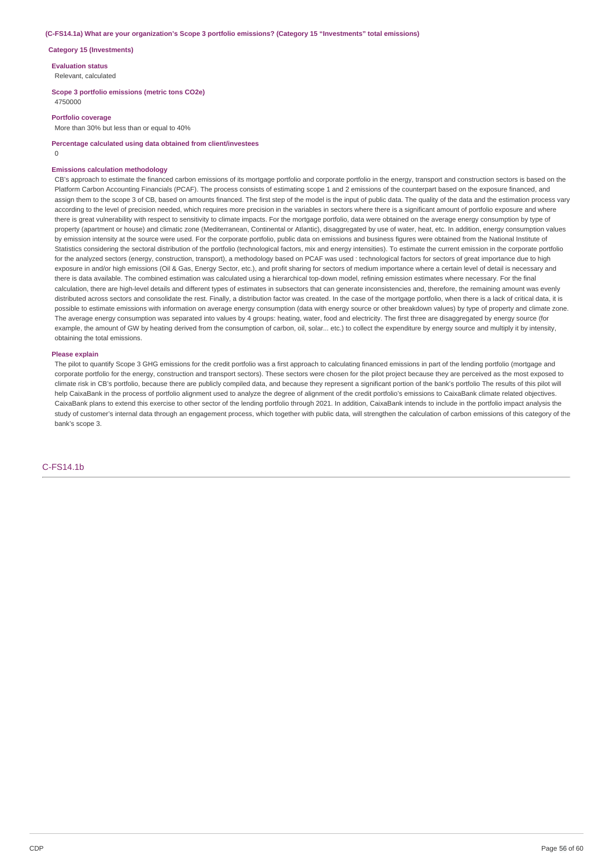#### **(C-FS14.1a) What are your organization's Scope 3 portfolio emissions? (Category 15 "Investments" total emissions)**

#### **Category 15 (Investments)**

**Evaluation status**

Relevant, calculated

### **Scope 3 portfolio emissions (metric tons CO2e)**

4750000

### **Portfolio coverage**

More than 30% but less than or equal to 40%

**Percentage calculated using data obtained from client/investees**

 $\Omega$ 

#### **Emissions calculation methodology**

CB's approach to estimate the financed carbon emissions of its mortgage portfolio and corporate portfolio in the energy, transport and construction sectors is based on the Platform Carbon Accounting Financials (PCAF). The process consists of estimating scope 1 and 2 emissions of the counterpart based on the exposure financed, and assign them to the scope 3 of CB, based on amounts financed. The first step of the model is the input of public data. The quality of the data and the estimation process vary according to the level of precision needed, which requires more precision in the variables in sectors where there is a significant amount of portfolio exposure and where there is great vulnerability with respect to sensitivity to climate impacts. For the mortgage portfolio, data were obtained on the average energy consumption by type of property (apartment or house) and climatic zone (Mediterranean, Continental or Atlantic), disaggregated by use of water, heat, etc. In addition, energy consumption values by emission intensity at the source were used. For the corporate portfolio, public data on emissions and business figures were obtained from the National Institute of Statistics considering the sectoral distribution of the portfolio (technological factors, mix and energy intensities). To estimate the current emission in the corporate portfolio for the analyzed sectors (energy, construction, transport), a methodology based on PCAF was used : technological factors for sectors of great importance due to high exposure in and/or high emissions (Oil & Gas, Energy Sector, etc.), and profit sharing for sectors of medium importance where a certain level of detail is necessary and there is data available. The combined estimation was calculated using a hierarchical top-down model, refining emission estimates where necessary. For the final calculation, there are high-level details and different types of estimates in subsectors that can generate inconsistencies and, therefore, the remaining amount was evenly distributed across sectors and consolidate the rest. Finally, a distribution factor was created. In the case of the mortgage portfolio, when there is a lack of critical data, it is possible to estimate emissions with information on average energy consumption (data with energy source or other breakdown values) by type of property and climate zone. The average energy consumption was separated into values by 4 groups: heating, water, food and electricity. The first three are disaggregated by energy source (for example, the amount of GW by heating derived from the consumption of carbon, oil, solar... etc.) to collect the expenditure by energy source and multiply it by intensity, obtaining the total emissions.

#### **Please explain**

The pilot to quantify Scope 3 GHG emissions for the credit portfolio was a first approach to calculating financed emissions in part of the lending portfolio (mortgage and corporate portfolio for the energy, construction and transport sectors). These sectors were chosen for the pilot project because they are perceived as the most exposed to climate risk in CB's portfolio, because there are publicly compiled data, and because they represent a significant portion of the bank's portfolio The results of this pilot will help CaixaBank in the process of portfolio alignment used to analyze the degree of alignment of the credit portfolio's emissions to CaixaBank climate related objectives. CaixaBank plans to extend this exercise to other sector of the lending portfolio through 2021. In addition, CaixaBank intends to include in the portfolio impact analysis the study of customer's internal data through an engagement process, which together with public data, will strengthen the calculation of carbon emissions of this category of the bank's scope 3.

### C-FS14.1b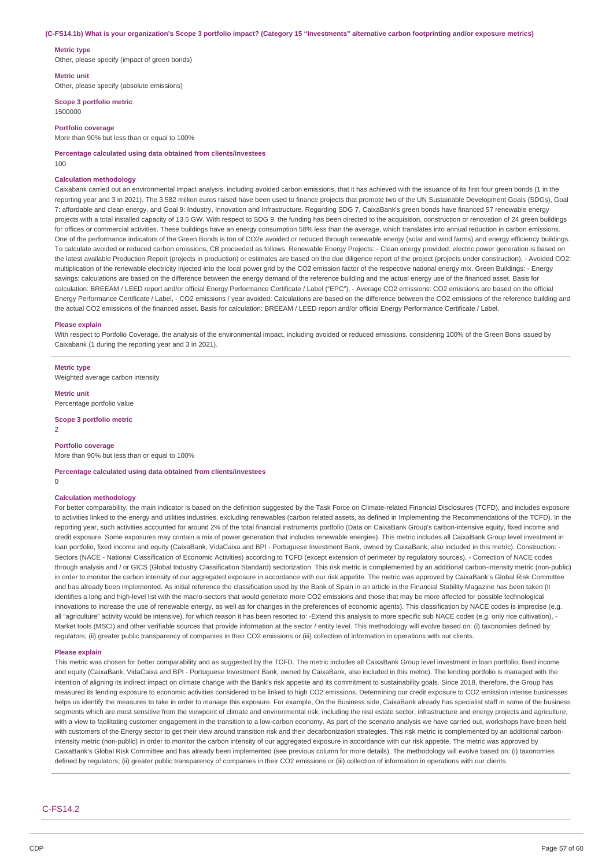#### (C-FS14.1b) What is your organization's Scope 3 portfolio impact? (Category 15 "Investments" alternative carbon footprinting and/or exposure metrics)

### **Metric type**

Other, please specify (impact of green bonds)

### **Metric unit**

Other, please specify (absolute emissions)

## **Scope 3 portfolio metric**

1500000

### **Portfolio coverage**

More than 90% but less than or equal to 100%

**Percentage calculated using data obtained from clients/investees** 100

### **Calculation methodology**

Caixabank carried out an environmental impact analysis, including avoided carbon emissions, that it has achieved with the issuance of its first four green bonds (1 in the reporting year and 3 in 2021). The 3,582 million euros raised have been used to finance projects that promote two of the UN Sustainable Development Goals (SDGs), Goal 7: affordable and clean energy, and Goal 9: Industry, Innovation and Infrastructure. Regarding SDG 7, CaixaBank's green bonds have financed 57 renewable energy projects with a total installed capacity of 13.5 GW. With respect to SDG 9, the funding has been directed to the acquisition, construction or renovation of 24 green buildings for offices or commercial activities. These buildings have an energy consumption 58% less than the average, which translates into annual reduction in carbon emissions. One of the performance indicators of the Green Bonds is ton of CO2e avoided or reduced through renewable energy (solar and wind farms) and energy efficiency buildings. To calculate avoided or reduced carbon emissions, CB proceeded as follows. Renewable Energy Projects: - Clean energy provided: electric power generation is based on the latest available Production Report (projects in production) or estimates are based on the due diligence report of the project (projects under construction), - Avoided CO2: multiplication of the renewable electricity injected into the local power grid by the CO2 emission factor of the respective national energy mix. Green Buildings: - Energy savings: calculations are based on the difference between the energy demand of the reference building and the actual energy use of the financed asset. Basis for calculation: BREEAM / LEED report and/or official Energy Performance Certificate / Label ("EPC"), - Average CO2 emissions: CO2 emissions are based on the official Energy Performance Certificate / Label, - CO2 emissions / year avoided: Calculations are based on the difference between the CO2 emissions of the reference building and the actual CO2 emissions of the financed asset. Basis for calculation: BREEAM / LEED report and/or official Energy Performance Certificate / Label.

#### **Please explain**

With respect to Portfolio Coverage, the analysis of the environmental impact, including avoided or reduced emissions, considering 100% of the Green Bons issued by Caixabank (1 during the reporting year and 3 in 2021).

**Metric type** Weighted average carbon intensity

**Metric unit** Percentage portfolio value

**Scope 3 portfolio metric**  $\overline{2}$ 

#### **Portfolio coverage**

More than 90% but less than or equal to 100%

#### **Percentage calculated using data obtained from clients/investees**

 $\Omega$ 

### **Calculation methodology**

For better comparability, the main indicator is based on the definition suggested by the Task Force on Climate-related Financial Disclosures (TCFD), and includes exposure to activities linked to the energy and utilities industries, excluding renewables (carbon related assets, as defined in Implementing the Recommendations of the TCFD). In the reporting year, such activities accounted for around 2% of the total financial instruments portfolio (Data on CaixaBank Group's carbon-intensive equity, fixed income and credit exposure. Some exposures may contain a mix of power generation that includes renewable energies). This metric includes all CaixaBank Group level investment in loan portfolio, fixed income and equity (CaixaBank, VidaCaixa and BPI - Portuguese Investment Bank, owned by CaixaBank, also included in this metric). Construction: -Sectors (NACE - National Classification of Economic Activities) according to TCFD (except extension of perimeter by regulatory sources). - Correction of NACE codes through analysis and / or GICS (Global Industry Classification Standard) sectorization. This risk metric is complemented by an additional carbon-intensity metric (non-public) in order to monitor the carbon intensity of our aggregated exposure in accordance with our risk appetite. The metric was approved by CaixaBank's Global Risk Committee and has already been implemented. As initial reference the classification used by the Bank of Spain in an article in the Financial Stability Magazine has been taken (it identifies a long and high-level list with the macro-sectors that would generate more CO2 emissions and those that may be more affected for possible technological innovations to increase the use of renewable energy, as well as for changes in the preferences of economic agents). This classification by NACE codes is imprecise (e.g. all "agriculture" activity would be intensive), for which reason it has been resorted to: -Extend this analysis to more specific sub NACE codes (e.g. only rice cultivation), -Market tools (MSCI) and other verifiable sources that provide information at the sector / entity level. This methodology will evolve based on: (i) taxonomies defined by regulators; (ii) greater public transparency of companies in their CO2 emissions or (iii) collection of information in operations with our clients.

#### **Please explain**

This metric was chosen for better comparability and as suggested by the TCFD. The metric includes all CaixaBank Group level investment in loan portfolio, fixed income and equity (CaixaBank, VidaCaixa and BPI - Portuguese Investment Bank, owned by CaixaBank, also included in this metric). The lending portfolio is managed with the intention of aligning its indirect impact on climate change with the Bank's risk appetite and its commitment to sustainability goals. Since 2018, therefore, the Group has measured its lending exposure to economic activities considered to be linked to high CO2 emissions. Determining our credit exposure to CO2 emission intense businesses helps us identify the measures to take in order to manage this exposure. For example, On the Business side, CaixaBank already has specialist staff in some of the business segments which are most sensitive from the viewpoint of climate and environmental risk, including the real estate sector, infrastructure and energy projects and agriculture, with a view to facilitating customer engagement in the transition to a low-carbon economy. As part of the scenario analysis we have carried out, workshops have been held with customers of the Energy sector to get their view around transition risk and their decarbonization strategies. This risk metric is complemented by an additional carbonintensity metric (non-public) in order to monitor the carbon intensity of our aggregated exposure in accordance with our risk appetite. The metric was approved by CaixaBank's Global Risk Committee and has already been implemented (see previous column for more details). The methodology will evolve based on: (i) taxonomies defined by regulators; (ii) greater public transparency of companies in their CO2 emissions or (iii) collection of information in operations with our clients.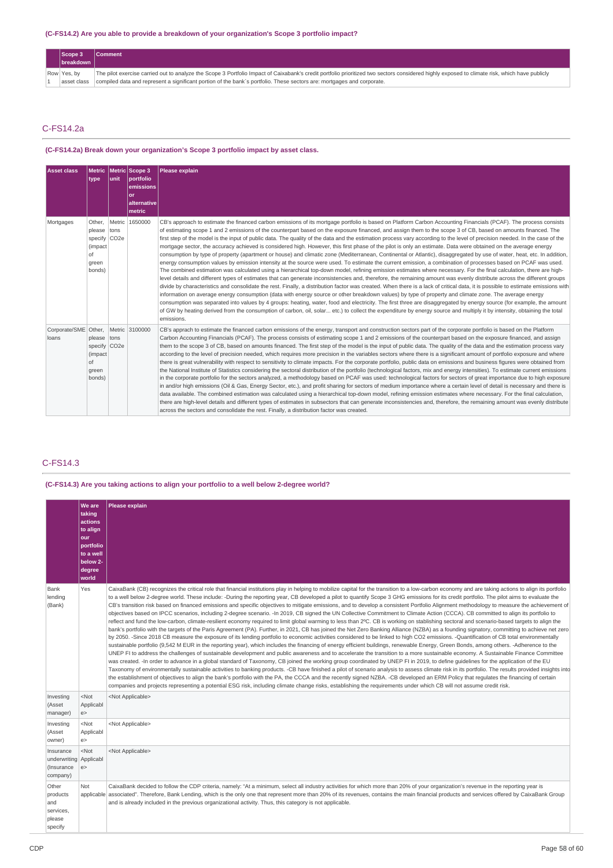### **(C-FS14.2) Are you able to provide a breakdown of your organization's Scope 3 portfolio impact?**

| Scope 3     | <b>Comment</b>                                                                                                                                                                                |
|-------------|-----------------------------------------------------------------------------------------------------------------------------------------------------------------------------------------------|
| breakdown   |                                                                                                                                                                                               |
| Row Yes, by | The pilot exercise carried out to analyze the Scope 3 Portfolio Impact of Caixabank's credit portfolio prioritized two sectors considered highly exposed to climate risk, which have publicly |
| asset class | compiled data and represent a significant portion of the bank's portfolio. These sectors are: mortgages and corporate.                                                                        |

### C-FS14.2a

### **(C-FS14.2a) Break down your organization's Scope 3 portfolio impact by asset class.**

| <b>Asset class</b>                           | type                                                                                   | l unit - | Metric   Metric   Scope 3<br><i><b>Dortfolio</b></i><br>emissions<br>or<br>alternative<br>metric | Please explain                                                                                                                                                                                                                                                                                                                                                                                                                                                                                                                                                                                                                                                                                                                                                                                                                                                                                                                                                                                                                                                                                                                                                                                                                                                                                                                                                                                                                                                                                                                                                                                                                                                                                                                                                                                                                                                                                                                                                                                                                                                                                   |
|----------------------------------------------|----------------------------------------------------------------------------------------|----------|--------------------------------------------------------------------------------------------------|--------------------------------------------------------------------------------------------------------------------------------------------------------------------------------------------------------------------------------------------------------------------------------------------------------------------------------------------------------------------------------------------------------------------------------------------------------------------------------------------------------------------------------------------------------------------------------------------------------------------------------------------------------------------------------------------------------------------------------------------------------------------------------------------------------------------------------------------------------------------------------------------------------------------------------------------------------------------------------------------------------------------------------------------------------------------------------------------------------------------------------------------------------------------------------------------------------------------------------------------------------------------------------------------------------------------------------------------------------------------------------------------------------------------------------------------------------------------------------------------------------------------------------------------------------------------------------------------------------------------------------------------------------------------------------------------------------------------------------------------------------------------------------------------------------------------------------------------------------------------------------------------------------------------------------------------------------------------------------------------------------------------------------------------------------------------------------------------------|
| Mortgages                                    | Other.<br>please tons<br>specify CO <sub>2e</sub><br>(impact)<br>nf<br>green<br>bonds) |          | Metric 1650000                                                                                   | CB's approach to estimate the financed carbon emissions of its mortgage portfolio is based on Platform Carbon Accounting Financials (PCAF). The process consists<br>of estimating scope 1 and 2 emissions of the counterpart based on the exposure financed, and assign them to the scope 3 of CB, based on amounts financed. The<br>first step of the model is the input of public data. The quality of the data and the estimation process vary according to the level of precision needed. In the case of the<br>mortgage sector, the accuracy achieved is considered high. However, this first phase of the pilot is only an estimate. Data were obtained on the average energy<br>consumption by type of property (apartment or house) and climatic zone (Mediterranean, Continental or Atlantic), disaggregated by use of water, heat, etc. In addition,<br>energy consumption values by emission intensity at the source were used. To estimate the current emission, a combination of processes based on PCAF was used.<br>The combined estimation was calculated using a hierarchical top-down model, refining emission estimates where necessary. For the final calculation, there are high-<br>level details and different types of estimates that can generate inconsistencies and, therefore, the remaining amount was evenly distribute across the different groups<br>divide by characteristics and consolidate the rest. Finally, a distribution factor was created. When there is a lack of critical data, it is possible to estimate emissions with<br>information on average energy consumption (data with energy source or other breakdown values) by type of property and climate zone. The average energy<br>consumption was separated into values by 4 groups: heating, water, food and electricity. The first three are disaggregated by energy source (for example, the amount<br>of GW by heating derived from the consumption of carbon, oil, solar etc.) to collect the expenditure by energy source and multiply it by intensity, obtaining the total<br>emissions. |
| Corporate/SME Other, Metric 3100000<br>loans | please tons<br>specify CO <sub>2e</sub><br>(impact)<br>of<br>green<br>bonds)           |          |                                                                                                  | CB's apprach to estimate the financed carbon emissions of the energy, transport and construction sectors part of the corporate portfolio is based on the Platform<br>Carbon Accounting Financials (PCAF). The process consists of estimating scope 1 and 2 emissions of the counterpart based on the exposure financed, and assign<br>them to the scope 3 of CB, based on amounts financed. The first step of the model is the input of public data. The quality of the data and the estimation process vary<br>according to the level of precision needed, which requires more precision in the variables sectors where there is a significant amount of portfolio exposure and where<br>there is great vulnerability with respect to sensitivity to climate impacts. For the corporate portfolio, public data on emissions and business figures were obtained from<br>the National Institute of Statistics considering the sectoral distribution of the portfolio (technological factors, mix and energy intensities). To estimate current emissions<br>in the corporate portfolio for the sectors analyzed, a methodology based on PCAF was used: technological factors for sectors of great importance due to high exposure<br>in and/or high emissions (Oil & Gas, Energy Sector, etc.), and profit sharing for sectors of medium importance where a certain level of detail is necessary and there is<br>data available. The combined estimation was calculated using a hierarchical top-down model, refining emission estimates where necessary. For the final calculation,<br>there are high-level details and different types of estimates in subsectors that can generate inconsistencies and, therefore, the remaining amount was evenly distribute<br>across the sectors and consolidate the rest. Finally, a distribution factor was created.                                                                                                                                                                                                                                       |

## C-FS14.3

## **(C-FS14.3) Are you taking actions to align your portfolio to a well below 2-degree world?**

|                                                               | <b>We are</b><br>taking<br>actions<br>to align<br>our<br>portfolio<br>to a well<br>below 2-<br>degree<br>world | Please explain                                                                                                                                                                                                                                                                                                                                                                                                                                                                                                                                                                                                                                                                                                                                                                                                                                                                                                                                                                                                                                                                                                                                                                                                                                                                                                                                                                                                                                                                                                                                                                                                                                                                                                                                                                                                                                                                                                                                                                                                                                                                                                                                                                                                                                                                                                                                                                                                                                                                                                           |
|---------------------------------------------------------------|----------------------------------------------------------------------------------------------------------------|--------------------------------------------------------------------------------------------------------------------------------------------------------------------------------------------------------------------------------------------------------------------------------------------------------------------------------------------------------------------------------------------------------------------------------------------------------------------------------------------------------------------------------------------------------------------------------------------------------------------------------------------------------------------------------------------------------------------------------------------------------------------------------------------------------------------------------------------------------------------------------------------------------------------------------------------------------------------------------------------------------------------------------------------------------------------------------------------------------------------------------------------------------------------------------------------------------------------------------------------------------------------------------------------------------------------------------------------------------------------------------------------------------------------------------------------------------------------------------------------------------------------------------------------------------------------------------------------------------------------------------------------------------------------------------------------------------------------------------------------------------------------------------------------------------------------------------------------------------------------------------------------------------------------------------------------------------------------------------------------------------------------------------------------------------------------------------------------------------------------------------------------------------------------------------------------------------------------------------------------------------------------------------------------------------------------------------------------------------------------------------------------------------------------------------------------------------------------------------------------------------------------------|
| Bank<br>lending<br>(Bank)                                     | Yes                                                                                                            | CaixaBank (CB) recognizes the critical role that financial institutions play in helping to mobilize capital for the transition to a low-carbon economy and are taking actions to align its portfolio<br>to a well below 2-degree world. These include: -During the reporting year, CB developed a pilot to quantify Scope 3 GHG emissions for its credit portfolio. The pilot aims to evaluate the<br>CB's transition risk based on financed emissions and specific objectives to mitigate emissions, and to develop a consistent Portfolio Alignment methodology to measure the achievement of<br>objectives based on IPCC scenarios, including 2-degree scenario. -In 2019, CB signed the UN Collective Commitment to Climate Action (CCCA). CB committed to align its portfolio to<br>reflect and fund the low-carbon, climate-resilient economy required to limit global warming to less than 2°C. CB is working on stablishing sectoral and scenario-based targets to align the<br>bank's portfolio with the targets of the Paris Agreement (PA). Further, in 2021, CB has joined the Net Zero Banking Alliance (NZBA) as a founding signatory, committing to achieve net zero<br>by 2050. -Since 2018 CB measure the exposure of its lending portfolio to economic activities considered to be linked to high CO2 emissions. -Quantification of CB total environmentally<br>sustainable portfolio (9,542 M EUR in the reporting year), which includes the financing of energy efficient buildings, renewable Energy, Green Bonds, among others. -Adherence to the<br>UNEP FI to address the challenges of sustainable development and public awareness and to accelerate the transition to a more sustainable economy. A Sustainable Finance Committee<br>was created. -In order to advance in a global standard of Taxonomy, CB joined the working group coordinated by UNEP FI in 2019, to define quidelines for the application of the EU<br>Taxonomy of environmentally sustainable activities to banking products. -CB have finished a pilot of scenario analysis to assess climate risk in its portfolio. The results provided insights into<br>the establishment of objectives to align the bank's portfolio with the PA, the CCCA and the recently signed NZBA. -CB developed an ERM Policy that regulates the financing of certain<br>companies and projects representing a potential ESG risk, including climate change risks, establishing the requirements under which CB will not assume credit risk. |
| Investing<br>(Asset<br>manager)                               | $<$ Not<br>Applicabl<br>e >                                                                                    | <not applicable=""></not>                                                                                                                                                                                                                                                                                                                                                                                                                                                                                                                                                                                                                                                                                                                                                                                                                                                                                                                                                                                                                                                                                                                                                                                                                                                                                                                                                                                                                                                                                                                                                                                                                                                                                                                                                                                                                                                                                                                                                                                                                                                                                                                                                                                                                                                                                                                                                                                                                                                                                                |
| Investing<br>(Asset<br>owner)                                 | $<$ Not<br>Applicabl<br>e >                                                                                    | <not applicable=""></not>                                                                                                                                                                                                                                                                                                                                                                                                                                                                                                                                                                                                                                                                                                                                                                                                                                                                                                                                                                                                                                                                                                                                                                                                                                                                                                                                                                                                                                                                                                                                                                                                                                                                                                                                                                                                                                                                                                                                                                                                                                                                                                                                                                                                                                                                                                                                                                                                                                                                                                |
| Insurance<br>underwriting Applicabl<br>(Insurance<br>company) | $<$ Not<br>e >                                                                                                 | <not applicable=""></not>                                                                                                                                                                                                                                                                                                                                                                                                                                                                                                                                                                                                                                                                                                                                                                                                                                                                                                                                                                                                                                                                                                                                                                                                                                                                                                                                                                                                                                                                                                                                                                                                                                                                                                                                                                                                                                                                                                                                                                                                                                                                                                                                                                                                                                                                                                                                                                                                                                                                                                |
| Other<br>products<br>and<br>services,<br>please<br>specify    | Not                                                                                                            | CaixaBank decided to follow the CDP criteria, namely: "At a minimum, select all industry activities for which more than 20% of your organization's revenue in the reporting year is<br>applicable associated". Therefore, Bank Lending, which is the only one that represent more than 20% of its revenues, contains the main financial products and services offered by CaixaBank Group<br>and is already included in the previous organizational activity. Thus, this category is not applicable.                                                                                                                                                                                                                                                                                                                                                                                                                                                                                                                                                                                                                                                                                                                                                                                                                                                                                                                                                                                                                                                                                                                                                                                                                                                                                                                                                                                                                                                                                                                                                                                                                                                                                                                                                                                                                                                                                                                                                                                                                      |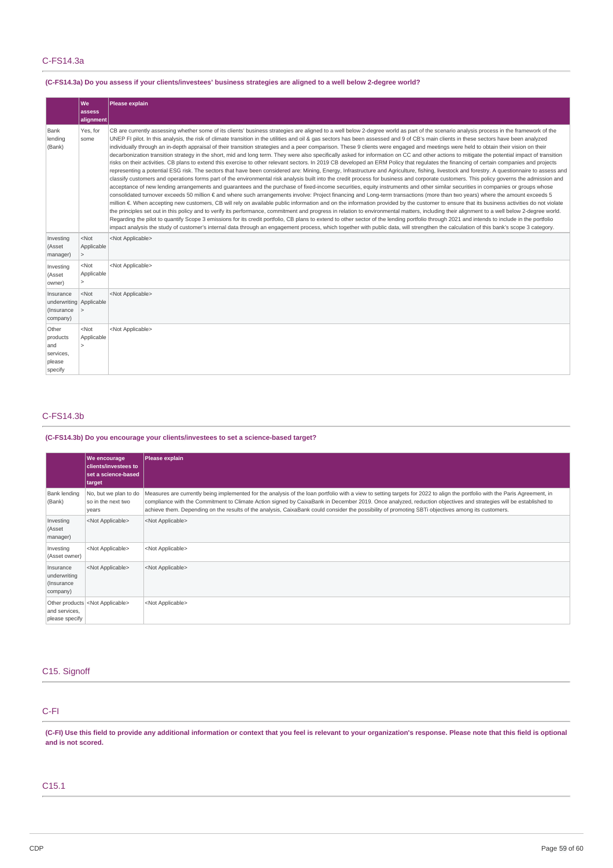## C-FS14.3a

## (C-FS14.3a) Do you assess if your clients/investees' business strategies are aligned to a well below 2-degree world?

|                                                                | We<br>assess<br>alignment               | Please explain                                                                                                                                                                                                                                                                                                                                                                                                                                                                                                                                                                                                                                                                                                                                                                                                                                                                                                                                                                                                                                                                                                                                                                                                                                                                                                                                                                                                                                                                                                                                                                                                                                                                                                                                                                                                                                                                                                                                                                                                                                                                                                                                                                                                                                                                                                                                                                                                                                                                                                                    |
|----------------------------------------------------------------|-----------------------------------------|-----------------------------------------------------------------------------------------------------------------------------------------------------------------------------------------------------------------------------------------------------------------------------------------------------------------------------------------------------------------------------------------------------------------------------------------------------------------------------------------------------------------------------------------------------------------------------------------------------------------------------------------------------------------------------------------------------------------------------------------------------------------------------------------------------------------------------------------------------------------------------------------------------------------------------------------------------------------------------------------------------------------------------------------------------------------------------------------------------------------------------------------------------------------------------------------------------------------------------------------------------------------------------------------------------------------------------------------------------------------------------------------------------------------------------------------------------------------------------------------------------------------------------------------------------------------------------------------------------------------------------------------------------------------------------------------------------------------------------------------------------------------------------------------------------------------------------------------------------------------------------------------------------------------------------------------------------------------------------------------------------------------------------------------------------------------------------------------------------------------------------------------------------------------------------------------------------------------------------------------------------------------------------------------------------------------------------------------------------------------------------------------------------------------------------------------------------------------------------------------------------------------------------------|
| Bank<br>lending<br>(Bank)                                      | Yes, for<br>some                        | CB are currently assessing whether some of its clients' business strategies are aligned to a well below 2-degree world as part of the scenario analysis process in the framework of the<br>UNEP FI pilot. In this analysis, the risk of climate transition in the utilities and oil & gas sectors has been assessed and 9 of CB's main clients in these sectors have been analyzed<br>individually through an in-depth appraisal of their transition strategies and a peer comparison. These 9 clients were engaged and meetings were held to obtain their vision on their<br>decarbonization transition strategy in the short, mid and long term. They were also specifically asked for information on CC and other actions to mitigate the potential impact of transition<br>risks on their activities. CB plans to extend this exercise to other relevant sectors. In 2019 CB developed an ERM Policy that requlates the financing of certain companies and projects<br>representing a potential ESG risk. The sectors that have been considered are: Mining, Energy, Infrastructure and Agriculture, fishing, livestock and forestry. A questionnaire to assess and<br>classify customers and operations forms part of the environmental risk analysis built into the credit process for business and corporate customers. This policy governs the admission and<br>acceptance of new lending arrangements and quarantees and the purchase of fixed-income securities, equity instruments and other similar securities in companies or groups whose<br>consolidated turnover exceeds 50 million € and where such arrangements involve: Project financing and Long-term transactions (more than two years) where the amount exceeds 5<br>million €. When accepting new customers, CB will rely on available public information and on the information provided by the customer to ensure that its business activities do not violate<br>the principles set out in this policy and to verify its performance, commitment and progress in relation to environmental matters, including their alignment to a well below 2-degree world.<br>Regarding the pilot to quantify Scope 3 emissions for its credit portfolio, CB plans to extend to other sector of the lending portfolio through 2021 and intends to include in the portfolio<br>impact analysis the study of customer's internal data through an engagement process, which together with public data, will strengthen the calculation of this bank's scope 3 category. |
| Investing<br>(Asset<br>manager)                                | $<$ Not<br>Applicable<br>$\geq$         | <not applicable=""></not>                                                                                                                                                                                                                                                                                                                                                                                                                                                                                                                                                                                                                                                                                                                                                                                                                                                                                                                                                                                                                                                                                                                                                                                                                                                                                                                                                                                                                                                                                                                                                                                                                                                                                                                                                                                                                                                                                                                                                                                                                                                                                                                                                                                                                                                                                                                                                                                                                                                                                                         |
| Investing<br>(Asset<br>owner)                                  | $<$ Not<br>Applicable<br>5              | <not applicable=""></not>                                                                                                                                                                                                                                                                                                                                                                                                                                                                                                                                                                                                                                                                                                                                                                                                                                                                                                                                                                                                                                                                                                                                                                                                                                                                                                                                                                                                                                                                                                                                                                                                                                                                                                                                                                                                                                                                                                                                                                                                                                                                                                                                                                                                                                                                                                                                                                                                                                                                                                         |
| Insurance<br>underwriting Applicable<br>(Insurance<br>company) | $<$ Not<br>$\geq$                       | <not applicable=""></not>                                                                                                                                                                                                                                                                                                                                                                                                                                                                                                                                                                                                                                                                                                                                                                                                                                                                                                                                                                                                                                                                                                                                                                                                                                                                                                                                                                                                                                                                                                                                                                                                                                                                                                                                                                                                                                                                                                                                                                                                                                                                                                                                                                                                                                                                                                                                                                                                                                                                                                         |
| Other<br>products<br>and<br>services,<br>please<br>specify     | $<$ Not<br>Applicable<br>$\overline{ }$ | <not applicable=""></not>                                                                                                                                                                                                                                                                                                                                                                                                                                                                                                                                                                                                                                                                                                                                                                                                                                                                                                                                                                                                                                                                                                                                                                                                                                                                                                                                                                                                                                                                                                                                                                                                                                                                                                                                                                                                                                                                                                                                                                                                                                                                                                                                                                                                                                                                                                                                                                                                                                                                                                         |

## C-FS14.3b

## **(C-FS14.3b) Do you encourage your clients/investees to set a science-based target?**

|                                                     | <b>We encourage</b><br><b>clients/investees to</b><br><b>set a science-based</b><br>  target | Please explain                                                                                                                                                                                                                                                                                                                                                                                                                                                                                        |
|-----------------------------------------------------|----------------------------------------------------------------------------------------------|-------------------------------------------------------------------------------------------------------------------------------------------------------------------------------------------------------------------------------------------------------------------------------------------------------------------------------------------------------------------------------------------------------------------------------------------------------------------------------------------------------|
| <b>Bank lending</b><br>(Bank)                       | No, but we plan to do<br>so in the next two<br>years                                         | Measures are currently being implemented for the analysis of the loan portfolio with a view to setting targets for 2022 to align the portfolio with the Paris Agreement, in<br>compliance with the Commitment to Climate Action signed by CaixaBank in December 2019. Once analyzed, reduction objectives and strategies will be established to<br>achieve them. Depending on the results of the analysis, CaixaBank could consider the possibility of promoting SBTi objectives among its customers. |
| Investing<br>(Asset<br>manager)                     | <not applicable=""></not>                                                                    | <not applicable=""></not>                                                                                                                                                                                                                                                                                                                                                                                                                                                                             |
| Investing<br>(Asset owner)                          | <not applicable=""></not>                                                                    | <not applicable=""></not>                                                                                                                                                                                                                                                                                                                                                                                                                                                                             |
| Insurance<br>underwriting<br>(Insurance<br>company) | <not applicable=""></not>                                                                    | <not applicable=""></not>                                                                                                                                                                                                                                                                                                                                                                                                                                                                             |
| and services,<br>please specify                     | Other products <not applicable=""></not>                                                     | <not applicable=""></not>                                                                                                                                                                                                                                                                                                                                                                                                                                                                             |

## C15. Signoff

## C-FI

(C-FI) Use this field to provide any additional information or context that you feel is relevant to your organization's response. Please note that this field is optional **and is not scored.**

## C15.1